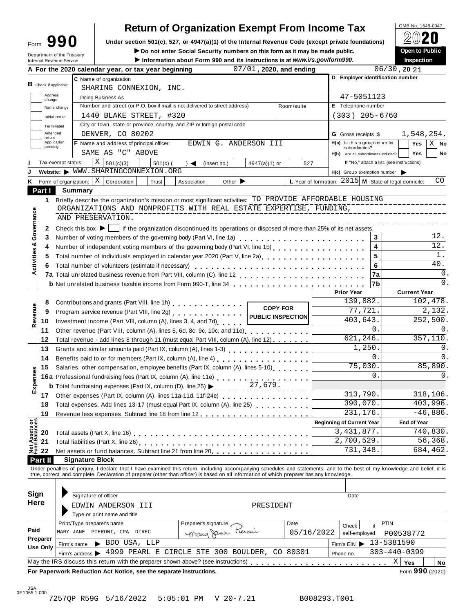# **OMB No. 1545-0047** Return of Organization Exempt From Income Tax  $\bigcap_{\text{OMB NO. 1545-0047}}$

Form  $\mathbf{990}$  Under section 501(c), 527, or 4947(a)(1) of the Internal Revenue Code (except private foundations)  $\mathbb{Z} \cup \mathbb{Z}$ 

Form **JJU** Under section 501(c), 527, or 4947(a)(1) or the internal Revenue Code (except private foundations)<br>
Department of the Treasury **Department of the Treasury Department of the Treasury** 

|                                      | Internal Revenue Service                                                                                                                              | Department of the Treasury                                                        | Information about Form 990 and its instructions is at www.irs.gov/form990.                                                                                                                                                     |                                    |                             |                         |                 |                                                        |                                  |                            |                                                |     | Inspection          | <b>Open to Public</b> |  |  |  |  |
|--------------------------------------|-------------------------------------------------------------------------------------------------------------------------------------------------------|-----------------------------------------------------------------------------------|--------------------------------------------------------------------------------------------------------------------------------------------------------------------------------------------------------------------------------|------------------------------------|-----------------------------|-------------------------|-----------------|--------------------------------------------------------|----------------------------------|----------------------------|------------------------------------------------|-----|---------------------|-----------------------|--|--|--|--|
|                                      |                                                                                                                                                       |                                                                                   | A For the 2020 calendar year, or tax year beginning                                                                                                                                                                            |                                    |                             | 07/01, 2020, and ending |                 |                                                        |                                  |                            | $06/30$ , 20 $21$                              |     |                     |                       |  |  |  |  |
|                                      |                                                                                                                                                       | C Name of organization                                                            |                                                                                                                                                                                                                                |                                    |                             |                         |                 |                                                        |                                  |                            | D Employer identification number               |     |                     |                       |  |  |  |  |
| <b>B</b> Check if applicable:        |                                                                                                                                                       |                                                                                   | SHARING CONNEXION, INC.                                                                                                                                                                                                        |                                    |                             |                         |                 |                                                        |                                  |                            |                                                |     |                     |                       |  |  |  |  |
| Address<br>change                    | Doing Business As                                                                                                                                     |                                                                                   |                                                                                                                                                                                                                                |                                    |                             |                         |                 |                                                        |                                  |                            | 47-5051123                                     |     |                     |                       |  |  |  |  |
|                                      | Name change                                                                                                                                           |                                                                                   | Number and street (or P.O. box if mail is not delivered to street address)                                                                                                                                                     |                                    |                             |                         | Room/suite      |                                                        |                                  | E Telephone number         |                                                |     |                     |                       |  |  |  |  |
|                                      | Initial return                                                                                                                                        |                                                                                   | 1440 BLAKE STREET, #320                                                                                                                                                                                                        |                                    |                             |                         |                 |                                                        |                                  |                            | $(303)$ 205-6760                               |     |                     |                       |  |  |  |  |
|                                      | Terminated                                                                                                                                            |                                                                                   | City or town, state or province, country, and ZIP or foreign postal code                                                                                                                                                       |                                    |                             |                         |                 |                                                        |                                  |                            |                                                |     |                     |                       |  |  |  |  |
|                                      | Amended                                                                                                                                               |                                                                                   | DENVER, CO 80202                                                                                                                                                                                                               |                                    |                             |                         |                 |                                                        |                                  | <b>G</b> Gross receipts \$ |                                                |     | 1,548,254.          |                       |  |  |  |  |
| return                               | Application                                                                                                                                           |                                                                                   | F Name and address of principal officer:                                                                                                                                                                                       |                                    | EDWIN G. ANDERSON III       |                         |                 |                                                        |                                  |                            | $H(a)$ Is this a group return for              |     | Yes                 | $X \mid$ No           |  |  |  |  |
| pending                              |                                                                                                                                                       |                                                                                   | SAME AS "C" ABOVE                                                                                                                                                                                                              |                                    |                             |                         |                 |                                                        |                                  | subordinates?              | H(b) Are all subordinates included?            |     | <b>Yes</b>          | No                    |  |  |  |  |
|                                      | Tax-exempt status:                                                                                                                                    | Χ                                                                                 | 501(c)(3)                                                                                                                                                                                                                      |                                    |                             |                         |                 | 527                                                    |                                  |                            | If "No," attach a list. (see instructions)     |     |                     |                       |  |  |  |  |
|                                      |                                                                                                                                                       |                                                                                   | $501(c)$ (<br>Website: WWW.SHARINGCONNEXION.ORG                                                                                                                                                                                | $\rightarrow$ $\blacktriangleleft$ | (insert no.)                | 4947(a)(1) or           |                 |                                                        |                                  |                            |                                                |     |                     |                       |  |  |  |  |
|                                      |                                                                                                                                                       |                                                                                   |                                                                                                                                                                                                                                |                                    |                             |                         |                 |                                                        |                                  |                            | $H(c)$ Group exemption number $\triangleright$ |     |                     | CO.                   |  |  |  |  |
| Κ                                    | Form of organization:                                                                                                                                 | ΧI                                                                                | Corporation<br>Trust                                                                                                                                                                                                           | Association                        | Other $\blacktriangleright$ |                         |                 | L Year of formation: $2015$ M State of legal domicile: |                                  |                            |                                                |     |                     |                       |  |  |  |  |
| Part I                               |                                                                                                                                                       | Summary                                                                           |                                                                                                                                                                                                                                |                                    |                             |                         |                 |                                                        |                                  |                            |                                                |     |                     |                       |  |  |  |  |
| 1                                    |                                                                                                                                                       |                                                                                   | Briefly describe the organization's mission or most significant activities: TO PROVIDE AFFORDABLE HOUSING                                                                                                                      |                                    |                             |                         |                 |                                                        |                                  |                            |                                                |     |                     |                       |  |  |  |  |
| Activities & Governance              |                                                                                                                                                       |                                                                                   | ORGANIZATIONS AND NONPROFITS WITH REAL ESTATE EXPERTISE, FUNDING,                                                                                                                                                              |                                    |                             |                         |                 |                                                        |                                  |                            |                                                |     |                     |                       |  |  |  |  |
|                                      |                                                                                                                                                       | AND PRESERVATION.                                                                 |                                                                                                                                                                                                                                |                                    |                             |                         |                 |                                                        |                                  |                            |                                                |     |                     |                       |  |  |  |  |
| 2                                    |                                                                                                                                                       |                                                                                   | Check this box $\blacktriangleright$   if the organization discontinued its operations or disposed of more than 25% of its net assets.                                                                                         |                                    |                             |                         |                 |                                                        |                                  |                            |                                                |     |                     |                       |  |  |  |  |
| 3                                    |                                                                                                                                                       |                                                                                   |                                                                                                                                                                                                                                |                                    |                             |                         |                 |                                                        |                                  |                            | 3                                              |     |                     | 12.                   |  |  |  |  |
| 4                                    |                                                                                                                                                       |                                                                                   | Number of independent voting members of the governing body (Part VI, line 1b)                                                                                                                                                  |                                    |                             |                         |                 |                                                        |                                  |                            | 4                                              |     |                     | 12.                   |  |  |  |  |
| 5                                    |                                                                                                                                                       |                                                                                   | Total number of individuals employed in calendar year 2020 (Part V, line 2a)<br>The 2a)                                                                                                                                        |                                    |                             |                         |                 |                                                        |                                  |                            | 5                                              |     |                     | $1$ .                 |  |  |  |  |
| 6                                    |                                                                                                                                                       |                                                                                   | Total number of volunteers (estimate if necessary)                                                                                                                                                                             |                                    |                             |                         |                 |                                                        |                                  |                            | 6                                              |     |                     | $40.$                 |  |  |  |  |
|                                      |                                                                                                                                                       |                                                                                   |                                                                                                                                                                                                                                |                                    |                             |                         |                 |                                                        |                                  |                            | 7a                                             |     |                     | $\mathbf 0$ .         |  |  |  |  |
|                                      |                                                                                                                                                       |                                                                                   | <b>b</b> Net unrelated business taxable income from Form 990-T, line 34                                                                                                                                                        |                                    |                             |                         |                 |                                                        |                                  |                            | 7b                                             |     |                     | 0.                    |  |  |  |  |
|                                      |                                                                                                                                                       |                                                                                   |                                                                                                                                                                                                                                |                                    |                             |                         |                 |                                                        |                                  | <b>Prior Year</b>          |                                                |     | <b>Current Year</b> |                       |  |  |  |  |
| 8                                    |                                                                                                                                                       |                                                                                   |                                                                                                                                                                                                                                |                                    |                             |                         |                 |                                                        |                                  | 139,882.                   |                                                |     | 102,478.            |                       |  |  |  |  |
| Revenue                              |                                                                                                                                                       |                                                                                   |                                                                                                                                                                                                                                |                                    |                             |                         | <b>COPY FOR</b> |                                                        |                                  | 77,721.                    |                                                |     |                     | 2,132.                |  |  |  |  |
| 9                                    |                                                                                                                                                       |                                                                                   | Program service revenue (Part VIII, line 2g)                                                                                                                                                                                   |                                    |                             | PUBLIC INSPECTION       |                 |                                                        |                                  |                            | 252,500.                                       |     |                     |                       |  |  |  |  |
| 10                                   | 403,643.<br>Investment income (Part VIII, column (A), lines 3, 4, and 7d)<br>Other revenue (Part VIII, column (A), lines 5, 6d, 8c, 9c, 10c, and 11e) |                                                                                   |                                                                                                                                                                                                                                |                                    |                             |                         |                 |                                                        |                                  |                            | $\Omega$ .                                     |     |                     |                       |  |  |  |  |
| 11                                   |                                                                                                                                                       |                                                                                   |                                                                                                                                                                                                                                |                                    |                             |                         |                 |                                                        |                                  | 621, 246.                  |                                                |     | 357, 110.           | 0.                    |  |  |  |  |
| 12                                   |                                                                                                                                                       |                                                                                   | Total revenue - add lines 8 through 11 (must equal Part VIII, column (A), line 12)                                                                                                                                             |                                    |                             |                         |                 |                                                        |                                  |                            |                                                |     |                     |                       |  |  |  |  |
| 13                                   |                                                                                                                                                       |                                                                                   | Grants and similar amounts paid (Part IX, column (A), lines 1-3)                                                                                                                                                               |                                    |                             |                         |                 |                                                        |                                  | 1,250.                     | $\mathbf{0}$ .                                 |     |                     | 0.<br>$\mathbf{0}$ .  |  |  |  |  |
| 14                                   |                                                                                                                                                       |                                                                                   | Benefits paid to or for members (Part IX, column (A), line 4)                                                                                                                                                                  |                                    |                             |                         |                 |                                                        |                                  |                            |                                                |     |                     |                       |  |  |  |  |
| 15                                   |                                                                                                                                                       | Salaries, other compensation, employee benefits (Part IX, column (A), lines 5-10) |                                                                                                                                                                                                                                | 75,030.                            |                             |                         | 85,890.         |                                                        |                                  |                            |                                                |     |                     |                       |  |  |  |  |
|                                      |                                                                                                                                                       |                                                                                   | 16a Professional fundraising fees (Part IX, column (A), line 11e)                                                                                                                                                              |                                    |                             |                         |                 |                                                        |                                  |                            | $\Omega$ .                                     |     |                     | 0.                    |  |  |  |  |
| Expenses                             |                                                                                                                                                       |                                                                                   | <b>b</b> Total fundraising expenses (Part IX, column (D), line 25) $\blacktriangleright$ ______                                                                                                                                |                                    |                             | 27,679.                 |                 |                                                        |                                  |                            |                                                |     |                     |                       |  |  |  |  |
| 17                                   |                                                                                                                                                       |                                                                                   | Other expenses (Part IX, column (A), lines 11a-11d, 11f-24e)                                                                                                                                                                   |                                    |                             |                         |                 |                                                        |                                  | 313,790.                   |                                                |     | 318,106.            |                       |  |  |  |  |
| 18                                   |                                                                                                                                                       |                                                                                   | Total expenses. Add lines 13-17 (must equal Part IX, column (A), line 25)                                                                                                                                                      |                                    |                             |                         |                 |                                                        |                                  | 390,070.                   |                                                |     | 403,996.            |                       |  |  |  |  |
| 19                                   |                                                                                                                                                       |                                                                                   |                                                                                                                                                                                                                                |                                    |                             |                         |                 |                                                        |                                  | 231,176.                   |                                                |     | $-46,886.$          |                       |  |  |  |  |
|                                      |                                                                                                                                                       |                                                                                   |                                                                                                                                                                                                                                |                                    |                             |                         |                 |                                                        | <b>Beginning of Current Year</b> |                            |                                                |     | <b>End of Year</b>  |                       |  |  |  |  |
| Net Assets or<br>Fund Balances<br>20 |                                                                                                                                                       |                                                                                   |                                                                                                                                                                                                                                |                                    |                             |                         |                 |                                                        |                                  | 3, 431, 877.               |                                                |     | 740,830.            |                       |  |  |  |  |
| 21                                   |                                                                                                                                                       |                                                                                   |                                                                                                                                                                                                                                |                                    |                             |                         |                 |                                                        |                                  | 2,700,529.                 |                                                |     | 56,368.             |                       |  |  |  |  |
| 22                                   |                                                                                                                                                       |                                                                                   | Net assets or fund balances. Subtract line 21 from line 20.                                                                                                                                                                    |                                    |                             |                         |                 |                                                        |                                  | $\overline{731,348}$ .     |                                                |     | 684,462.            |                       |  |  |  |  |
| Part II                              |                                                                                                                                                       | <b>Signature Block</b>                                                            |                                                                                                                                                                                                                                |                                    |                             |                         |                 |                                                        |                                  |                            |                                                |     |                     |                       |  |  |  |  |
|                                      |                                                                                                                                                       |                                                                                   |                                                                                                                                                                                                                                |                                    |                             |                         |                 |                                                        |                                  |                            |                                                |     |                     |                       |  |  |  |  |
|                                      |                                                                                                                                                       |                                                                                   | Under penalties of perjury, I declare that I have examined this return, including accompanying schedules and statements, and to the best of my knowledge and belief, it is true, correct, and complete. Declaration of prepare |                                    |                             |                         |                 |                                                        |                                  |                            |                                                |     |                     |                       |  |  |  |  |
|                                      |                                                                                                                                                       |                                                                                   |                                                                                                                                                                                                                                |                                    |                             |                         |                 |                                                        |                                  |                            |                                                |     |                     |                       |  |  |  |  |
| <b>Sign</b>                          |                                                                                                                                                       | Signature of officer                                                              |                                                                                                                                                                                                                                |                                    |                             |                         |                 |                                                        |                                  | Date                       |                                                |     |                     |                       |  |  |  |  |
| <b>Here</b>                          |                                                                                                                                                       |                                                                                   |                                                                                                                                                                                                                                |                                    |                             |                         |                 |                                                        |                                  |                            |                                                |     |                     |                       |  |  |  |  |
|                                      |                                                                                                                                                       | EDWIN ANDERSON III                                                                |                                                                                                                                                                                                                                |                                    |                             | PRESIDENT               |                 |                                                        |                                  |                            |                                                |     |                     |                       |  |  |  |  |
|                                      |                                                                                                                                                       | Type or print name and title                                                      |                                                                                                                                                                                                                                |                                    |                             |                         |                 |                                                        |                                  |                            |                                                |     |                     |                       |  |  |  |  |
| Paid                                 |                                                                                                                                                       | Print/Type preparer's name                                                        |                                                                                                                                                                                                                                | Preparer's signature               |                             |                         | Date            |                                                        |                                  | Check                      | <b>PTIN</b><br>if                              |     |                     |                       |  |  |  |  |
|                                      |                                                                                                                                                       | MARY JANE PIERONI, CPA DIREC                                                      |                                                                                                                                                                                                                                |                                    | Mary Jane Peroni            |                         |                 | 05/16/2022                                             |                                  | self-employed              |                                                |     | P00538772           |                       |  |  |  |  |
| Preparer                             | Firm's name                                                                                                                                           |                                                                                   | $\blacktriangleright$ BDO USA, LLP                                                                                                                                                                                             |                                    |                             |                         |                 |                                                        | Firm's $EIN$                     |                            | 13-5381590                                     |     |                     |                       |  |  |  |  |
|                                      |                                                                                                                                                       |                                                                                   |                                                                                                                                                                                                                                |                                    |                             |                         |                 |                                                        |                                  |                            |                                                |     |                     |                       |  |  |  |  |
| Use Only                             |                                                                                                                                                       |                                                                                   | 4999 PEARL E CIRCLE STE 300 BOULDER, CO 80301                                                                                                                                                                                  |                                    |                             |                         |                 |                                                        |                                  |                            | $303 - 440 - 0399$                             |     |                     |                       |  |  |  |  |
|                                      |                                                                                                                                                       | Firm's address >                                                                  | May the IRS discuss this return with the preparer shown above? (see instructions)                                                                                                                                              |                                    |                             |                         |                 |                                                        | Phone no.                        |                            | Χ                                              | Yes |                     | No                    |  |  |  |  |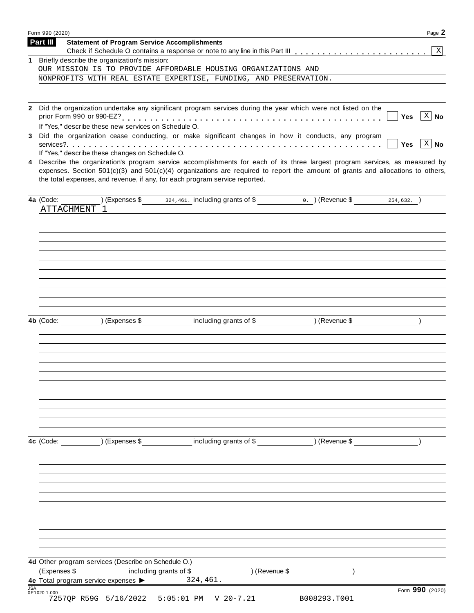| Form 990 (2020)          |                                                                               |                                                                                                                                                                                                                                                                                                                                               |               | Page 2                                     |
|--------------------------|-------------------------------------------------------------------------------|-----------------------------------------------------------------------------------------------------------------------------------------------------------------------------------------------------------------------------------------------------------------------------------------------------------------------------------------------|---------------|--------------------------------------------|
| <b>Part III</b>          | <b>Statement of Program Service Accomplishments</b>                           |                                                                                                                                                                                                                                                                                                                                               |               | $\mathbf X$                                |
|                          | 1 Briefly describe the organization's mission:                                |                                                                                                                                                                                                                                                                                                                                               |               |                                            |
|                          |                                                                               | OUR MISSION IS TO PROVIDE AFFORDABLE HOUSING ORGANIZATIONS AND<br>NONPROFITS WITH REAL ESTATE EXPERTISE, FUNDING, AND PRESERVATION.                                                                                                                                                                                                           |               |                                            |
|                          |                                                                               |                                                                                                                                                                                                                                                                                                                                               |               |                                            |
|                          | If "Yes," describe these new services on Schedule O.                          | 2 Did the organization undertake any significant program services during the year which were not listed on the<br>Did the organization cease conducting, or make significant changes in how it conducts, any program                                                                                                                          |               | $\sqrt{X}$ No<br>Yes                       |
|                          | If "Yes," describe these changes on Schedule O.                               | 4 Describe the organization's program service accomplishments for each of its three largest program services, as measured by<br>expenses. Section 501(c)(3) and 501(c)(4) organizations are required to report the amount of grants and allocations to others,<br>the total expenses, and revenue, if any, for each program service reported. |               | $\overline{\mathbf{x}}$   No<br><b>Yes</b> |
| ATTACHMENT 1             |                                                                               | 4a (Code: ) (Expenses \$324,461. including grants of \$0. ) (Revenue \$254,632. )                                                                                                                                                                                                                                                             |               |                                            |
|                          |                                                                               |                                                                                                                                                                                                                                                                                                                                               |               |                                            |
|                          |                                                                               |                                                                                                                                                                                                                                                                                                                                               |               |                                            |
| 4b (Code: ) (Expenses \$ |                                                                               | including grants of \$ (Revenue \$)                                                                                                                                                                                                                                                                                                           |               |                                            |
|                          |                                                                               |                                                                                                                                                                                                                                                                                                                                               |               |                                            |
| 4c (Code:                | ) (Expenses \$                                                                | including grants of \$                                                                                                                                                                                                                                                                                                                        | ) (Revenue \$ |                                            |
|                          |                                                                               |                                                                                                                                                                                                                                                                                                                                               |               |                                            |
|                          |                                                                               |                                                                                                                                                                                                                                                                                                                                               |               |                                            |
| (Expenses \$             | 4d Other program services (Describe on Schedule O.)<br>including grants of \$ | ) (Revenue \$                                                                                                                                                                                                                                                                                                                                 |               |                                            |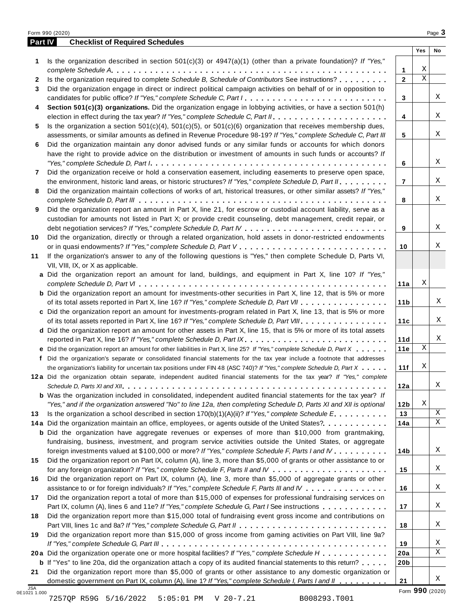|              | <b>Checklist of Required Schedules</b><br>Part IV                                                                                                                                                                                                   |                 |             |    |
|--------------|-----------------------------------------------------------------------------------------------------------------------------------------------------------------------------------------------------------------------------------------------------|-----------------|-------------|----|
|              |                                                                                                                                                                                                                                                     |                 | Yes         | No |
| 1            | Is the organization described in section $501(c)(3)$ or $4947(a)(1)$ (other than a private foundation)? If "Yes,"                                                                                                                                   |                 |             |    |
|              |                                                                                                                                                                                                                                                     | 1               | Χ           |    |
| $\mathbf{2}$ | Is the organization required to complete Schedule B, Schedule of Contributors See instructions?                                                                                                                                                     | $\overline{2}$  | $\mathbf X$ |    |
| 3            | Did the organization engage in direct or indirect political campaign activities on behalf of or in opposition to                                                                                                                                    |                 |             |    |
|              | candidates for public office? If "Yes," complete Schedule C, Part I                                                                                                                                                                                 | 3               |             | Χ  |
| 4            | Section 501(c)(3) organizations. Did the organization engage in lobbying activities, or have a section 501(h)                                                                                                                                       |                 |             |    |
|              |                                                                                                                                                                                                                                                     | 4               |             | Χ  |
| 5.           | Is the organization a section $501(c)(4)$ , $501(c)(5)$ , or $501(c)(6)$ organization that receives membership dues,                                                                                                                                |                 |             |    |
|              | assessments, or similar amounts as defined in Revenue Procedure 98-19? If "Yes," complete Schedule C, Part III                                                                                                                                      | 5               |             | X  |
| 6            | Did the organization maintain any donor advised funds or any similar funds or accounts for which donors                                                                                                                                             |                 |             |    |
|              | have the right to provide advice on the distribution or investment of amounts in such funds or accounts? If                                                                                                                                         |                 |             |    |
|              |                                                                                                                                                                                                                                                     | 6               |             | Χ  |
| 7            | Did the organization receive or hold a conservation easement, including easements to preserve open space,                                                                                                                                           |                 |             |    |
|              | the environment, historic land areas, or historic structures? If "Yes," complete Schedule D, Part II.                                                                                                                                               | $\overline{7}$  |             | Χ  |
| 8            | Did the organization maintain collections of works of art, historical treasures, or other similar assets? If "Yes,"                                                                                                                                 |                 |             |    |
|              |                                                                                                                                                                                                                                                     | 8               |             | Χ  |
| 9            | Did the organization report an amount in Part X, line 21, for escrow or custodial account liability, serve as a                                                                                                                                     |                 |             |    |
|              | custodian for amounts not listed in Part X; or provide credit counseling, debt management, credit repair, or                                                                                                                                        |                 |             |    |
|              |                                                                                                                                                                                                                                                     | 9               |             | Χ  |
| 10           | Did the organization, directly or through a related organization, hold assets in donor-restricted endowments                                                                                                                                        |                 |             |    |
|              |                                                                                                                                                                                                                                                     | 10              |             | Χ  |
| 11           | If the organization's answer to any of the following questions is "Yes," then complete Schedule D, Parts VI,                                                                                                                                        |                 |             |    |
|              | VII, VIII, IX, or X as applicable.                                                                                                                                                                                                                  |                 |             |    |
|              | a Did the organization report an amount for land, buildings, and equipment in Part X, line 10? If "Yes,"                                                                                                                                            |                 |             |    |
|              |                                                                                                                                                                                                                                                     | 11a             | Χ           |    |
|              | <b>b</b> Did the organization report an amount for investments-other securities in Part X, line 12, that is 5% or more                                                                                                                              |                 |             |    |
|              | of its total assets reported in Part X, line 16? If "Yes," complete Schedule D, Part VII                                                                                                                                                            | 11 <sub>b</sub> |             | Χ  |
|              | c Did the organization report an amount for investments-program related in Part X, line 13, that is 5% or more                                                                                                                                      |                 |             |    |
|              | of its total assets reported in Part X, line 16? If "Yes," complete Schedule D, Part VIII                                                                                                                                                           | 11c             |             | Χ  |
|              | d Did the organization report an amount for other assets in Part X, line 15, that is 5% or more of its total assets                                                                                                                                 |                 |             | Χ  |
|              |                                                                                                                                                                                                                                                     | 11d<br>11e      | $\mathbf X$ |    |
|              | e Did the organization report an amount for other liabilities in Part X, line 25? If "Yes," complete Schedule D, Part X                                                                                                                             |                 |             |    |
|              | f Did the organization's separate or consolidated financial statements for the tax year include a footnote that addresses<br>the organization's liability for uncertain tax positions under FIN 48 (ASC 740)? If "Yes," complete Schedule D, Part X | 11f             | Χ           |    |
|              | 12a Did the organization obtain separate, independent audited financial statements for the tax year? If "Yes," complete                                                                                                                             |                 |             |    |
|              |                                                                                                                                                                                                                                                     | 12a             |             | Χ  |
|              | <b>b</b> Was the organization included in consolidated, independent audited financial statements for the tax year? If                                                                                                                               |                 |             |    |
|              | "Yes," and if the organization answered "No" to line 12a, then completing Schedule D, Parts XI and XII is optional                                                                                                                                  | 12 <sub>b</sub> | Χ           |    |
| 13           | Is the organization a school described in section $170(b)(1)(A)(ii)?$ If "Yes," complete Schedule E.                                                                                                                                                | 13              |             | X  |
|              | 14a Did the organization maintain an office, employees, or agents outside of the United States?                                                                                                                                                     | 14a             |             | Χ  |
|              | <b>b</b> Did the organization have aggregate revenues or expenses of more than \$10,000 from grantmaking,                                                                                                                                           |                 |             |    |
|              | fundraising, business, investment, and program service activities outside the United States, or aggregate                                                                                                                                           |                 |             |    |
|              | foreign investments valued at \$100,000 or more? If "Yes," complete Schedule F, Parts I and IV                                                                                                                                                      | 14b             |             | X  |
| 15           | Did the organization report on Part IX, column (A), line 3, more than \$5,000 of grants or other assistance to or                                                                                                                                   |                 |             |    |
|              |                                                                                                                                                                                                                                                     | 15              |             | X  |
| 16           | Did the organization report on Part IX, column (A), line 3, more than \$5,000 of aggregate grants or other                                                                                                                                          |                 |             |    |
|              | assistance to or for foreign individuals? If "Yes," complete Schedule F, Parts III and IV                                                                                                                                                           | 16              |             | X  |
| 17           | Did the organization report a total of more than \$15,000 of expenses for professional fundraising services on                                                                                                                                      |                 |             |    |
|              | Part IX, column (A), lines 6 and 11e? If "Yes," complete Schedule G, Part I See instructions                                                                                                                                                        | 17              |             | X  |
|              | Did the organization report more than \$15,000 total of fundraising event gross income and contributions on                                                                                                                                         |                 |             |    |
|              |                                                                                                                                                                                                                                                     | 18              |             | X  |
|              |                                                                                                                                                                                                                                                     |                 |             |    |
|              |                                                                                                                                                                                                                                                     |                 |             |    |
|              | Did the organization report more than \$15,000 of gross income from gaming activities on Part VIII, line 9a?                                                                                                                                        | 19              |             | Χ  |
|              |                                                                                                                                                                                                                                                     | 20a             |             | Χ  |
| 18<br>19     | 20a Did the organization operate one or more hospital facilities? If "Yes," complete Schedule H                                                                                                                                                     | 20 <sub>b</sub> |             |    |
| 21           | <b>b</b> If "Yes" to line 20a, did the organization attach a copy of its audited financial statements to this return?<br>Did the organization report more than \$5,000 of grants or other assistance to any domestic organization or                |                 |             |    |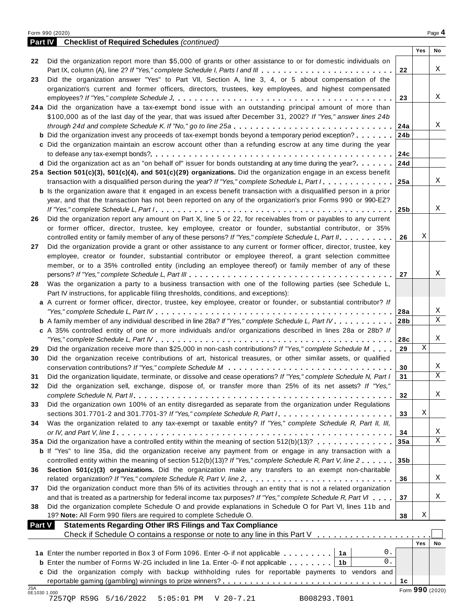|--|--|

|    | Form 990 (2020)                                                                                                                                                                                                |                 |            | Page 4 |
|----|----------------------------------------------------------------------------------------------------------------------------------------------------------------------------------------------------------------|-----------------|------------|--------|
|    | <b>Checklist of Required Schedules (continued)</b><br><b>Part IV</b>                                                                                                                                           |                 | Yes        | No     |
| 22 | Did the organization report more than \$5,000 of grants or other assistance to or for domestic individuals on                                                                                                  |                 |            |        |
|    | Part IX, column (A), line 2? If "Yes," complete Schedule I, Parts I and III                                                                                                                                    | 22              |            | Χ      |
| 23 | Did the organization answer "Yes" to Part VII, Section A, line 3, 4, or 5 about compensation of the                                                                                                            |                 |            |        |
|    | organization's current and former officers, directors, trustees, key employees, and highest compensated                                                                                                        |                 |            |        |
|    |                                                                                                                                                                                                                | 23              |            | Χ      |
|    | 24a Did the organization have a tax-exempt bond issue with an outstanding principal amount of more than                                                                                                        |                 |            |        |
|    | \$100,000 as of the last day of the year, that was issued after December 31, 2002? If "Yes," answer lines 24b                                                                                                  |                 |            |        |
|    | through 24d and complete Schedule K. If "No," go to line 25a $\ldots$ ,                                                                                                                                        | 24a             |            | Χ      |
|    | <b>b</b> Did the organization invest any proceeds of tax-exempt bonds beyond a temporary period exception?                                                                                                     | 24b             |            |        |
|    | c Did the organization maintain an escrow account other than a refunding escrow at any time during the year                                                                                                    |                 |            |        |
|    |                                                                                                                                                                                                                | 24c             |            |        |
|    | d Did the organization act as an "on behalf of" issuer for bonds outstanding at any time during the year?                                                                                                      | 24d             |            |        |
|    | 25a Section 501(c)(3), 501(c)(4), and 501(c)(29) organizations. Did the organization engage in an excess benefit                                                                                               |                 |            |        |
|    | transaction with a disqualified person during the year? If "Yes," complete Schedule L, Part I.                                                                                                                 | 25a             |            | X      |
|    | <b>b</b> Is the organization aware that it engaged in an excess benefit transaction with a disqualified person in a prior                                                                                      |                 |            |        |
|    | year, and that the transaction has not been reported on any of the organization's prior Forms 990 or 990-EZ?                                                                                                   |                 |            | X      |
|    |                                                                                                                                                                                                                | 25 <sub>b</sub> |            |        |
| 26 | Did the organization report any amount on Part X, line 5 or 22, for receivables from or payables to any current                                                                                                |                 |            |        |
|    | or former officer, director, trustee, key employee, creator or founder, substantial contributor, or 35%<br>controlled entity or family member of any of these persons? If "Yes," complete Schedule L, Part II. | 26              | Χ          |        |
|    | Did the organization provide a grant or other assistance to any current or former officer, director, trustee, key                                                                                              |                 |            |        |
| 27 | employee, creator or founder, substantial contributor or employee thereof, a grant selection committee                                                                                                         |                 |            |        |
|    | member, or to a 35% controlled entity (including an employee thereof) or family member of any of these                                                                                                         |                 |            |        |
|    |                                                                                                                                                                                                                | 27              |            | Χ      |
| 28 | Was the organization a party to a business transaction with one of the following parties (see Schedule L,                                                                                                      |                 |            |        |
|    | Part IV instructions, for applicable filing thresholds, conditions, and exceptions):                                                                                                                           |                 |            |        |
|    | a A current or former officer, director, trustee, key employee, creator or founder, or substantial contributor? If                                                                                             |                 |            |        |
|    |                                                                                                                                                                                                                | 28a             |            | Χ      |
|    | <b>b</b> A family member of any individual described in line 28a? If "Yes," complete Schedule L, Part IV.                                                                                                      | 28b             |            | X      |
|    | c A 35% controlled entity of one or more individuals and/or organizations described in lines 28a or 28b? If                                                                                                    |                 |            |        |
|    |                                                                                                                                                                                                                | 28c             |            | Χ      |
| 29 | Did the organization receive more than \$25,000 in non-cash contributions? If "Yes," complete Schedule M                                                                                                       | 29              | X          |        |
| 30 | Did the organization receive contributions of art, historical treasures, or other similar assets, or qualified                                                                                                 |                 |            |        |
|    |                                                                                                                                                                                                                | 30              |            | Χ      |
| 31 | Did the organization liquidate, terminate, or dissolve and cease operations? If "Yes," complete Schedule N, Part I                                                                                             | 31              |            | X      |
| 32 | Did the organization sell, exchange, dispose of, or transfer more than 25% of its net assets? If "Yes,"                                                                                                        |                 |            |        |
|    |                                                                                                                                                                                                                | 32              |            | Χ      |
| 33 | Did the organization own 100% of an entity disregarded as separate from the organization under Regulations                                                                                                     |                 |            |        |
|    |                                                                                                                                                                                                                | 33              | Χ          |        |
| 34 | Was the organization related to any tax-exempt or taxable entity? If "Yes," complete Schedule R, Part II, III,                                                                                                 |                 |            |        |
|    |                                                                                                                                                                                                                | 34              |            | Χ      |
|    | 35a Did the organization have a controlled entity within the meaning of section 512(b)(13)?                                                                                                                    | 35a             |            | X      |
|    | <b>b</b> If "Yes" to line 35a, did the organization receive any payment from or engage in any transaction with a                                                                                               |                 |            |        |
|    | controlled entity within the meaning of section 512(b)(13)? If "Yes," complete Schedule R, Part V, line 2                                                                                                      | 35 <sub>b</sub> |            |        |
| 36 | Section 501(c)(3) organizations. Did the organization make any transfers to an exempt non-charitable                                                                                                           |                 |            |        |
|    |                                                                                                                                                                                                                | 36              |            | Χ      |
| 37 | Did the organization conduct more than 5% of its activities through an entity that is not a related organization                                                                                               |                 |            |        |
|    | and that is treated as a partnership for federal income tax purposes? If "Yes," complete Schedule R, Part VI                                                                                                   | 37              |            | Χ      |
| 38 | Did the organization complete Schedule O and provide explanations in Schedule O for Part VI, lines 11b and                                                                                                     |                 |            |        |
|    | 19? Note: All Form 990 filers are required to complete Schedule O.                                                                                                                                             | 38              | Χ          |        |
|    | Part V<br><b>Statements Regarding Other IRS Filings and Tax Compliance</b>                                                                                                                                     |                 |            |        |
|    | Check if Schedule O contains a response or note to any line in this Part V                                                                                                                                     |                 |            |        |
|    |                                                                                                                                                                                                                |                 | <b>Yes</b> | No     |
|    | 0.<br>1a Enter the number reported in Box 3 of Form 1096. Enter -0- if not applicable<br>1a                                                                                                                    |                 |            |        |
|    | 0.<br><b>b</b> Enter the number of Forms W-2G included in line 1a. Enter -0- if not applicable<br>1b                                                                                                           |                 |            |        |
|    | c Did the organization comply with backup withholding rules for reportable payments to vendors and                                                                                                             | 1c              |            |        |
|    |                                                                                                                                                                                                                |                 |            |        |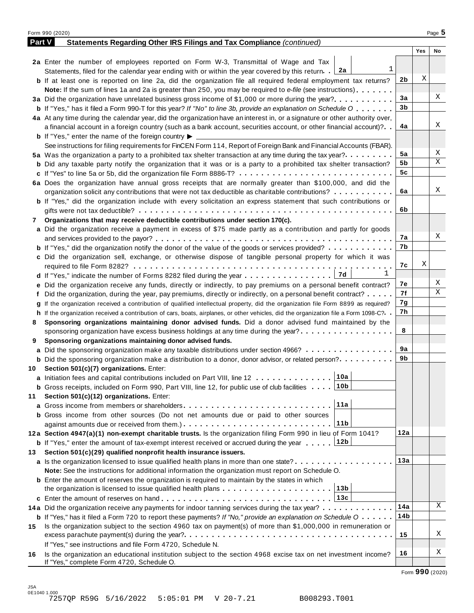| <b>Part V</b> | Form 990 (2020)<br>Statements Regarding Other IRS Filings and Tax Compliance (continued)                                                                                                              |                |     | Page $5$ |
|---------------|-------------------------------------------------------------------------------------------------------------------------------------------------------------------------------------------------------|----------------|-----|----------|
|               |                                                                                                                                                                                                       |                | Yes | No       |
|               |                                                                                                                                                                                                       |                |     |          |
|               | 2a Enter the number of employees reported on Form W-3, Transmittal of Wage and Tax<br>1<br>Statements, filed for the calendar year ending with or within the year covered by this return. $2a$        |                |     |          |
|               | <b>b</b> If at least one is reported on line 2a, did the organization file all required federal employment tax returns?                                                                               | 2 <sub>b</sub> | Χ   |          |
|               | Note: If the sum of lines 1a and 2a is greater than 250, you may be required to e-file (see instructions)                                                                                             |                |     |          |
|               | 3a Did the organization have unrelated business gross income of \$1,000 or more during the year?                                                                                                      | 3a             |     | Χ        |
|               | <b>b</b> If "Yes," has it filed a Form 990-T for this year? If "No" to line 3b, provide an explanation on Schedule O                                                                                  | 3b             |     |          |
|               | 4a At any time during the calendar year, did the organization have an interest in, or a signature or other authority over,                                                                            |                |     |          |
|               | a financial account in a foreign country (such as a bank account, securities account, or other financial account)?                                                                                    | 4a             |     | Χ        |
|               |                                                                                                                                                                                                       |                |     |          |
|               | <b>b</b> If "Yes," enter the name of the foreign country $\blacktriangleright$<br>See instructions for filing requirements for FinCEN Form 114, Report of Foreign Bank and Financial Accounts (FBAR). |                |     |          |
|               |                                                                                                                                                                                                       | 5a             |     | Χ        |
|               | 5a Was the organization a party to a prohibited tax shelter transaction at any time during the tax year?                                                                                              | 5b             |     | X        |
|               | <b>b</b> Did any taxable party notify the organization that it was or is a party to a prohibited tax shelter transaction?                                                                             | 5 <sub>c</sub> |     |          |
|               |                                                                                                                                                                                                       |                |     |          |
|               | 6a Does the organization have annual gross receipts that are normally greater than \$100,000, and did the                                                                                             |                |     | Χ        |
|               | organization solicit any contributions that were not tax deductible as charitable contributions?                                                                                                      | 6a             |     |          |
|               | <b>b</b> If "Yes," did the organization include with every solicitation an express statement that such contributions or                                                                               |                |     |          |
|               |                                                                                                                                                                                                       | 6b             |     |          |
| 7             | Organizations that may receive deductible contributions under section 170(c).                                                                                                                         |                |     |          |
|               | a Did the organization receive a payment in excess of \$75 made partly as a contribution and partly for goods                                                                                         |                |     |          |
|               |                                                                                                                                                                                                       | 7а             |     | Χ        |
|               | <b>b</b> If "Yes," did the organization notify the donor of the value of the goods or services provided?                                                                                              | 7b             |     |          |
|               | c Did the organization sell, exchange, or otherwise dispose of tangible personal property for which it was                                                                                            |                |     |          |
|               |                                                                                                                                                                                                       | 7c             | Χ   |          |
|               | 1<br>d If "Yes," indicate the number of Forms 8282 filed during the year $\ldots \ldots \ldots \ldots \ldots$                                                                                         |                |     |          |
|               | e Did the organization receive any funds, directly or indirectly, to pay premiums on a personal benefit contract?                                                                                     | 7e             |     | Χ        |
|               | f Did the organization, during the year, pay premiums, directly or indirectly, on a personal benefit contract?                                                                                        | 7f             |     | Χ        |
| g             | If the organization received a contribution of qualified intellectual property, did the organization file Form 8899 as required?                                                                      | 7g             |     |          |
|               | h If the organization received a contribution of cars, boats, airplanes, or other vehicles, did the organization file a Form 1098-C?. .                                                               | 7h             |     |          |
| 8             | Sponsoring organizations maintaining donor advised funds. Did a donor advised fund maintained by the                                                                                                  |                |     |          |
|               | sponsoring organization have excess business holdings at any time during the year?                                                                                                                    | 8              |     |          |
| 9             | Sponsoring organizations maintaining donor advised funds.                                                                                                                                             |                |     |          |
|               | a Did the sponsoring organization make any taxable distributions under section 4966?                                                                                                                  | 9a             |     |          |
|               | <b>b</b> Did the sponsoring organization make a distribution to a donor, donor advisor, or related person?                                                                                            | 9b             |     |          |
| 10            | Section 501(c)(7) organizations. Enter:                                                                                                                                                               |                |     |          |
|               | 10a<br>a Initiation fees and capital contributions included on Part VIII, line 12                                                                                                                     |                |     |          |
|               | 10 <sub>b</sub><br><b>b</b> Gross receipts, included on Form 990, Part VIII, line 12, for public use of club facilities                                                                               |                |     |          |
| 11            | Section 501(c)(12) organizations. Enter:                                                                                                                                                              |                |     |          |
| a             | 11a<br>Gross income from members or shareholders                                                                                                                                                      |                |     |          |
|               | <b>b</b> Gross income from other sources (Do not net amounts due or paid to other sources                                                                                                             |                |     |          |
|               | 11b                                                                                                                                                                                                   |                |     |          |
|               | 12a Section 4947(a)(1) non-exempt charitable trusts. Is the organization filing Form 990 in lieu of Form 1041?                                                                                        | 12a            |     |          |
|               | <b>b</b> If "Yes," enter the amount of tax-exempt interest received or accrued during the year 12b                                                                                                    |                |     |          |
| 13            | Section 501(c)(29) qualified nonprofit health insurance issuers.                                                                                                                                      |                |     |          |
|               | a Is the organization licensed to issue qualified health plans in more than one state?                                                                                                                | 13а            |     |          |
|               | Note: See the instructions for additional information the organization must report on Schedule O.                                                                                                     |                |     |          |
|               | <b>b</b> Enter the amount of reserves the organization is required to maintain by the states in which                                                                                                 |                |     |          |
|               | 13 <sub>b</sub><br>the organization is licensed to issue qualified health plans                                                                                                                       |                |     |          |
|               | 13c                                                                                                                                                                                                   |                |     |          |
|               | 14a Did the organization receive any payments for indoor tanning services during the tax year?                                                                                                        | 14a            |     | Χ        |
|               | <b>b</b> If "Yes," has it filed a Form 720 to report these payments? If "No," provide an explanation on Schedule $0 \cdot \cdot \cdot \cdot$                                                          | 14b            |     |          |
| 15            | Is the organization subject to the section 4960 tax on payment(s) of more than \$1,000,000 in remuneration or                                                                                         |                |     |          |
|               |                                                                                                                                                                                                       | 15             |     | Χ        |
|               | If "Yes," see instructions and file Form 4720, Schedule N.                                                                                                                                            |                |     |          |
| 16            | Is the organization an educational institution subject to the section 4968 excise tax on net investment income?                                                                                       | 16             |     | Χ        |
|               | If "Yes," complete Form 4720, Schedule O.                                                                                                                                                             |                |     |          |
|               |                                                                                                                                                                                                       |                |     |          |

Form **990** (2020)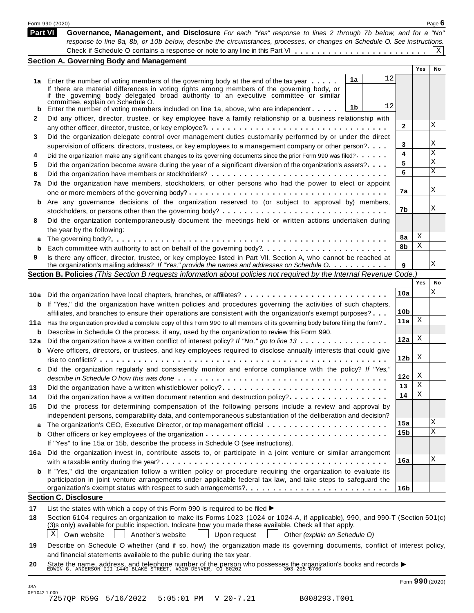|                | Form 990 (2020)                                                                                                                                                                                                                                                                                                                                                                                                             |                 |     | Page $6$ |
|----------------|-----------------------------------------------------------------------------------------------------------------------------------------------------------------------------------------------------------------------------------------------------------------------------------------------------------------------------------------------------------------------------------------------------------------------------|-----------------|-----|----------|
| <b>Part VI</b> | Governance, Management, and Disclosure For each "Yes" response to lines 2 through 7b below, and for a "No"                                                                                                                                                                                                                                                                                                                  |                 |     |          |
|                | response to line 8a, 8b, or 10b below, describe the circumstances, processes, or changes on Schedule O. See instructions.                                                                                                                                                                                                                                                                                                   |                 |     |          |
|                | Check if Schedule O contains a response or note to any line in this Part VI                                                                                                                                                                                                                                                                                                                                                 |                 |     | X        |
|                | <b>Section A. Governing Body and Management</b>                                                                                                                                                                                                                                                                                                                                                                             |                 | Yes | No       |
|                | 12<br>1a                                                                                                                                                                                                                                                                                                                                                                                                                    |                 |     |          |
|                | 1a Enter the number of voting members of the governing body at the end of the tax year<br>If there are material differences in voting rights among members of the governing body, or<br>if the governing body delegated broad authority to an executive committee or similar<br>committée, explain on Schedule O.                                                                                                           |                 |     |          |
| b              | 12<br>1b<br>Enter the number of voting members included on line 1a, above, who are independent                                                                                                                                                                                                                                                                                                                              |                 |     |          |
| 2              | Did any officer, director, trustee, or key employee have a family relationship or a business relationship with                                                                                                                                                                                                                                                                                                              |                 |     |          |
|                |                                                                                                                                                                                                                                                                                                                                                                                                                             | 2               |     | Χ        |
| 3              | Did the organization delegate control over management duties customarily performed by or under the direct                                                                                                                                                                                                                                                                                                                   |                 |     |          |
|                | supervision of officers, directors, trustees, or key employees to a management company or other person?                                                                                                                                                                                                                                                                                                                     | 3               |     | Χ        |
| 4              | Did the organization make any significant changes to its governing documents since the prior Form 990 was filed?                                                                                                                                                                                                                                                                                                            | 4               |     | X        |
| 5              | Did the organization become aware during the year of a significant diversion of the organization's assets?                                                                                                                                                                                                                                                                                                                  | 5               |     | Χ<br>X   |
| 6              |                                                                                                                                                                                                                                                                                                                                                                                                                             | 6               |     |          |
| 7a             | Did the organization have members, stockholders, or other persons who had the power to elect or appoint                                                                                                                                                                                                                                                                                                                     |                 |     | Χ        |
|                |                                                                                                                                                                                                                                                                                                                                                                                                                             | 7a              |     |          |
| b              | Are any governance decisions of the organization reserved to (or subject to approval by) members,                                                                                                                                                                                                                                                                                                                           |                 |     | Χ        |
|                |                                                                                                                                                                                                                                                                                                                                                                                                                             | 7b              |     |          |
| 8              | Did the organization contemporaneously document the meetings held or written actions undertaken during                                                                                                                                                                                                                                                                                                                      |                 |     |          |
|                | the year by the following:                                                                                                                                                                                                                                                                                                                                                                                                  | 8а              | X   |          |
| а              |                                                                                                                                                                                                                                                                                                                                                                                                                             | 8b              | Χ   |          |
| b<br>9         | Each committee with authority to act on behalf of the governing body?                                                                                                                                                                                                                                                                                                                                                       |                 |     |          |
|                | Is there any officer, director, trustee, or key employee listed in Part VII, Section A, who cannot be reached at<br>the organization's mailing address? If "Yes," provide the names and addresses on Schedule O.                                                                                                                                                                                                            | 9               |     | Χ        |
|                | Section B. Policies (This Section B requests information about policies not required by the Internal Revenue Code.)                                                                                                                                                                                                                                                                                                         |                 |     |          |
|                |                                                                                                                                                                                                                                                                                                                                                                                                                             |                 | Yes | No       |
|                |                                                                                                                                                                                                                                                                                                                                                                                                                             | 10a             |     | Χ        |
| b              | If "Yes," did the organization have written policies and procedures governing the activities of such chapters,                                                                                                                                                                                                                                                                                                              |                 |     |          |
|                | affiliates, and branches to ensure their operations are consistent with the organization's exempt purposes?                                                                                                                                                                                                                                                                                                                 | 10 <sub>b</sub> |     |          |
|                | 11a Has the organization provided a complete copy of this Form 990 to all members of its governing body before filing the form?                                                                                                                                                                                                                                                                                             | 11a             | Χ   |          |
|                | <b>b</b> Describe in Schedule O the process, if any, used by the organization to review this Form 990.                                                                                                                                                                                                                                                                                                                      |                 |     |          |
|                | 12a Did the organization have a written conflict of interest policy? If "No," go to line 13                                                                                                                                                                                                                                                                                                                                 | 12a             | X   |          |
|                | <b>b</b> Were officers, directors, or trustees, and key employees required to disclose annually interests that could give                                                                                                                                                                                                                                                                                                   |                 |     |          |
|                |                                                                                                                                                                                                                                                                                                                                                                                                                             | 12 <sub>b</sub> | Х   |          |
| c              | Did the organization regularly and consistently monitor and enforce compliance with the policy? If "Yes,"                                                                                                                                                                                                                                                                                                                   |                 |     |          |
|                |                                                                                                                                                                                                                                                                                                                                                                                                                             | 12c             | х   |          |
| 13             | Did the organization have a written whistleblower policy?                                                                                                                                                                                                                                                                                                                                                                   | 13              | Χ   |          |
| 14             | Did the organization have a written document retention and destruction policy?                                                                                                                                                                                                                                                                                                                                              | 14              | Χ   |          |
| 15             | Did the process for determining compensation of the following persons include a review and approval by                                                                                                                                                                                                                                                                                                                      |                 |     |          |
|                | independent persons, comparability data, and contemporaneous substantiation of the deliberation and decision?                                                                                                                                                                                                                                                                                                               |                 |     |          |
| а              |                                                                                                                                                                                                                                                                                                                                                                                                                             | 15a             |     | Χ        |
| b              |                                                                                                                                                                                                                                                                                                                                                                                                                             | 15b             |     | Χ        |
|                | If "Yes" to line 15a or 15b, describe the process in Schedule O (see instructions).                                                                                                                                                                                                                                                                                                                                         |                 |     |          |
| 16a            | Did the organization invest in, contribute assets to, or participate in a joint venture or similar arrangement                                                                                                                                                                                                                                                                                                              |                 |     |          |
|                |                                                                                                                                                                                                                                                                                                                                                                                                                             | 16a             |     | Χ        |
| b              | If "Yes," did the organization follow a written policy or procedure requiring the organization to evaluate its                                                                                                                                                                                                                                                                                                              |                 |     |          |
|                | participation in joint venture arrangements under applicable federal tax law, and take steps to safeguard the                                                                                                                                                                                                                                                                                                               |                 |     |          |
|                | organization's exempt status with respect to such arrangements?                                                                                                                                                                                                                                                                                                                                                             | 16b             |     |          |
|                | <b>Section C. Disclosure</b>                                                                                                                                                                                                                                                                                                                                                                                                |                 |     |          |
|                | List the states with which a copy of this Form 990 is required to be filed $\blacktriangleright$<br>Section 6104 requires an organization to make its Forms 1023 (1024 or 1024-A, if applicable), 990, and 990-T (Section 501(c)<br>(3)s only) available for public inspection. Indicate how you made these available. Check all that apply.                                                                                |                 |     |          |
|                | X<br>Own website<br>Another's website<br>Other (explain on Schedule O)<br>Upon request                                                                                                                                                                                                                                                                                                                                      |                 |     |          |
| 18             |                                                                                                                                                                                                                                                                                                                                                                                                                             |                 |     |          |
| 19<br>20       | Describe on Schedule O whether (and if so, how) the organization made its governing documents, conflict of interest policy,<br>and financial statements available to the public during the tax year.<br>State the name, address, and telephone number of the person who possesses the organization's books and records $\blacktriangleright$<br>EDWIN G. ANDERSON III 1440 BLAKE STREET, #320 DENVER, CO 80202 303-205-5760 |                 |     |          |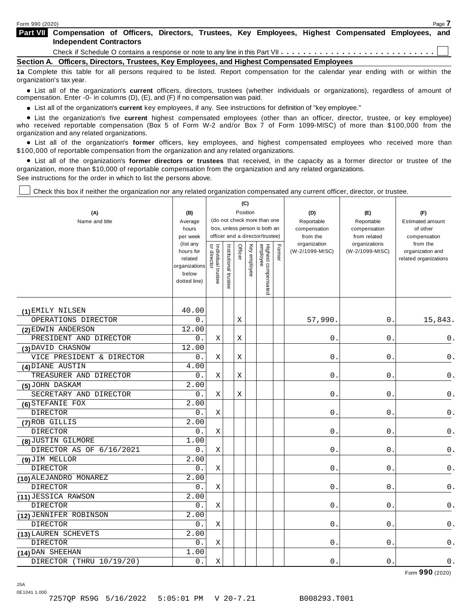**Compensation of Officers, Directors, Trustees, Key Employees, Highest Compensated Employees, and Part VII Independent Contractors** Form 990 (2020)<br> **Part VII** Compensation of Officers, Directors, Trustees, Key Employees, Highest Compensated Employees,<br>
Independent Contractors<br>
Section A. Officers, Directors, Trustees, Key Employees, and Highest Compen

**1a** Complete this table for all persons required to be listed. Report compensation for the calendar year ending with or within the organization's tax year.

anization's lax year.<br>● List all of the organization's **current** officers, directors, trustees (whether individuals or organizations), regardless of amount of<br>nnensation Enter -0- in columns (D) (E) and (E) if no compensa compensation. Enter -0- in columns (D), (E), and (F) if no compensation was paid.

• List all of the organization's current key employees, if any. See instructions for definition of "key employee."

■ List all of the organization's current key employees, if any. See instructions for definition of "key employee."<br>■ List the organization's five current highest compensated employees (other than an officer, director, tru who received reportable compensation (Box 5 of Form W-2 and/or Box 7 of Form 1099-MISC) of more than \$100,000 from the organization and any related organizations.

organization and any related organizations.<br>• List all of the organization's **former** officers, key employees, and highest compensated employees who received more than<br>\$1.00.000 of reportable componention from the erganiza \$100,000 of reportable compensation from the organization and any related organizations.

% List all of the organization's **former directors or trustees** that received, in the capacity as a former director or trustee of the organization, more than \$10,000 of reportable compensation from the organization and any related organizations. See instructions for the order in which to list the persons above.

Check this box if neither the organization nor any related organization compensated any current officer, director, or trustee.

|                           |                                                                |                                                                  |                             | (C)     |              |                                 |        |                          |                               |                                           |
|---------------------------|----------------------------------------------------------------|------------------------------------------------------------------|-----------------------------|---------|--------------|---------------------------------|--------|--------------------------|-------------------------------|-------------------------------------------|
| (A)                       | (B)                                                            |                                                                  |                             |         | Position     |                                 |        | (D)                      | (E)                           | (F)                                       |
| Name and title            | Average                                                        |                                                                  | (do not check more than one |         |              |                                 |        | Reportable               | Reportable                    | <b>Estimated amount</b>                   |
|                           | hours                                                          | box, unless person is both an<br>officer and a director/trustee) |                             |         |              |                                 |        | compensation             | compensation                  | of other                                  |
|                           | per week<br>(list any                                          |                                                                  |                             |         |              |                                 |        | from the<br>organization | from related<br>organizations | compensation<br>from the                  |
|                           | hours for<br>related<br>organizations<br>below<br>dotted line) | Individual trustee<br>or director                                | Institutional trustee       | Officer | Key employee | Highest compensated<br>employee | Former | (W-2/1099-MISC)          | (W-2/1099-MISC)               | organization and<br>related organizations |
| (1) EMILY NILSEN          | 40.00                                                          |                                                                  |                             |         |              |                                 |        |                          |                               |                                           |
| OPERATIONS DIRECTOR       | 0.                                                             |                                                                  |                             | Χ       |              |                                 |        | 57,990                   | 0.                            | 15,843.                                   |
| (2) EDWIN ANDERSON        | 12.00                                                          |                                                                  |                             |         |              |                                 |        |                          |                               |                                           |
| PRESIDENT AND DIRECTOR    | 0.                                                             | X                                                                |                             | Χ       |              |                                 |        | 0                        | 0                             | $\mathsf 0$ .                             |
| (3) DAVID CHASNOW         | 12.00                                                          |                                                                  |                             |         |              |                                 |        |                          |                               |                                           |
| VICE PRESIDENT & DIRECTOR | О.                                                             | Χ                                                                |                             | X       |              |                                 |        | 0                        | 0                             | $\mathsf 0$ .                             |
| (4) DIANE AUSTIN          | 4.00                                                           |                                                                  |                             |         |              |                                 |        |                          |                               |                                           |
| TREASURER AND DIRECTOR    | О.                                                             | Χ                                                                |                             | Χ       |              |                                 |        | 0.                       | $0\,$ .                       | $\mathsf 0$ .                             |
| (5) JOHN DASKAM           | 2.00                                                           |                                                                  |                             |         |              |                                 |        |                          |                               |                                           |
| SECRETARY AND DIRECTOR    | О.                                                             | Χ                                                                |                             | Х       |              |                                 |        | 0                        | 0                             | 0.                                        |
| (6) STEFANIE FOX          | 2.00                                                           |                                                                  |                             |         |              |                                 |        |                          |                               |                                           |
| <b>DIRECTOR</b>           | 0.                                                             | Χ                                                                |                             |         |              |                                 |        | 0                        | 0                             | 0.                                        |
| (7) ROB GILLIS            | 2.00                                                           |                                                                  |                             |         |              |                                 |        |                          |                               |                                           |
| <b>DIRECTOR</b>           | 0.                                                             | Χ                                                                |                             |         |              |                                 |        | 0                        | 0                             | 0.                                        |
| (8) JUSTIN GILMORE        | 1.00                                                           |                                                                  |                             |         |              |                                 |        |                          |                               |                                           |
| DIRECTOR AS OF 6/16/2021  | 0.                                                             | X                                                                |                             |         |              |                                 |        | 0                        | 0                             | $0$ .                                     |
| (9) JIM MELLOR            | 2.00                                                           |                                                                  |                             |         |              |                                 |        |                          |                               |                                           |
| <b>DIRECTOR</b>           | $0$ .                                                          | Χ                                                                |                             |         |              |                                 |        | $0$ .                    | $0$ .                         | $0$ .                                     |
| (10) ALEJANDRO MONAREZ    | 2.00                                                           |                                                                  |                             |         |              |                                 |        |                          |                               |                                           |
| <b>DIRECTOR</b>           | $0$ .                                                          | Χ                                                                |                             |         |              |                                 |        | 0                        | 0.                            | 0.                                        |
| (11) JESSICA RAWSON       | 2.00                                                           |                                                                  |                             |         |              |                                 |        |                          |                               |                                           |
| <b>DIRECTOR</b>           | О.                                                             | Χ                                                                |                             |         |              |                                 |        | 0                        | 0                             | 0.                                        |
| (12) JENNIFER ROBINSON    | 2.00                                                           |                                                                  |                             |         |              |                                 |        |                          |                               |                                           |
| <b>DIRECTOR</b>           | 0.                                                             | Χ                                                                |                             |         |              |                                 |        | 0                        | 0                             | $\mathsf 0$ .                             |
| (13) LAUREN SCHEVETS      | 2.00                                                           |                                                                  |                             |         |              |                                 |        |                          |                               |                                           |
| <b>DIRECTOR</b>           | 0.                                                             | $\mathbf X$                                                      |                             |         |              |                                 |        | 0                        | 0                             | $\mathsf 0$ .                             |
| (14) DAN SHEEHAN          | 1.00                                                           |                                                                  |                             |         |              |                                 |        |                          |                               |                                           |
| DIRECTOR (THRU 10/19/20)  | 0.                                                             | Χ                                                                |                             |         |              |                                 |        | $0$ .                    | $0$ .                         | $\mathsf 0$ .                             |

Form **990** (2020)

JSA 0E1041 1.000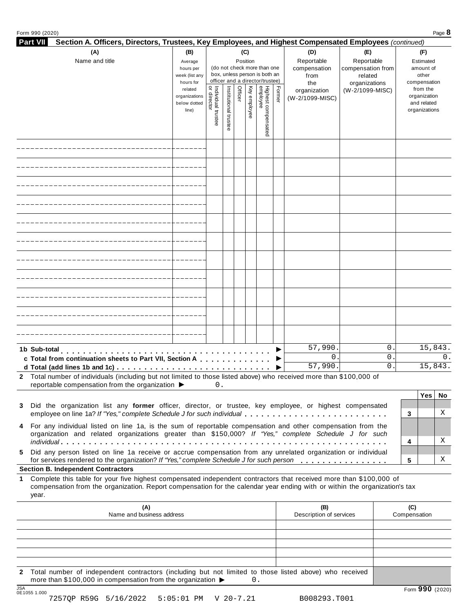|  |  | Form 990 (2020) |
|--|--|-----------------|
|--|--|-----------------|

| Form 990 (2020)<br><b>Part VII</b>                                                                                                                                                                                                                             |                          |                                          |                       |                 |              |                                 |        |                         |                   |       | Page 8                   |
|----------------------------------------------------------------------------------------------------------------------------------------------------------------------------------------------------------------------------------------------------------------|--------------------------|------------------------------------------|-----------------------|-----------------|--------------|---------------------------------|--------|-------------------------|-------------------|-------|--------------------------|
| Section A. Officers, Directors, Trustees, Key Employees, and Highest Compensated Employees (continued)                                                                                                                                                         |                          |                                          |                       |                 |              |                                 |        |                         |                   |       |                          |
| (A)<br>Name and title                                                                                                                                                                                                                                          | (B)                      |                                          |                       | (C)<br>Position |              |                                 |        | (D)<br>Reportable       | (E)<br>Reportable |       | (F)<br>Estimated         |
|                                                                                                                                                                                                                                                                | Average<br>hours per     |                                          |                       |                 |              | (do not check more than one     |        | compensation            | compensation from |       | amount of                |
|                                                                                                                                                                                                                                                                | week (list any           |                                          |                       |                 |              | box, unless person is both an   |        | from                    | related           |       | other                    |
|                                                                                                                                                                                                                                                                | hours for                |                                          |                       |                 |              | officer and a director/trustee) |        | the                     | organizations     |       | compensation             |
|                                                                                                                                                                                                                                                                | related<br>organizations |                                          |                       | Officer         | Key employee |                                 | Former | organization            | (W-2/1099-MISC)   |       | from the<br>organization |
|                                                                                                                                                                                                                                                                | below dotted             |                                          |                       |                 |              |                                 |        | (W-2/1099-MISC)         |                   |       | and related              |
|                                                                                                                                                                                                                                                                | line)                    |                                          |                       |                 |              |                                 |        |                         |                   |       | organizations            |
|                                                                                                                                                                                                                                                                |                          | Individual trustee<br> <br>  or director | Institutional trustee |                 |              |                                 |        |                         |                   |       |                          |
|                                                                                                                                                                                                                                                                |                          |                                          |                       |                 |              | Highest compensated<br>employee |        |                         |                   |       |                          |
|                                                                                                                                                                                                                                                                |                          |                                          |                       |                 |              |                                 |        |                         |                   |       |                          |
|                                                                                                                                                                                                                                                                |                          |                                          |                       |                 |              |                                 |        |                         |                   |       |                          |
|                                                                                                                                                                                                                                                                |                          |                                          |                       |                 |              |                                 |        |                         |                   |       |                          |
|                                                                                                                                                                                                                                                                |                          |                                          |                       |                 |              |                                 |        |                         |                   |       |                          |
|                                                                                                                                                                                                                                                                |                          |                                          |                       |                 |              |                                 |        |                         |                   |       |                          |
|                                                                                                                                                                                                                                                                |                          |                                          |                       |                 |              |                                 |        |                         |                   |       |                          |
|                                                                                                                                                                                                                                                                |                          |                                          |                       |                 |              |                                 |        |                         |                   |       |                          |
|                                                                                                                                                                                                                                                                |                          |                                          |                       |                 |              |                                 |        |                         |                   |       |                          |
|                                                                                                                                                                                                                                                                |                          |                                          |                       |                 |              |                                 |        |                         |                   |       |                          |
|                                                                                                                                                                                                                                                                |                          |                                          |                       |                 |              |                                 |        |                         |                   |       |                          |
|                                                                                                                                                                                                                                                                |                          |                                          |                       |                 |              |                                 |        |                         |                   |       |                          |
|                                                                                                                                                                                                                                                                |                          |                                          |                       |                 |              |                                 |        |                         |                   |       |                          |
|                                                                                                                                                                                                                                                                |                          |                                          |                       |                 |              |                                 |        |                         |                   |       |                          |
|                                                                                                                                                                                                                                                                |                          |                                          |                       |                 |              |                                 |        |                         |                   |       |                          |
|                                                                                                                                                                                                                                                                |                          |                                          |                       |                 |              |                                 |        |                         |                   |       |                          |
|                                                                                                                                                                                                                                                                |                          |                                          |                       |                 |              |                                 |        |                         |                   |       |                          |
| 1b Sub-total                                                                                                                                                                                                                                                   |                          |                                          |                       |                 |              |                                 |        | 57,990                  |                   | 0.    | 15,843.                  |
| c Total from continuation sheets to Part VII, Section A                                                                                                                                                                                                        |                          |                                          |                       |                 |              |                                 |        | 0                       |                   | 0.    | $\Omega$ .               |
| d Total (add lines 1b and 1c) $\cdots \cdots \cdots \cdots \cdots \cdots \cdots \cdots \cdots \cdots \cdots$                                                                                                                                                   |                          |                                          |                       |                 |              |                                 |        | 57,990.                 |                   | $0$ . | 15,843.                  |
| 2 Total number of individuals (including but not limited to those listed above) who received more than \$100,000 of                                                                                                                                            |                          |                                          |                       |                 |              |                                 |        |                         |                   |       |                          |
| reportable compensation from the organization $\blacktriangleright$                                                                                                                                                                                            |                          | 0.                                       |                       |                 |              |                                 |        |                         |                   |       |                          |
|                                                                                                                                                                                                                                                                |                          |                                          |                       |                 |              |                                 |        |                         |                   |       | Yes <br>No               |
| Did the organization list any former officer, director, or trustee, key employee, or highest compensated<br>3                                                                                                                                                  |                          |                                          |                       |                 |              |                                 |        |                         |                   |       |                          |
| employee on line 1a? If "Yes," complete Schedule J for such individual                                                                                                                                                                                         |                          |                                          |                       |                 |              |                                 |        |                         |                   |       | Χ<br>3                   |
| For any individual listed on line 1a, is the sum of reportable compensation and other compensation from the<br>4                                                                                                                                               |                          |                                          |                       |                 |              |                                 |        |                         |                   |       |                          |
| organization and related organizations greater than \$150,000? If "Yes," complete Schedule J for such                                                                                                                                                          |                          |                                          |                       |                 |              |                                 |        |                         |                   |       | Χ<br>4                   |
| Did any person listed on line 1a receive or accrue compensation from any unrelated organization or individual<br>5.                                                                                                                                            |                          |                                          |                       |                 |              |                                 |        |                         |                   |       |                          |
| for services rendered to the organization? If "Yes," complete Schedule J for such person                                                                                                                                                                       |                          |                                          |                       |                 |              |                                 |        |                         |                   |       | Χ<br>5                   |
| <b>Section B. Independent Contractors</b>                                                                                                                                                                                                                      |                          |                                          |                       |                 |              |                                 |        |                         |                   |       |                          |
| Complete this table for your five highest compensated independent contractors that received more than \$100,000 of<br>1<br>compensation from the organization. Report compensation for the calendar year ending with or within the organization's tax<br>year. |                          |                                          |                       |                 |              |                                 |        |                         |                   |       |                          |
| (A)                                                                                                                                                                                                                                                            |                          |                                          |                       |                 |              |                                 |        | (B)                     |                   |       | (C)                      |
| Name and business address                                                                                                                                                                                                                                      |                          |                                          |                       |                 |              |                                 |        | Description of services |                   |       | Compensation             |
|                                                                                                                                                                                                                                                                |                          |                                          |                       |                 |              |                                 |        |                         |                   |       |                          |
|                                                                                                                                                                                                                                                                |                          |                                          |                       |                 |              |                                 |        |                         |                   |       |                          |
|                                                                                                                                                                                                                                                                |                          |                                          |                       |                 |              |                                 |        |                         |                   |       |                          |

**2** Total number of independent contractors (including but not limited to those listed above) who received more than \$100,000 in compensation from the organization  $\triangleright$  0.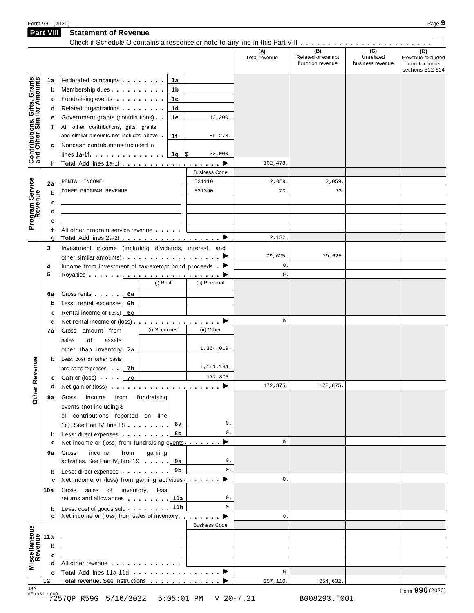| Form 990 (2020) | Page 9 |
|-----------------|--------|
|                 |        |

| Part VIII                                                      | Form 990 (2020)<br><b>Statement of Revenue</b>                                                                                                                                                                                       |                      |                      |                                              |                                                   | Page 9                                                        |
|----------------------------------------------------------------|--------------------------------------------------------------------------------------------------------------------------------------------------------------------------------------------------------------------------------------|----------------------|----------------------|----------------------------------------------|---------------------------------------------------|---------------------------------------------------------------|
|                                                                | Check if Schedule O contains a response or note to any line in this Part VIII                                                                                                                                                        |                      |                      |                                              |                                                   |                                                               |
|                                                                |                                                                                                                                                                                                                                      |                      | (A)<br>Total revenue | (B)<br>Related or exempt<br>function revenue | $\overline{(c)}$<br>Unrelated<br>business revenue | (D)<br>Revenue excluded<br>from tax under<br>sections 512-514 |
| 1a                                                             | Federated campaigns <b>Federated</b><br>1a                                                                                                                                                                                           |                      |                      |                                              |                                                   |                                                               |
| Contributions, Gifts, Grants<br>and Other Similar Amounts<br>b | Membership dues <b>All Accords</b> Membership dues<br>1b                                                                                                                                                                             |                      |                      |                                              |                                                   |                                                               |
| с                                                              | Fundraising events <b>Exercises</b><br>1c                                                                                                                                                                                            |                      |                      |                                              |                                                   |                                                               |
| d                                                              | Related organizations <b>contains</b> and <b>Related</b> organizations<br>1d                                                                                                                                                         |                      |                      |                                              |                                                   |                                                               |
| е                                                              | Government grants (contributions)<br>1e                                                                                                                                                                                              | 13,200.              |                      |                                              |                                                   |                                                               |
| f                                                              | All other contributions, gifts, grants,                                                                                                                                                                                              |                      |                      |                                              |                                                   |                                                               |
|                                                                | and similar amounts not included above<br>1f                                                                                                                                                                                         | 89,278.              |                      |                                              |                                                   |                                                               |
| g                                                              | Noncash contributions included in<br>$1g$ \$<br>$lines 1a-1f$ $\qquad \qquad$ $\qquad$ $\qquad$                                                                                                                                      | 30,000.              |                      |                                              |                                                   |                                                               |
| h.                                                             |                                                                                                                                                                                                                                      |                      | 102,478              |                                              |                                                   |                                                               |
|                                                                |                                                                                                                                                                                                                                      | <b>Business Code</b> |                      |                                              |                                                   |                                                               |
| 2a                                                             | RENTAL INCOME                                                                                                                                                                                                                        | 531110               | 2,059                | 2,059                                        |                                                   |                                                               |
| Program Service<br>$\mathbf b$                                 | OTHER PROGRAM REVENUE                                                                                                                                                                                                                | 531390               | 73.                  | 73.                                          |                                                   |                                                               |
| c                                                              |                                                                                                                                                                                                                                      |                      |                      |                                              |                                                   |                                                               |
| d                                                              |                                                                                                                                                                                                                                      |                      |                      |                                              |                                                   |                                                               |
| е                                                              |                                                                                                                                                                                                                                      |                      |                      |                                              |                                                   |                                                               |
| f                                                              | All other program service revenue                                                                                                                                                                                                    |                      |                      |                                              |                                                   |                                                               |
| g                                                              |                                                                                                                                                                                                                                      |                      | 2,132.               |                                              |                                                   |                                                               |
| 3                                                              | Investment income (including dividends, interest, and                                                                                                                                                                                |                      |                      |                                              |                                                   |                                                               |
|                                                                |                                                                                                                                                                                                                                      |                      | 79,625.<br>0.        | 79,625                                       |                                                   |                                                               |
| 4<br>5                                                         | Income from investment of tax-exempt bond proceeds $\blacktriangleright$                                                                                                                                                             |                      | $\mathbf{0}$ .       |                                              |                                                   |                                                               |
|                                                                | (i) Real                                                                                                                                                                                                                             | (ii) Personal        |                      |                                              |                                                   |                                                               |
| 6a                                                             | Gross rents <b>Contains the Container</b><br>6a                                                                                                                                                                                      |                      |                      |                                              |                                                   |                                                               |
| b                                                              | Less: rental expenses<br>6b                                                                                                                                                                                                          |                      |                      |                                              |                                                   |                                                               |
| c                                                              | Rental income or (loss)<br>6c                                                                                                                                                                                                        |                      |                      |                                              |                                                   |                                                               |
| d                                                              | Net rental income or (loss) ▶                                                                                                                                                                                                        |                      | 0.                   |                                              |                                                   |                                                               |
| 7a                                                             | (i) Securities<br>Gross amount from                                                                                                                                                                                                  | (ii) Other           |                      |                                              |                                                   |                                                               |
|                                                                | sales<br>of<br>assets                                                                                                                                                                                                                |                      |                      |                                              |                                                   |                                                               |
|                                                                | other than inventory<br>7a                                                                                                                                                                                                           | 1,364,019.           |                      |                                              |                                                   |                                                               |
| b                                                              | Less: cost or other basis                                                                                                                                                                                                            |                      |                      |                                              |                                                   |                                                               |
|                                                                | and sales expenses<br>7b                                                                                                                                                                                                             | 1,191,144.           |                      |                                              |                                                   |                                                               |
| c                                                              | 7с<br>Gain or (loss)                                                                                                                                                                                                                 | 172,875.             | 172,875.             | 172,875.                                     |                                                   |                                                               |
| Other Revenue<br>d                                             | Net gain or (loss) $\cdots$ $\cdots$ $\cdots$ $\cdots$ $\cdots$ $\cdots$ $\cdots$                                                                                                                                                    |                      |                      |                                              |                                                   |                                                               |
| 8а                                                             | Gross<br>income from fundraising                                                                                                                                                                                                     |                      |                      |                                              |                                                   |                                                               |
|                                                                | events (not including \$<br>of contributions reported on line                                                                                                                                                                        |                      |                      |                                              |                                                   |                                                               |
|                                                                | 1c). See Part IV, line 18<br>8а                                                                                                                                                                                                      | 0.                   |                      |                                              |                                                   |                                                               |
| b                                                              | 8b<br>Less: direct expenses extending the state of the state of the state of the state of the state of the state of the state of the state of the state of the state of the state of the state of the state of the state of the stat | 0.                   |                      |                                              |                                                   |                                                               |
| c                                                              | Net income or (loss) from fundraising events ▶                                                                                                                                                                                       |                      | $\mathbf{0}$ .       |                                              |                                                   |                                                               |
| 9а                                                             | Gross<br>income<br>from<br>gaming                                                                                                                                                                                                    |                      |                      |                                              |                                                   |                                                               |
|                                                                | activities. See Part IV, line 19<br>9а                                                                                                                                                                                               | 0.                   |                      |                                              |                                                   |                                                               |
| b                                                              | 9b<br>Less: direct expenses                                                                                                                                                                                                          | 0.                   |                      |                                              |                                                   |                                                               |
| c                                                              | Net income or (loss) from gaming activities                                                                                                                                                                                          |                      | 0.                   |                                              |                                                   |                                                               |
| 10a                                                            | Gross<br>sales of inventory,<br>less                                                                                                                                                                                                 |                      |                      |                                              |                                                   |                                                               |
|                                                                | returns and allowances<br>10a<br>10 <sub>b</sub>                                                                                                                                                                                     | 0.<br>$\mathbf{0}$ . |                      |                                              |                                                   |                                                               |
| b<br>c                                                         | Less: cost of goods sold<br>Net income or (loss) from sales of inventory extending the set of the sales of inventory                                                                                                                 |                      | 0.                   |                                              |                                                   |                                                               |
|                                                                |                                                                                                                                                                                                                                      | <b>Business Code</b> |                      |                                              |                                                   |                                                               |
| Miscellaneous<br>Revenue<br>11a                                |                                                                                                                                                                                                                                      |                      |                      |                                              |                                                   |                                                               |
| b                                                              | <u> 1989 - Johann Stein, marwolaethau a bhann an t-Albann an t-Albann an t-Albann an t-Albann an t-Albann an t-Alb</u>                                                                                                               |                      |                      |                                              |                                                   |                                                               |
| c                                                              |                                                                                                                                                                                                                                      |                      |                      |                                              |                                                   |                                                               |
| d                                                              | All other revenue experience and the state of the state of the state of the state of the state of the state of                                                                                                                       |                      |                      |                                              |                                                   |                                                               |
| е                                                              |                                                                                                                                                                                                                                      |                      | $0$ .                |                                              |                                                   |                                                               |
| 12                                                             |                                                                                                                                                                                                                                      |                      | 357,110.             | 254,632.                                     |                                                   |                                                               |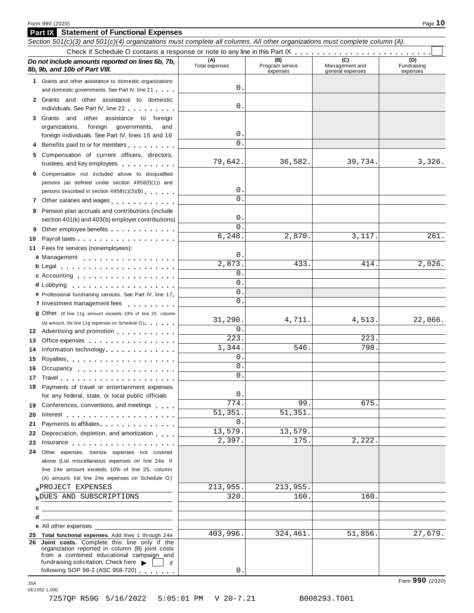| Form 990 (2020)<br><b>Part IX</b> Statement of Functional Expenses                                                                                                                                                                                                                     |                       |                                    |                                           | Page 10                        |
|----------------------------------------------------------------------------------------------------------------------------------------------------------------------------------------------------------------------------------------------------------------------------------------|-----------------------|------------------------------------|-------------------------------------------|--------------------------------|
| Section 501(c)(3) and 501(c)(4) organizations must complete all columns. All other organizations must complete column (A).                                                                                                                                                             |                       |                                    |                                           |                                |
|                                                                                                                                                                                                                                                                                        |                       |                                    |                                           |                                |
| Do not include amounts reported on lines 6b, 7b,<br>8b, 9b, and 10b of Part VIII.                                                                                                                                                                                                      | (A)<br>Total expenses | (B)<br>Program service<br>expenses | (C)<br>Management and<br>general expenses | (D)<br>Fundraising<br>expenses |
| 1 Grants and other assistance to domestic organizations                                                                                                                                                                                                                                |                       |                                    |                                           |                                |
| and domestic governments. See Part IV, line 21                                                                                                                                                                                                                                         | 0                     |                                    |                                           |                                |
| 2 Grants and other assistance to domestic<br>individuals. See Part IV, line 22                                                                                                                                                                                                         | 0                     |                                    |                                           |                                |
| Grants and other assistance to foreign<br>3                                                                                                                                                                                                                                            |                       |                                    |                                           |                                |
| foreign governments,<br>organizations,<br>and                                                                                                                                                                                                                                          | 0                     |                                    |                                           |                                |
| foreign individuals. See Part IV, lines 15 and 16<br>4                                                                                                                                                                                                                                 | $\Omega$              |                                    |                                           |                                |
| Benefits paid to or for members<br>Compensation of current officers, directors,<br>5                                                                                                                                                                                                   |                       |                                    |                                           |                                |
| trustees, and key employees                                                                                                                                                                                                                                                            | 79,642.               | 36,582.                            | 39,734.                                   | 3,326.                         |
| Compensation not included above to disqualified<br>6                                                                                                                                                                                                                                   |                       |                                    |                                           |                                |
| persons (as defined under section 4958(f)(1)) and                                                                                                                                                                                                                                      |                       |                                    |                                           |                                |
| persons described in section 4958(c)(3)(B)                                                                                                                                                                                                                                             | 0                     |                                    |                                           |                                |
| 7 Other salaries and wages                                                                                                                                                                                                                                                             | $\Omega$              |                                    |                                           |                                |
| 8 Pension plan accruals and contributions (include                                                                                                                                                                                                                                     |                       |                                    |                                           |                                |
| section 401(k) and 403(b) employer contributions)                                                                                                                                                                                                                                      | 0                     |                                    |                                           |                                |
| Other employee benefits<br>9                                                                                                                                                                                                                                                           | $\Omega$              |                                    |                                           |                                |
| 10                                                                                                                                                                                                                                                                                     | 6,248.                | 2,870.                             | 3,117.                                    | 261.                           |
| Fees for services (nonemployees):<br>11                                                                                                                                                                                                                                                | 0                     |                                    |                                           |                                |
| a Management                                                                                                                                                                                                                                                                           | 2,873                 | 433.                               | 414                                       | 2,026.                         |
| b Legal entering the service of the service of the service of the service of the service of the service of the                                                                                                                                                                         | 0                     |                                    |                                           |                                |
| c Accounting                                                                                                                                                                                                                                                                           | $\mathbf 0$           |                                    |                                           |                                |
| e Professional fundraising services. See Part IV, line 17                                                                                                                                                                                                                              | $\mathbf 0$           |                                    |                                           |                                |
| f Investment management fees                                                                                                                                                                                                                                                           | $\Omega$              |                                    |                                           |                                |
| <b>g</b> Other. (If line 11g amount exceeds 10% of line 25, column                                                                                                                                                                                                                     |                       |                                    |                                           |                                |
| (A) amount, list line 11g expenses on Schedule O.)                                                                                                                                                                                                                                     | 31,290.               | 4,711.                             | 4,513.                                    | 22,066.                        |
| 12 Advertising and promotion                                                                                                                                                                                                                                                           | 0                     |                                    |                                           |                                |
| Office expenses<br>13                                                                                                                                                                                                                                                                  | 223                   |                                    | 223                                       |                                |
| Information technology.<br>14                                                                                                                                                                                                                                                          | 1,344.                | 546.                               | 798.                                      |                                |
| 15                                                                                                                                                                                                                                                                                     | $\Omega$              |                                    |                                           |                                |
| Occupancy<br>16                                                                                                                                                                                                                                                                        | $\mathbf 0$           |                                    |                                           |                                |
| 17                                                                                                                                                                                                                                                                                     | $\Omega$              |                                    |                                           |                                |
| Payments of travel or entertainment expenses<br>18                                                                                                                                                                                                                                     |                       |                                    |                                           |                                |
| for any federal, state, or local public officials                                                                                                                                                                                                                                      | 0<br>774.             | 99.                                | 675.                                      |                                |
| Conferences, conventions, and meetings<br>19                                                                                                                                                                                                                                           | 51,351.               | 51,351.                            |                                           |                                |
| 20                                                                                                                                                                                                                                                                                     | $\mathbf 0$           |                                    |                                           |                                |
| Payments to affiliates entertainment of the state of the state of the state of the state of the state of the state of the state of the state of the state of the state of the state of the state of the state of the state of<br>21<br>Depreciation, depletion, and amortization<br>22 | 13,579.               | 13,579.                            |                                           |                                |
| 23                                                                                                                                                                                                                                                                                     | 2,397.                | 175.                               | 2,222.                                    |                                |
| Other expenses. Itemize expenses not covered<br>24                                                                                                                                                                                                                                     |                       |                                    |                                           |                                |
| above (List miscellaneous expenses on line 24e. If                                                                                                                                                                                                                                     |                       |                                    |                                           |                                |
| line 24e amount exceeds 10% of line 25, column                                                                                                                                                                                                                                         |                       |                                    |                                           |                                |
| (A) amount, list line 24e expenses on Schedule O.)                                                                                                                                                                                                                                     |                       |                                    |                                           |                                |
| a PROJECT EXPENSES                                                                                                                                                                                                                                                                     | 213,955.              | 213,955.                           |                                           |                                |
| <b>b</b> DUES AND SUBSCRIPTIONS                                                                                                                                                                                                                                                        | 320                   | 160.                               | 160                                       |                                |
| <u>and the contract of the contract of the contract of the contract of the contract of the contract of the contract of the contract of the contract of the contract of the contract of the contract of the contract of the contr</u><br>С                                              |                       |                                    |                                           |                                |
| d<br><u> 1989 - Johann Barbara, marka a shekara tsa 1989 - An tsa 1989 - An tsa 1989 - An tsa 1989 - An tsa 1989 - An</u>                                                                                                                                                              |                       |                                    |                                           |                                |
| e All other expenses                                                                                                                                                                                                                                                                   |                       |                                    |                                           |                                |
| 25 Total functional expenses. Add lines 1 through 24e<br>26 Joint costs. Complete this line only if the                                                                                                                                                                                | 403,996.              | 324,461.                           | 51,856.                                   | 27,679.                        |
| organization reported in column (B) joint costs                                                                                                                                                                                                                                        |                       |                                    |                                           |                                |
| from a combined educational campaign and<br>fundraising solicitation. Check here<br>if                                                                                                                                                                                                 |                       |                                    |                                           |                                |
| following SOP 98-2 (ASC 958-720)                                                                                                                                                                                                                                                       | 0                     |                                    |                                           |                                |

0E1052 1.000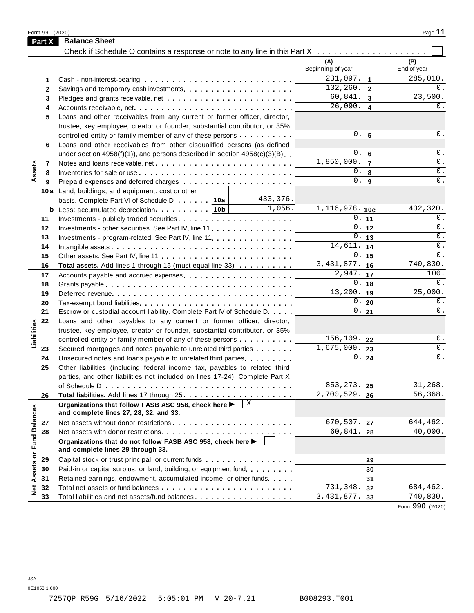|                             | Form 990 (2020) |                                                                                                  |                          |                         | Page 11             |
|-----------------------------|-----------------|--------------------------------------------------------------------------------------------------|--------------------------|-------------------------|---------------------|
|                             | Part X          | <b>Balance Sheet</b>                                                                             |                          |                         |                     |
|                             |                 | Check if Schedule O contains a response or note to any line in this Part X                       |                          |                         |                     |
|                             |                 |                                                                                                  | (A)<br>Beginning of year |                         | (B)<br>End of year  |
|                             | 1               |                                                                                                  | 231,097.                 | $\mathbf{1}$            | 285,010.            |
|                             | $\mathbf{2}$    |                                                                                                  | 132,260.                 | $\overline{2}$          | 0.                  |
|                             | 3               |                                                                                                  | 60,841                   | 3                       | 23,500.             |
|                             | 4               |                                                                                                  | 26,090.                  | $\overline{\mathbf{4}}$ | $0$ .               |
|                             | 5               | Loans and other receivables from any current or former officer, director,                        |                          |                         |                     |
|                             |                 | trustee, key employee, creator or founder, substantial contributor, or 35%                       |                          |                         |                     |
|                             |                 | controlled entity or family member of any of these persons                                       | $\mathsf{0}$ .           | 5                       | $0$ .               |
|                             | 6               | Loans and other receivables from other disqualified persons (as defined                          |                          |                         |                     |
|                             |                 | under section $4958(f)(1)$ , and persons described in section $4958(c)(3)(B)$                    | 0.                       | 6                       | 0.                  |
|                             | 7               |                                                                                                  | 1,850,000.               | $\overline{7}$          | $0$ .               |
| Assets                      | 8               |                                                                                                  | 0                        | 8                       | $\boldsymbol{0}$ .  |
|                             | 9               |                                                                                                  | 0                        | 9                       | $0$ .               |
|                             |                 | 10a Land, buildings, and equipment: cost or other                                                |                          |                         |                     |
|                             |                 | 433,376.<br>basis. Complete Part VI of Schedule D 10a                                            |                          |                         |                     |
|                             |                 | 1,056.                                                                                           | 1,116,978.               | 10c                     | 432,320.            |
|                             | 11              |                                                                                                  | 0<br>$\mathsf{O}$        | 11                      | 0.<br>0.            |
|                             | 12              | Investments - other securities. See Part IV, line 11                                             | 0.                       | 12                      | 0.                  |
|                             | 13              | Investments - program-related. See Part IV, line 11                                              | 14,611                   | 13<br>14                | 0.                  |
|                             | 14<br>15        |                                                                                                  | 0                        | 15                      | 0.                  |
|                             | 16              | Total assets. Add lines 1 through 15 (must equal line 33)                                        | 3, 431, 877.             | 16                      | 740,830.            |
|                             | 17              |                                                                                                  | 2,947.                   | 17                      | 100.                |
|                             | 18              |                                                                                                  | 0                        | 18                      | 0.                  |
|                             | 19              |                                                                                                  | 13,200                   | 19                      | 25,000.             |
|                             | 20              |                                                                                                  | 0                        | 20                      | $0$ .               |
|                             | 21              | Escrow or custodial account liability. Complete Part IV of Schedule D.                           | 0                        | 21                      | $0$ .               |
|                             | 22              | Loans and other payables to any current or former officer, director,                             |                          |                         |                     |
| abilities                   |                 | trustee, key employee, creator or founder, substantial contributor, or 35%                       |                          |                         |                     |
|                             |                 | controlled entity or family member of any of these persons                                       | 156,109.                 | 22                      | 0.                  |
| ⊐                           | 23              | Secured mortgages and notes payable to unrelated third parties                                   | 1,675,000.               | 23                      | 0.                  |
|                             | 24              | Unsecured notes and loans payable to unrelated third parties.                                    | 0.                       | 24                      | $0$ .               |
|                             | 25              | Other liabilities (including federal income tax, payables to related third                       |                          |                         |                     |
|                             |                 | parties, and other liabilities not included on lines 17-24). Complete Part X                     |                          |                         |                     |
|                             |                 |                                                                                                  | 853,273<br>2,700,529.    | 25                      | 31,268.<br>56, 368. |
|                             | 26              |                                                                                                  |                          | 26                      |                     |
|                             |                 | Organizations that follow FASB ASC 958, check here ▶<br>and complete lines 27, 28, 32, and 33.   |                          |                         |                     |
|                             | 27              |                                                                                                  | 670,507.                 | 27                      | 644,462.            |
|                             | 28              |                                                                                                  | 60,841                   | 28                      | 40,000.             |
| Net Assets or Fund Balances |                 | Organizations that do not follow FASB ASC 958, check here ▶<br>and complete lines 29 through 33. |                          |                         |                     |
|                             | 29              | Capital stock or trust principal, or current funds <b>Capital Stock of Taylor</b>                |                          | 29                      |                     |
|                             | 30              | Paid-in or capital surplus, or land, building, or equipment fund.                                |                          | 30                      |                     |
|                             | 31              | Retained earnings, endowment, accumulated income, or other funds                                 |                          | 31                      |                     |
|                             | 32              |                                                                                                  | 731,348                  | 32                      | 684,462.            |
|                             | 33              | Total liabilities and net assets/fund balances                                                   | 3, 431, 877.             | 33                      | 740,830.            |

JSA 0E1053 1.000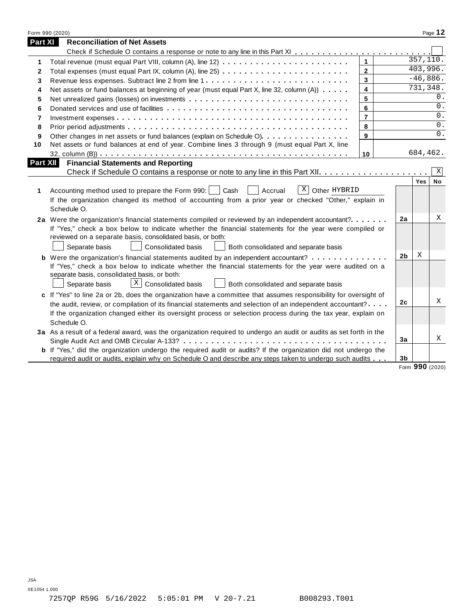|                | Form 990 (2020)                                                                                                                                                                                                                                      |                         |                |            | Page 12        |
|----------------|------------------------------------------------------------------------------------------------------------------------------------------------------------------------------------------------------------------------------------------------------|-------------------------|----------------|------------|----------------|
| Part XI        | <b>Reconciliation of Net Assets</b>                                                                                                                                                                                                                  |                         |                |            |                |
|                |                                                                                                                                                                                                                                                      |                         |                |            |                |
| 1              | Total revenue (must equal Part VIII, column (A), line 12)                                                                                                                                                                                            | $\mathbf{1}$            |                | 357,110.   |                |
| $\mathbf{2}$   |                                                                                                                                                                                                                                                      | $\overline{2}$          |                | 403,996.   |                |
| 3              |                                                                                                                                                                                                                                                      | 3                       |                | $-46,886.$ |                |
| 4              | Net assets or fund balances at beginning of year (must equal Part X, line 32, column (A))                                                                                                                                                            | $\overline{\mathbf{4}}$ |                | 731,348.   |                |
| 5              |                                                                                                                                                                                                                                                      | 5                       |                |            | 0.             |
| 6              |                                                                                                                                                                                                                                                      | 6                       |                |            | 0.             |
| $\overline{7}$ |                                                                                                                                                                                                                                                      | $\overline{7}$          |                |            | 0.             |
| 8              |                                                                                                                                                                                                                                                      | 8                       |                |            | 0.             |
| 9              | Other changes in net assets or fund balances (explain on Schedule O).                                                                                                                                                                                | 9                       |                |            | 0.             |
| 10             | Net assets or fund balances at end of year. Combine lines 3 through 9 (must equal Part X, line                                                                                                                                                       |                         |                |            |                |
|                |                                                                                                                                                                                                                                                      | 10                      |                | 684,462.   |                |
| 1              | X<br>Other HYBRID<br>Accrual<br>Accounting method used to prepare the Form 990:<br>Cash<br>If the organization changed its method of accounting from a prior year or checked "Other," explain in                                                     |                         |                | Yes        | Χ<br><b>No</b> |
|                | Schedule O.                                                                                                                                                                                                                                          |                         |                |            |                |
|                | 2a Were the organization's financial statements compiled or reviewed by an independent accountant?                                                                                                                                                   |                         | 2a             |            | Χ              |
|                | If "Yes," check a box below to indicate whether the financial statements for the year were compiled or<br>reviewed on a separate basis, consolidated basis, or both:<br>Separate basis<br>Consolidated basis<br>Both consolidated and separate basis |                         |                |            |                |
|                | <b>b</b> Were the organization's financial statements audited by an independent accountant?                                                                                                                                                          |                         | 2 <sub>b</sub> | X          |                |
|                | If "Yes," check a box below to indicate whether the financial statements for the year were audited on a<br>separate basis, consolidated basis, or both:<br>$X \bigcup$ Consolidated basis<br>Both consolidated and separate basis<br>Separate basis  |                         |                |            |                |
|                | c If "Yes" to line 2a or 2b, does the organization have a committee that assumes responsibility for oversight of                                                                                                                                     |                         |                |            |                |
|                | the audit, review, or compilation of its financial statements and selection of an independent accountant?                                                                                                                                            |                         | 2 <sub>c</sub> |            | Χ              |
|                | If the organization changed either its oversight process or selection process during the tax year, explain on<br>Schedule O.                                                                                                                         |                         |                |            |                |
|                | 3a As a result of a federal award, was the organization required to undergo an audit or audits as set forth in the                                                                                                                                   |                         |                |            |                |
|                |                                                                                                                                                                                                                                                      |                         | 3a             |            | X              |
|                | <b>b</b> If "Yes," did the organization undergo the required audit or audits? If the organization did not undergo the                                                                                                                                |                         |                |            |                |
|                | required audit or audits, explain why on Schedule O and describe any steps taken to undergo such audits                                                                                                                                              |                         | 3 <sub>b</sub> |            |                |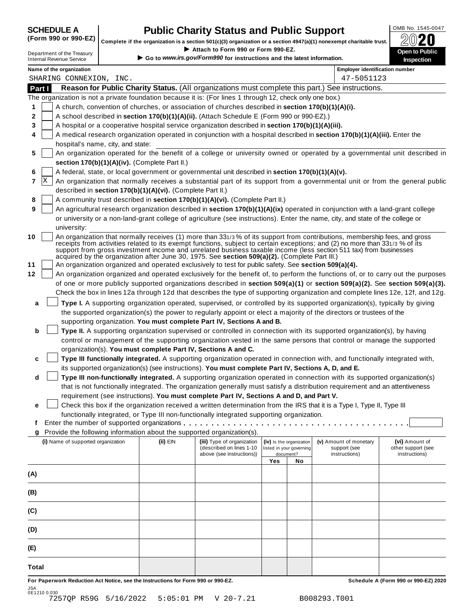## **OCHEDULE A Public Charity Status and Public Support** ME AND 1545-0047

(Form 990 or 990-EZ)  $\begin{bmatrix} 1 & 0 & 0 \\ 0 & 1 & 0 \end{bmatrix}$  Complete if the organization is a section 501(c)(3) organization  $\mathbf{S}$  and  $\mathbf{S}$  are section  $\mathbf{S}$  or a section  $\mathbf{S}$  or  $\mathbf{S}$  are section  $\mathbf{S}$  or  $\$ 

|                                 |                                    |                                   |                                                            |                                                                                                              |                          |                          | Complete if the organization is a section 501(c)(3) organization or a section 4947(a)(1) nonexempt charitable trust.                                                                                                                                                                                                                                                           | ZWŁU                                                                                                                             |
|---------------------------------|------------------------------------|-----------------------------------|------------------------------------------------------------|--------------------------------------------------------------------------------------------------------------|--------------------------|--------------------------|--------------------------------------------------------------------------------------------------------------------------------------------------------------------------------------------------------------------------------------------------------------------------------------------------------------------------------------------------------------------------------|----------------------------------------------------------------------------------------------------------------------------------|
| <b>Internal Revenue Service</b> | Department of the Treasury         |                                   |                                                            | Attach to Form 990 or Form 990-EZ.<br>Go to www.irs.gov/Form990 for instructions and the latest information. |                          |                          |                                                                                                                                                                                                                                                                                                                                                                                | Open to Public<br><b>Inspection</b>                                                                                              |
| Name of the organization        |                                    |                                   |                                                            |                                                                                                              |                          |                          | <b>Employer identification number</b>                                                                                                                                                                                                                                                                                                                                          |                                                                                                                                  |
|                                 | SHARING CONNEXION, INC.            |                                   |                                                            |                                                                                                              |                          |                          | 47-5051123                                                                                                                                                                                                                                                                                                                                                                     |                                                                                                                                  |
| Part I                          |                                    |                                   |                                                            |                                                                                                              |                          |                          | Reason for Public Charity Status. (All organizations must complete this part.) See instructions.                                                                                                                                                                                                                                                                               |                                                                                                                                  |
|                                 |                                    |                                   |                                                            | The organization is not a private foundation because it is: (For lines 1 through 12, check only one box.)    |                          |                          |                                                                                                                                                                                                                                                                                                                                                                                |                                                                                                                                  |
| 1                               |                                    |                                   |                                                            | A church, convention of churches, or association of churches described in section 170(b)(1)(A)(i).           |                          |                          |                                                                                                                                                                                                                                                                                                                                                                                |                                                                                                                                  |
| 2                               |                                    |                                   |                                                            | A school described in section 170(b)(1)(A)(ii). (Attach Schedule E (Form 990 or 990-EZ).)                    |                          |                          |                                                                                                                                                                                                                                                                                                                                                                                |                                                                                                                                  |
| 3                               |                                    |                                   |                                                            | A hospital or a cooperative hospital service organization described in section 170(b)(1)(A)(iii).            |                          |                          |                                                                                                                                                                                                                                                                                                                                                                                |                                                                                                                                  |
| 4                               |                                    |                                   |                                                            |                                                                                                              |                          |                          | A medical research organization operated in conjunction with a hospital described in section 170(b)(1)(A)(iii). Enter the                                                                                                                                                                                                                                                      |                                                                                                                                  |
|                                 |                                    | hospital's name, city, and state: |                                                            |                                                                                                              |                          |                          |                                                                                                                                                                                                                                                                                                                                                                                |                                                                                                                                  |
| 5                               |                                    |                                   |                                                            |                                                                                                              |                          |                          |                                                                                                                                                                                                                                                                                                                                                                                | An organization operated for the benefit of a college or university owned or operated by a governmental unit described in        |
|                                 |                                    |                                   | section 170(b)(1)(A)(iv). (Complete Part II.)              |                                                                                                              |                          |                          |                                                                                                                                                                                                                                                                                                                                                                                |                                                                                                                                  |
| 6                               |                                    |                                   |                                                            | A federal, state, or local government or governmental unit described in section 170(b)(1)(A)(v).             |                          |                          |                                                                                                                                                                                                                                                                                                                                                                                |                                                                                                                                  |
| X<br>7                          |                                    |                                   |                                                            |                                                                                                              |                          |                          |                                                                                                                                                                                                                                                                                                                                                                                | An organization that normally receives a substantial part of its support from a governmental unit or from the general public     |
| 8                               |                                    |                                   | described in section 170(b)(1)(A)(vi). (Complete Part II.) | A community trust described in section 170(b)(1)(A)(vi). (Complete Part II.)                                 |                          |                          |                                                                                                                                                                                                                                                                                                                                                                                |                                                                                                                                  |
| 9                               |                                    |                                   |                                                            |                                                                                                              |                          |                          | An agricultural research organization described in section 170(b)(1)(A)(ix) operated in conjunction with a land-grant college                                                                                                                                                                                                                                                  |                                                                                                                                  |
|                                 |                                    |                                   |                                                            |                                                                                                              |                          |                          | or university or a non-land-grant college of agriculture (see instructions). Enter the name, city, and state of the college or                                                                                                                                                                                                                                                 |                                                                                                                                  |
|                                 | university:                        |                                   |                                                            |                                                                                                              |                          |                          |                                                                                                                                                                                                                                                                                                                                                                                |                                                                                                                                  |
| 10                              |                                    |                                   |                                                            | acquired by the organization after June 30, 1975. See section 509(a)(2). (Complete Part III.)                |                          |                          | An organization that normally receives (1) more than 331/3% of its support from contributions, membership fees, and gross<br>receipts from activities related to its exempt functions, subject to certain exceptions; and (2) no more than 331/3 % of its<br>support from gross investment income and unrelated business taxable income (less section 511 tax) from businesses |                                                                                                                                  |
| 11                              |                                    |                                   |                                                            | An organization organized and operated exclusively to test for public safety. See section 509(a)(4).         |                          |                          |                                                                                                                                                                                                                                                                                                                                                                                |                                                                                                                                  |
| 12                              |                                    |                                   |                                                            |                                                                                                              |                          |                          |                                                                                                                                                                                                                                                                                                                                                                                | An organization organized and operated exclusively for the benefit of, to perform the functions of, or to carry out the purposes |
|                                 |                                    |                                   |                                                            |                                                                                                              |                          |                          |                                                                                                                                                                                                                                                                                                                                                                                | of one or more publicly supported organizations described in section 509(a)(1) or section 509(a)(2). See section 509(a)(3).      |
|                                 |                                    |                                   |                                                            |                                                                                                              |                          |                          |                                                                                                                                                                                                                                                                                                                                                                                | Check the box in lines 12a through 12d that describes the type of supporting organization and complete lines 12e, 12f, and 12g.  |
| a                               |                                    |                                   |                                                            |                                                                                                              |                          |                          | Type I. A supporting organization operated, supervised, or controlled by its supported organization(s), typically by giving                                                                                                                                                                                                                                                    |                                                                                                                                  |
|                                 |                                    |                                   |                                                            |                                                                                                              |                          |                          | the supported organization(s) the power to regularly appoint or elect a majority of the directors or trustees of the                                                                                                                                                                                                                                                           |                                                                                                                                  |
| b                               |                                    |                                   |                                                            | supporting organization. You must complete Part IV, Sections A and B.                                        |                          |                          | Type II. A supporting organization supervised or controlled in connection with its supported organization(s), by having                                                                                                                                                                                                                                                        |                                                                                                                                  |
|                                 |                                    |                                   |                                                            |                                                                                                              |                          |                          | control or management of the supporting organization vested in the same persons that control or manage the supported                                                                                                                                                                                                                                                           |                                                                                                                                  |
|                                 |                                    |                                   |                                                            | organization(s). You must complete Part IV, Sections A and C.                                                |                          |                          |                                                                                                                                                                                                                                                                                                                                                                                |                                                                                                                                  |
| c                               |                                    |                                   |                                                            |                                                                                                              |                          |                          | Type III functionally integrated. A supporting organization operated in connection with, and functionally integrated with,                                                                                                                                                                                                                                                     |                                                                                                                                  |
|                                 |                                    |                                   |                                                            | its supported organization(s) (see instructions). You must complete Part IV, Sections A, D, and E.           |                          |                          |                                                                                                                                                                                                                                                                                                                                                                                |                                                                                                                                  |
| d                               |                                    |                                   |                                                            |                                                                                                              |                          |                          | Type III non-functionally integrated. A supporting organization operated in connection with its supported organization(s)                                                                                                                                                                                                                                                      |                                                                                                                                  |
|                                 |                                    |                                   |                                                            |                                                                                                              |                          |                          | that is not functionally integrated. The organization generally must satisfy a distribution requirement and an attentiveness                                                                                                                                                                                                                                                   |                                                                                                                                  |
|                                 |                                    |                                   |                                                            | requirement (see instructions). You must complete Part IV, Sections A and D, and Part V.                     |                          |                          |                                                                                                                                                                                                                                                                                                                                                                                |                                                                                                                                  |
| е                               |                                    |                                   |                                                            |                                                                                                              |                          |                          | Check this box if the organization received a written determination from the IRS that it is a Type I, Type II, Type III                                                                                                                                                                                                                                                        |                                                                                                                                  |
|                                 |                                    |                                   |                                                            | functionally integrated, or Type III non-functionally integrated supporting organization.                    |                          |                          |                                                                                                                                                                                                                                                                                                                                                                                |                                                                                                                                  |
| f                               |                                    |                                   |                                                            |                                                                                                              |                          |                          |                                                                                                                                                                                                                                                                                                                                                                                |                                                                                                                                  |
| g                               |                                    |                                   |                                                            | Provide the following information about the supported organization(s).                                       |                          |                          |                                                                                                                                                                                                                                                                                                                                                                                |                                                                                                                                  |
|                                 | (i) Name of supported organization |                                   | (ii) EIN                                                   | (iii) Type of organization<br>(described on lines 1-10                                                       | listed in your governing | (iv) Is the organization | (v) Amount of monetary<br>support (see                                                                                                                                                                                                                                                                                                                                         | (vi) Amount of<br>other support (see                                                                                             |
|                                 |                                    |                                   |                                                            | above (see instructions))                                                                                    |                          | document?                | instructions)                                                                                                                                                                                                                                                                                                                                                                  | instructions)                                                                                                                    |
|                                 |                                    |                                   |                                                            |                                                                                                              | Yes                      | No                       |                                                                                                                                                                                                                                                                                                                                                                                |                                                                                                                                  |
| (A)                             |                                    |                                   |                                                            |                                                                                                              |                          |                          |                                                                                                                                                                                                                                                                                                                                                                                |                                                                                                                                  |
|                                 |                                    |                                   |                                                            |                                                                                                              |                          |                          |                                                                                                                                                                                                                                                                                                                                                                                |                                                                                                                                  |
| (B)                             |                                    |                                   |                                                            |                                                                                                              |                          |                          |                                                                                                                                                                                                                                                                                                                                                                                |                                                                                                                                  |
|                                 |                                    |                                   |                                                            |                                                                                                              |                          |                          |                                                                                                                                                                                                                                                                                                                                                                                |                                                                                                                                  |
| (C)                             |                                    |                                   |                                                            |                                                                                                              |                          |                          |                                                                                                                                                                                                                                                                                                                                                                                |                                                                                                                                  |
| (D)                             |                                    |                                   |                                                            |                                                                                                              |                          |                          |                                                                                                                                                                                                                                                                                                                                                                                |                                                                                                                                  |
|                                 |                                    |                                   |                                                            |                                                                                                              |                          |                          |                                                                                                                                                                                                                                                                                                                                                                                |                                                                                                                                  |
| (E)                             |                                    |                                   |                                                            |                                                                                                              |                          |                          |                                                                                                                                                                                                                                                                                                                                                                                |                                                                                                                                  |
|                                 |                                    |                                   |                                                            |                                                                                                              |                          |                          |                                                                                                                                                                                                                                                                                                                                                                                |                                                                                                                                  |
|                                 |                                    |                                   |                                                            |                                                                                                              |                          |                          |                                                                                                                                                                                                                                                                                                                                                                                |                                                                                                                                  |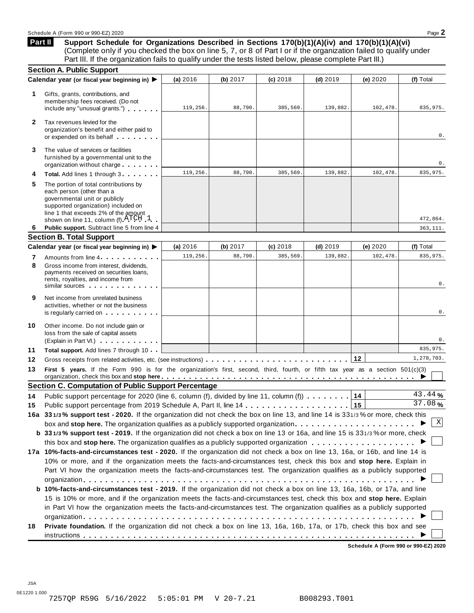**Part II** 

**Support Schedule for Organizations Described in Sections 170(b)(1)(A)(iv) and 170(b)(1)(A)(vi)** (Complete only if you checked the box on line 5, 7, or 8 of Part I or if the organization failed to qualify under

| Calendar year (or fiscal year beginning in) ▶<br>(a) 2016<br>(b) 2017<br>(c) 2018<br>$(d)$ 2019<br>(e) 2020<br>Gifts, grants, contributions, and<br>1<br>membership fees received. (Do not<br>119,256.<br>88,790.<br>385,569.<br>139,882.<br>102,478.<br>include any "unusual grants.")<br>Tax revenues levied for the<br>$\mathbf{2}$<br>organization's benefit and either paid to<br>or expended on its behalf<br>The value of services or facilities<br>3<br>furnished by a governmental unit to the<br>organization without charge<br>119,256.<br>88,790.<br>385,569.<br>139,882.<br>102,478.<br>Total. Add lines 1 through 3<br>4<br>The portion of total contributions by<br>5<br>each person (other than a<br>governmental unit or publicly<br>supported organization) included on<br>line 1 that exceeds 2% of the amount<br>shown on line 11, column (f) $\text{ATCH}$ $\perp$<br>Public support. Subtract line 5 from line 4<br>6<br>$(d)$ 2019<br>(a) 2016<br>(b) $2017$<br>(c) 2018<br>(e) 2020<br>(f) Total<br>119,256.<br>88,790.<br>385,569.<br>139,882.<br>102,478<br>Amounts from line 4<br>7<br>8<br>Gross income from interest, dividends,<br>payments received on securities loans,<br>rents, royalties, and income from<br>similar sources experiences<br>Net income from unrelated business<br>9<br>activities, whether or not the business<br>is regularly carried on the control of the set of the set of the set of the set of the set of the set of the s<br>Other income. Do not include gain or<br>loss from the sale of capital assets<br>(Explain in Part VI.)<br>Total support. Add lines 7 through 10<br>12<br>First 5 years. If the Form 990 is for the organization's first, second, third, fourth, or fifth tax year as a section 501(c)(3)<br>organization, check this box and stop here entitled and contact the contact of the contact of the contact of the contact of the contact of the contact of the contact of the contact of the contact of the contact of the cont<br>43.44%<br>Public support percentage for 2020 (line 6, column (f), divided by line 11, column (f)<br>$ 14\rangle$<br>37.08%<br>box and stop here. The organization qualifies as a publicly supported organization<br>b 331/3% support test - 2019. If the organization did not check a box on line 13 or 16a, and line 15 is 331/3% or more, check<br>10% or more, and if the organization meets the facts-and-circumstances test, check this box and stop here. Explain in<br>Part VI how the organization meets the facts-and-circumstances test. The organization qualifies as a publicly supported<br><b>b 10%-facts-and-circumstances test - 2019.</b> If the organization did not check a box on line 13, 16a, 16b, or 17a, and line<br>15 is 10% or more, and if the organization meets the facts-and-circumstances test, check this box and stop here. Explain<br>in Part VI how the organization meets the facts-and-circumstances test. The organization qualifies as a publicly supported | <b>Section A. Public Support</b> |  |  |                |
|-------------------------------------------------------------------------------------------------------------------------------------------------------------------------------------------------------------------------------------------------------------------------------------------------------------------------------------------------------------------------------------------------------------------------------------------------------------------------------------------------------------------------------------------------------------------------------------------------------------------------------------------------------------------------------------------------------------------------------------------------------------------------------------------------------------------------------------------------------------------------------------------------------------------------------------------------------------------------------------------------------------------------------------------------------------------------------------------------------------------------------------------------------------------------------------------------------------------------------------------------------------------------------------------------------------------------------------------------------------------------------------------------------------------------------------------------------------------------------------------------------------------------------------------------------------------------------------------------------------------------------------------------------------------------------------------------------------------------------------------------------------------------------------------------------------------------------------------------------------------------------------------------------------------------------------------------------------------------------------------------------------------------------------------------------------------------------------------------------------------------------------------------------------------------------------------------------------------------------------------------------------------------------------------------------------------------------------------------------------------------------------------------------------------------------------------------------------------------------------------------------------------------------------------------------------------------------------------------------------------------------------------------------------------------------------------------------------------------------------------------------------------------------------------------------------------------------------------------------------------------------------------------------------------------------------------------------------------------------------------------------------------------|----------------------------------|--|--|----------------|
| <b>Section B. Total Support</b><br>Calendar year (or fiscal year beginning in) ▶<br>10<br>11<br>12<br>13<br><b>Section C. Computation of Public Support Percentage</b><br>14<br>15<br>16a 331/3% support test - 2020. If the organization did not check the box on line 13, and line 14 is 331/3% or more, check this<br>17a 10%-facts-and-circumstances test - 2020. If the organization did not check a box on line 13, 16a, or 16b, and line 14 is                                                                                                                                                                                                                                                                                                                                                                                                                                                                                                                                                                                                                                                                                                                                                                                                                                                                                                                                                                                                                                                                                                                                                                                                                                                                                                                                                                                                                                                                                                                                                                                                                                                                                                                                                                                                                                                                                                                                                                                                                                                                                                                                                                                                                                                                                                                                                                                                                                                                                                                                                                   |                                  |  |  | (f) Total      |
|                                                                                                                                                                                                                                                                                                                                                                                                                                                                                                                                                                                                                                                                                                                                                                                                                                                                                                                                                                                                                                                                                                                                                                                                                                                                                                                                                                                                                                                                                                                                                                                                                                                                                                                                                                                                                                                                                                                                                                                                                                                                                                                                                                                                                                                                                                                                                                                                                                                                                                                                                                                                                                                                                                                                                                                                                                                                                                                                                                                                                         |                                  |  |  | 835,975.       |
|                                                                                                                                                                                                                                                                                                                                                                                                                                                                                                                                                                                                                                                                                                                                                                                                                                                                                                                                                                                                                                                                                                                                                                                                                                                                                                                                                                                                                                                                                                                                                                                                                                                                                                                                                                                                                                                                                                                                                                                                                                                                                                                                                                                                                                                                                                                                                                                                                                                                                                                                                                                                                                                                                                                                                                                                                                                                                                                                                                                                                         |                                  |  |  | 0.             |
|                                                                                                                                                                                                                                                                                                                                                                                                                                                                                                                                                                                                                                                                                                                                                                                                                                                                                                                                                                                                                                                                                                                                                                                                                                                                                                                                                                                                                                                                                                                                                                                                                                                                                                                                                                                                                                                                                                                                                                                                                                                                                                                                                                                                                                                                                                                                                                                                                                                                                                                                                                                                                                                                                                                                                                                                                                                                                                                                                                                                                         |                                  |  |  | 0.             |
|                                                                                                                                                                                                                                                                                                                                                                                                                                                                                                                                                                                                                                                                                                                                                                                                                                                                                                                                                                                                                                                                                                                                                                                                                                                                                                                                                                                                                                                                                                                                                                                                                                                                                                                                                                                                                                                                                                                                                                                                                                                                                                                                                                                                                                                                                                                                                                                                                                                                                                                                                                                                                                                                                                                                                                                                                                                                                                                                                                                                                         |                                  |  |  | 835,975.       |
|                                                                                                                                                                                                                                                                                                                                                                                                                                                                                                                                                                                                                                                                                                                                                                                                                                                                                                                                                                                                                                                                                                                                                                                                                                                                                                                                                                                                                                                                                                                                                                                                                                                                                                                                                                                                                                                                                                                                                                                                                                                                                                                                                                                                                                                                                                                                                                                                                                                                                                                                                                                                                                                                                                                                                                                                                                                                                                                                                                                                                         |                                  |  |  | 472,864.       |
|                                                                                                                                                                                                                                                                                                                                                                                                                                                                                                                                                                                                                                                                                                                                                                                                                                                                                                                                                                                                                                                                                                                                                                                                                                                                                                                                                                                                                                                                                                                                                                                                                                                                                                                                                                                                                                                                                                                                                                                                                                                                                                                                                                                                                                                                                                                                                                                                                                                                                                                                                                                                                                                                                                                                                                                                                                                                                                                                                                                                                         |                                  |  |  | 363,111.       |
|                                                                                                                                                                                                                                                                                                                                                                                                                                                                                                                                                                                                                                                                                                                                                                                                                                                                                                                                                                                                                                                                                                                                                                                                                                                                                                                                                                                                                                                                                                                                                                                                                                                                                                                                                                                                                                                                                                                                                                                                                                                                                                                                                                                                                                                                                                                                                                                                                                                                                                                                                                                                                                                                                                                                                                                                                                                                                                                                                                                                                         |                                  |  |  |                |
|                                                                                                                                                                                                                                                                                                                                                                                                                                                                                                                                                                                                                                                                                                                                                                                                                                                                                                                                                                                                                                                                                                                                                                                                                                                                                                                                                                                                                                                                                                                                                                                                                                                                                                                                                                                                                                                                                                                                                                                                                                                                                                                                                                                                                                                                                                                                                                                                                                                                                                                                                                                                                                                                                                                                                                                                                                                                                                                                                                                                                         |                                  |  |  |                |
|                                                                                                                                                                                                                                                                                                                                                                                                                                                                                                                                                                                                                                                                                                                                                                                                                                                                                                                                                                                                                                                                                                                                                                                                                                                                                                                                                                                                                                                                                                                                                                                                                                                                                                                                                                                                                                                                                                                                                                                                                                                                                                                                                                                                                                                                                                                                                                                                                                                                                                                                                                                                                                                                                                                                                                                                                                                                                                                                                                                                                         |                                  |  |  | 835,975.<br>0. |
|                                                                                                                                                                                                                                                                                                                                                                                                                                                                                                                                                                                                                                                                                                                                                                                                                                                                                                                                                                                                                                                                                                                                                                                                                                                                                                                                                                                                                                                                                                                                                                                                                                                                                                                                                                                                                                                                                                                                                                                                                                                                                                                                                                                                                                                                                                                                                                                                                                                                                                                                                                                                                                                                                                                                                                                                                                                                                                                                                                                                                         |                                  |  |  | 0.             |
|                                                                                                                                                                                                                                                                                                                                                                                                                                                                                                                                                                                                                                                                                                                                                                                                                                                                                                                                                                                                                                                                                                                                                                                                                                                                                                                                                                                                                                                                                                                                                                                                                                                                                                                                                                                                                                                                                                                                                                                                                                                                                                                                                                                                                                                                                                                                                                                                                                                                                                                                                                                                                                                                                                                                                                                                                                                                                                                                                                                                                         |                                  |  |  | 0.             |
|                                                                                                                                                                                                                                                                                                                                                                                                                                                                                                                                                                                                                                                                                                                                                                                                                                                                                                                                                                                                                                                                                                                                                                                                                                                                                                                                                                                                                                                                                                                                                                                                                                                                                                                                                                                                                                                                                                                                                                                                                                                                                                                                                                                                                                                                                                                                                                                                                                                                                                                                                                                                                                                                                                                                                                                                                                                                                                                                                                                                                         |                                  |  |  | 835,975.       |
|                                                                                                                                                                                                                                                                                                                                                                                                                                                                                                                                                                                                                                                                                                                                                                                                                                                                                                                                                                                                                                                                                                                                                                                                                                                                                                                                                                                                                                                                                                                                                                                                                                                                                                                                                                                                                                                                                                                                                                                                                                                                                                                                                                                                                                                                                                                                                                                                                                                                                                                                                                                                                                                                                                                                                                                                                                                                                                                                                                                                                         |                                  |  |  | 1,278,703.     |
|                                                                                                                                                                                                                                                                                                                                                                                                                                                                                                                                                                                                                                                                                                                                                                                                                                                                                                                                                                                                                                                                                                                                                                                                                                                                                                                                                                                                                                                                                                                                                                                                                                                                                                                                                                                                                                                                                                                                                                                                                                                                                                                                                                                                                                                                                                                                                                                                                                                                                                                                                                                                                                                                                                                                                                                                                                                                                                                                                                                                                         |                                  |  |  |                |
|                                                                                                                                                                                                                                                                                                                                                                                                                                                                                                                                                                                                                                                                                                                                                                                                                                                                                                                                                                                                                                                                                                                                                                                                                                                                                                                                                                                                                                                                                                                                                                                                                                                                                                                                                                                                                                                                                                                                                                                                                                                                                                                                                                                                                                                                                                                                                                                                                                                                                                                                                                                                                                                                                                                                                                                                                                                                                                                                                                                                                         |                                  |  |  |                |
|                                                                                                                                                                                                                                                                                                                                                                                                                                                                                                                                                                                                                                                                                                                                                                                                                                                                                                                                                                                                                                                                                                                                                                                                                                                                                                                                                                                                                                                                                                                                                                                                                                                                                                                                                                                                                                                                                                                                                                                                                                                                                                                                                                                                                                                                                                                                                                                                                                                                                                                                                                                                                                                                                                                                                                                                                                                                                                                                                                                                                         |                                  |  |  |                |
|                                                                                                                                                                                                                                                                                                                                                                                                                                                                                                                                                                                                                                                                                                                                                                                                                                                                                                                                                                                                                                                                                                                                                                                                                                                                                                                                                                                                                                                                                                                                                                                                                                                                                                                                                                                                                                                                                                                                                                                                                                                                                                                                                                                                                                                                                                                                                                                                                                                                                                                                                                                                                                                                                                                                                                                                                                                                                                                                                                                                                         |                                  |  |  |                |
|                                                                                                                                                                                                                                                                                                                                                                                                                                                                                                                                                                                                                                                                                                                                                                                                                                                                                                                                                                                                                                                                                                                                                                                                                                                                                                                                                                                                                                                                                                                                                                                                                                                                                                                                                                                                                                                                                                                                                                                                                                                                                                                                                                                                                                                                                                                                                                                                                                                                                                                                                                                                                                                                                                                                                                                                                                                                                                                                                                                                                         |                                  |  |  | Χ              |
|                                                                                                                                                                                                                                                                                                                                                                                                                                                                                                                                                                                                                                                                                                                                                                                                                                                                                                                                                                                                                                                                                                                                                                                                                                                                                                                                                                                                                                                                                                                                                                                                                                                                                                                                                                                                                                                                                                                                                                                                                                                                                                                                                                                                                                                                                                                                                                                                                                                                                                                                                                                                                                                                                                                                                                                                                                                                                                                                                                                                                         |                                  |  |  |                |
|                                                                                                                                                                                                                                                                                                                                                                                                                                                                                                                                                                                                                                                                                                                                                                                                                                                                                                                                                                                                                                                                                                                                                                                                                                                                                                                                                                                                                                                                                                                                                                                                                                                                                                                                                                                                                                                                                                                                                                                                                                                                                                                                                                                                                                                                                                                                                                                                                                                                                                                                                                                                                                                                                                                                                                                                                                                                                                                                                                                                                         |                                  |  |  |                |
|                                                                                                                                                                                                                                                                                                                                                                                                                                                                                                                                                                                                                                                                                                                                                                                                                                                                                                                                                                                                                                                                                                                                                                                                                                                                                                                                                                                                                                                                                                                                                                                                                                                                                                                                                                                                                                                                                                                                                                                                                                                                                                                                                                                                                                                                                                                                                                                                                                                                                                                                                                                                                                                                                                                                                                                                                                                                                                                                                                                                                         |                                  |  |  |                |
|                                                                                                                                                                                                                                                                                                                                                                                                                                                                                                                                                                                                                                                                                                                                                                                                                                                                                                                                                                                                                                                                                                                                                                                                                                                                                                                                                                                                                                                                                                                                                                                                                                                                                                                                                                                                                                                                                                                                                                                                                                                                                                                                                                                                                                                                                                                                                                                                                                                                                                                                                                                                                                                                                                                                                                                                                                                                                                                                                                                                                         |                                  |  |  |                |
|                                                                                                                                                                                                                                                                                                                                                                                                                                                                                                                                                                                                                                                                                                                                                                                                                                                                                                                                                                                                                                                                                                                                                                                                                                                                                                                                                                                                                                                                                                                                                                                                                                                                                                                                                                                                                                                                                                                                                                                                                                                                                                                                                                                                                                                                                                                                                                                                                                                                                                                                                                                                                                                                                                                                                                                                                                                                                                                                                                                                                         |                                  |  |  |                |
|                                                                                                                                                                                                                                                                                                                                                                                                                                                                                                                                                                                                                                                                                                                                                                                                                                                                                                                                                                                                                                                                                                                                                                                                                                                                                                                                                                                                                                                                                                                                                                                                                                                                                                                                                                                                                                                                                                                                                                                                                                                                                                                                                                                                                                                                                                                                                                                                                                                                                                                                                                                                                                                                                                                                                                                                                                                                                                                                                                                                                         |                                  |  |  |                |
| Private foundation. If the organization did not check a box on line 13, 16a, 16b, 17a, or 17b, check this box and see<br>18                                                                                                                                                                                                                                                                                                                                                                                                                                                                                                                                                                                                                                                                                                                                                                                                                                                                                                                                                                                                                                                                                                                                                                                                                                                                                                                                                                                                                                                                                                                                                                                                                                                                                                                                                                                                                                                                                                                                                                                                                                                                                                                                                                                                                                                                                                                                                                                                                                                                                                                                                                                                                                                                                                                                                                                                                                                                                             |                                  |  |  |                |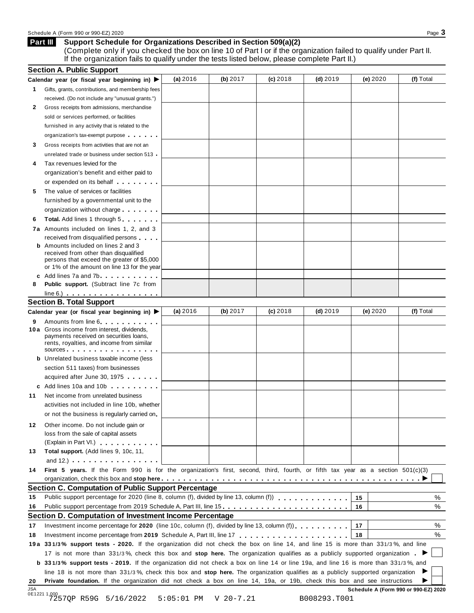#### **Support Schedule for Organizations Described in Section 509(a)(2) Part III**

(Complete only if you checked the box on line 10 of Part I or if the organization failed to qualify under Part II. If the organization fails to qualify under the tests listed below, please complete Part II.)

|                            | <b>Section A. Public Support</b>                                                                                                           |          |            |            |            |          |                  |
|----------------------------|--------------------------------------------------------------------------------------------------------------------------------------------|----------|------------|------------|------------|----------|------------------|
|                            | Calendar year (or fiscal year beginning in) $\blacktriangleright$                                                                          | (a) 2016 | (b) 2017   | $(c)$ 2018 | $(d)$ 2019 | (e) 2020 | (f) Total        |
| 1.                         | Gifts, grants, contributions, and membership fees                                                                                          |          |            |            |            |          |                  |
|                            | received. (Do not include any "unusual grants.")                                                                                           |          |            |            |            |          |                  |
| 2                          | Gross receipts from admissions, merchandise                                                                                                |          |            |            |            |          |                  |
|                            | sold or services performed, or facilities                                                                                                  |          |            |            |            |          |                  |
|                            | furnished in any activity that is related to the                                                                                           |          |            |            |            |          |                  |
|                            | organization's tax-exempt purpose                                                                                                          |          |            |            |            |          |                  |
| 3                          | Gross receipts from activities that are not an                                                                                             |          |            |            |            |          |                  |
|                            | unrelated trade or business under section 513                                                                                              |          |            |            |            |          |                  |
| 4                          | Tax revenues levied for the                                                                                                                |          |            |            |            |          |                  |
|                            | organization's benefit and either paid to                                                                                                  |          |            |            |            |          |                  |
|                            | or expended on its behalf <b>contained</b> on $\theta$                                                                                     |          |            |            |            |          |                  |
| 5                          | The value of services or facilities                                                                                                        |          |            |            |            |          |                  |
|                            | furnished by a governmental unit to the                                                                                                    |          |            |            |            |          |                  |
|                            | organization without charge                                                                                                                |          |            |            |            |          |                  |
| 6                          | Total. Add lines 1 through 5                                                                                                               |          |            |            |            |          |                  |
|                            | 7a Amounts included on lines 1, 2, and 3                                                                                                   |          |            |            |            |          |                  |
|                            | received from disqualified persons                                                                                                         |          |            |            |            |          |                  |
|                            | <b>b</b> Amounts included on lines 2 and 3                                                                                                 |          |            |            |            |          |                  |
|                            | received from other than disqualified                                                                                                      |          |            |            |            |          |                  |
|                            | persons that exceed the greater of \$5,000<br>or 1% of the amount on line 13 for the year                                                  |          |            |            |            |          |                  |
|                            | c Add lines 7a and 7b                                                                                                                      |          |            |            |            |          |                  |
| 8                          | <b>Public support.</b> (Subtract line 7c from                                                                                              |          |            |            |            |          |                  |
|                            | $line 6.)$ $\ldots$ $\ldots$ $\ldots$ $\ldots$ $\ldots$                                                                                    |          |            |            |            |          |                  |
|                            | <b>Section B. Total Support</b>                                                                                                            |          |            |            |            |          |                  |
|                            | Calendar year (or fiscal year beginning in) ▶                                                                                              | (a) 2016 | (b) $2017$ | $(c)$ 2018 | $(d)$ 2019 | (e) 2020 | (f) Total        |
| 9                          | Amounts from line 6                                                                                                                        |          |            |            |            |          |                  |
|                            | <b>10a</b> Gross income from interest, dividends,<br>payments received on securities loans,<br>rents, royalties, and income from similar   |          |            |            |            |          |                  |
|                            | sources                                                                                                                                    |          |            |            |            |          |                  |
|                            | <b>b</b> Unrelated business taxable income (less                                                                                           |          |            |            |            |          |                  |
|                            | section 511 taxes) from businesses                                                                                                         |          |            |            |            |          |                  |
|                            | acquired after June 30, 1975                                                                                                               |          |            |            |            |          |                  |
|                            |                                                                                                                                            |          |            |            |            |          |                  |
|                            | c Add lines 10a and 10b                                                                                                                    |          |            |            |            |          |                  |
|                            | Net income from unrelated business                                                                                                         |          |            |            |            |          |                  |
|                            | activities not included in line 10b, whether                                                                                               |          |            |            |            |          |                  |
|                            | or not the business is regularly carried on                                                                                                |          |            |            |            |          |                  |
| 11<br>12                   | Other income. Do not include gain or                                                                                                       |          |            |            |            |          |                  |
|                            | loss from the sale of capital assets                                                                                                       |          |            |            |            |          |                  |
|                            | (Explain in Part VI.)                                                                                                                      |          |            |            |            |          |                  |
| 13                         | Total support. (Add lines 9, 10c, 11,                                                                                                      |          |            |            |            |          |                  |
|                            | and 12.) $\cdots$ $\cdots$ $\cdots$ $\cdots$                                                                                               |          |            |            |            |          |                  |
|                            | First 5 years. If the Form 990 is for the organization's first, second, third, fourth, or fifth tax year as a section 501(c)(3)            |          |            |            |            |          |                  |
|                            |                                                                                                                                            |          |            |            |            |          |                  |
|                            | Section C. Computation of Public Support Percentage                                                                                        |          |            |            |            |          |                  |
|                            | Public support percentage for 2020 (line 8, column (f), divided by line 13, column (f)                                                     |          |            |            |            | 15       |                  |
|                            | Public support percentage from 2019 Schedule A, Part III, line 15.                                                                         |          |            |            |            | 16       |                  |
|                            | Section D. Computation of Investment Income Percentage                                                                                     |          |            |            |            |          |                  |
|                            | Investment income percentage for 2020 (line 10c, column (f), divided by line 13, column (f)).                                              |          |            |            |            | 17       |                  |
|                            |                                                                                                                                            |          |            |            |            | 18       |                  |
|                            | 19a 331/3% support tests - 2020. If the organization did not check the box on line 14, and line 15 is more than 331/3%, and line           |          |            |            |            |          |                  |
|                            | 17 is not more than 331/3%, check this box and stop here. The organization qualifies as a publicly supported organization.                 |          |            |            |            |          |                  |
| 14<br>15<br>16<br>17<br>18 | <b>b</b> 331/3% support tests - 2019. If the organization did not check a box on line 14 or line 19a, and line 16 is more than 331/3%, and |          |            |            |            |          |                  |
|                            | line 18 is not more than 331/3%, check this box and stop here. The organization qualifies as a publicly supported organization             |          |            |            |            |          |                  |
| 20                         | Private foundation. If the organization did not check a box on line 14, 19a, or 19b, check this box and see instructions                   |          |            |            |            |          | %<br>%<br>%<br>% |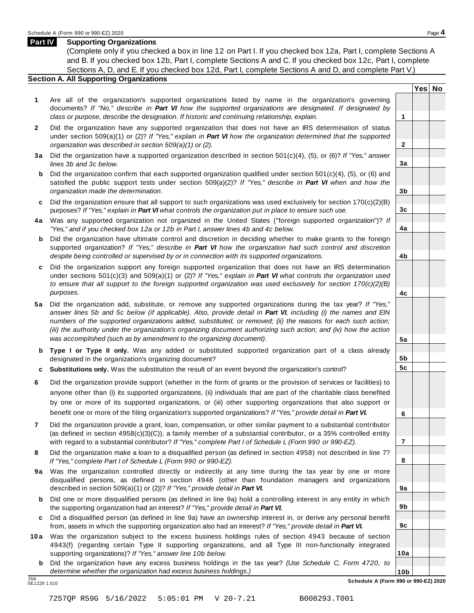### **Part IV Supporting Organizations**

(Complete only if you checked a box in line 12 on Part I. If you checked box 12a, Part I, complete Sections A and B. If you checked box 12b, Part I, complete Sections A and C. If you checked box 12c, Part I, complete Sections A, D, and E. If you checked box 12d, Part I, complete Sections A and D, and complete Part V.)

### **Section A. All Supporting Organizations**

- **1** Are all of the organization's supported organizations listed by name in the organization's governing documents? *If "No," describe in Part VI how the supported organizations are designated. If designated by class or purpose, describe the designation. If historic and continuing relationship, explain.* **1**
- **2** Did the organization have any supported organization that does not have an IRS determination of status under section 509(a)(1) or (2)? *If "Yes," explain in Part VI how the organization determined that the supported organization was described in section 509(a)(1) or (2).*
- **3 a** Did the organization have a supported organization described in section 501(c)(4), (5), or (6)? *If "Yes," answer lines 3b and 3c below.*
- **b** Did the organization confirm that each supported organization qualified under section 501(c)(4), (5), or (6) and | satisfied the public support tests under section 509(a)(2)? *If "Yes," describe in Part VI when and how the organization made the determination.*
- **c** Did the organization ensure that all support to such organizations was used exclusively for section 170(c)(2)(B) purposes? *If "Yes," explain in Part VI what controls the organization put in place to ensure such use.*
- **4 a** Was any supported organization not organized in the United States ("foreign supported organization")? *If "Yes," and if you checked box 12a or 12b in Part I, answer lines 4b and 4c below.*
- **b** Did the organization have ultimate control and discretion in deciding whether to make grants to the foreign | supported organization? *If "Yes," describe in Part VI how the organization had such control and discretion despite being controlled or supervised by or in connection with its supported organizations.*
- **c** Did the organization support any foreign supported organization that does not have an IRS determination | under sections 501(c)(3) and 509(a)(1) or (2)? *If "Yes," explain in Part VI what controls the organization used to ensure that all support to the foreign supported organization was used exclusively for section 170(c)(2)(B) purposes.*
- **5 a** Did the organization add, substitute, or remove any supported organizations during the tax year? *If "Yes," answer lines 5b and 5c below (if applicable). Also, provide detail in Part VI, including (i) the names and EIN numbers of the supported organizations added, substituted, or removed; (ii) the reasons for each such action; (iii) the authority under the organization's organizing document authorizing such action; and (iv) how the action was accomplished (such as by amendment to the organizing document).*
- **b** Type I or Type II only. Was any added or substituted supported organization part of a class already | designated in the organization's organizing document?
- **c Substitutions only.** Was the substitution the result of an event beyond the organization's control?
- **6** Did the organization provide support (whether in the form of grants or the provision of services or facilities) to anyone other than (i) its supported organizations, (ii) individuals that are part of the charitable class benefited by one or more of its supported organizations, or (iii) other supporting organizations that also support or benefit one or more of the filing organization's supported organizations? *If "Yes," provide detail in Part VI.*
- **7** Did the organization provide a grant, loan, compensation, or other similar payment to a substantial contributor (as defined in section 4958(c)(3)(C)), a family member of a substantial contributor, or a 35% controlled entity with regard to a substantial contributor? *If "Yes," complete Part I of Schedule L (Form 990 or 990-EZ).*
- **8** Did the organization make a loan to a disqualified person (as defined in section 4958) not described in line 7? *If "Yes," complete Part I of Schedule L (Form 990 or 990-EZ).*
- **9a** Was the organization controlled directly or indirectly at any time during the tax year by one or more | disqualified persons, as defined in section 4946 (other than foundation managers and organizations described in section 509(a)(1) or (2))? *If "Yes," provide detail in Part VI.*
- **b** Did one or more disqualified persons (as defined in line 9a) hold a controlling interest in any entity in which | the supporting organization had an interest? *If "Yes," provide detail in Part VI.*
- **c** Did a disqualified person (as defined in line 9a) have an ownership interest in, or derive any personal benefit from, assets in which the supporting organization also had an interest? *If "Yes," provide detail in Part VI.*
- **10a** Was the organization subject to the excess business holdings rules of section 4943 because of section | 4943(f) (regarding certain Type II supporting organizations, and all Type III non-functionally integrated supporting organizations)? *If "Yes," answer line 10b below.*
	- **b** Did the organization have any excess business holdings in the tax year? *(Use Schedule C, Form 4720, to determine whether the organization had excess business holdings.)*

**10b** JSA **Schedule A (Form 990 or 990-EZ) 2020** 0E1229 1.010

**Yes No**

**2**

**3a**

**3b**

**3c**

**4a**

**4b**

**4c**

**5a**

**5b 5c**

**6**

**7**

**8**

**9a**

**9b**

**9c**

**10a**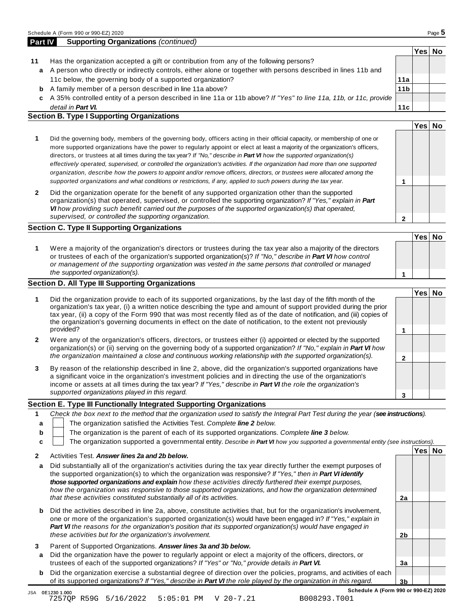|    | <b>Supporting Organizations (continued)</b>                                                                        |                 | Yes⊺ | No |
|----|--------------------------------------------------------------------------------------------------------------------|-----------------|------|----|
| 11 | Has the organization accepted a gift or contribution from any of the following persons?                            |                 |      |    |
| a  | A person who directly or indirectly controls, either alone or together with persons described in lines 11b and     |                 |      |    |
|    | 11c below, the governing body of a supported organization?                                                         | 11a             |      |    |
| b  | A family member of a person described in line 11a above?                                                           | 11 <sub>b</sub> |      |    |
| c  | A 35% controlled entity of a person described in line 11a or 11b above? If "Yes" to line 11a, 11b, or 11c, provide |                 |      |    |
|    | detail in <b>Part VI.</b>                                                                                          | 11c             |      |    |

|               | Did the governing body, members of the governing body, officers acting in their official capacity, or membership of one or<br>more supported organizations have the power to regularly appoint or elect at least a majority of the organization's officers,<br>directors, or trustees at all times during the tax year? If "No," describe in Part VI how the supported organization(s)<br>effectively operated, supervised, or controlled the organization's activities. If the organization had more than one supported<br>organization, describe how the powers to appoint and/or remove officers, directors, or trustees were allocated among the<br>supported organizations and what conditions or restrictions, if any, applied to such powers during the tax year. |  |  |
|---------------|--------------------------------------------------------------------------------------------------------------------------------------------------------------------------------------------------------------------------------------------------------------------------------------------------------------------------------------------------------------------------------------------------------------------------------------------------------------------------------------------------------------------------------------------------------------------------------------------------------------------------------------------------------------------------------------------------------------------------------------------------------------------------|--|--|
| $\mathcal{P}$ | Did the organization operate for the benefit of any supported organization other than the supported                                                                                                                                                                                                                                                                                                                                                                                                                                                                                                                                                                                                                                                                      |  |  |

organization(s) that operated, supervised, or controlled the supporting organization? *If "Yes," explain in Part VI how providing such benefit carried out the purposes of the supported organization(s) that operated, supervised, or controlled the supporting organization.*

#### **Section C. Type II Supporting Organizations**

**1 Yes No 1** Were a majority of the organization's directors or trustees during the tax year also a majority of the directors or trustees of each of the organization's supported organization(s)? *If "No," describe in Part VI how control or management of the supporting organization was vested in the same persons that controlled or managed the supported organization(s).*

### **Section D. All Type III Supporting Organizations**

|              | the supported organization(s).                                                                                                                                                                                                                                                                                                                                                                                                                                                           |   |        |  |
|--------------|------------------------------------------------------------------------------------------------------------------------------------------------------------------------------------------------------------------------------------------------------------------------------------------------------------------------------------------------------------------------------------------------------------------------------------------------------------------------------------------|---|--------|--|
|              | ection D. All Type III Supporting Organizations                                                                                                                                                                                                                                                                                                                                                                                                                                          |   |        |  |
|              |                                                                                                                                                                                                                                                                                                                                                                                                                                                                                          |   | Yes∃No |  |
|              | Did the organization provide to each of its supported organizations, by the last day of the fifth month of the<br>organization's tax year, (i) a written notice describing the type and amount of support provided during the prior<br>tax year, (ii) a copy of the Form 990 that was most recently filed as of the date of notification, and (iii) copies of<br>the organization's governing documents in effect on the date of notification, to the extent not previously<br>provided? |   |        |  |
|              |                                                                                                                                                                                                                                                                                                                                                                                                                                                                                          |   |        |  |
| $\mathbf{2}$ | Were any of the organization's officers, directors, or trustees either (i) appointed or elected by the supported<br>organization(s) or (ii) serving on the governing body of a supported organization? If "No," explain in <b>Part VI</b> how                                                                                                                                                                                                                                            |   |        |  |
|              | the organization maintained a close and continuous working relationship with the supported organization(s).                                                                                                                                                                                                                                                                                                                                                                              |   |        |  |
| 3            | By reason of the relationship described in line 2, above, did the organization's supported organizations have<br>a significant voice in the organization's investment policies and in directing the use of the organization's<br>income or assets at all times during the tax year? If "Yes," describe in Part VI the role the organization's                                                                                                                                            |   |        |  |
|              | supported organizations played in this regard.                                                                                                                                                                                                                                                                                                                                                                                                                                           | 3 |        |  |

#### **Section E. Type III Functionally Integrated Supporting Organizations**

|   | Check the box next to the method that the organization used to satisfy the Integral Part Test during the year (see instructions). |
|---|-----------------------------------------------------------------------------------------------------------------------------------|
| a | The organization satisfied the Activities Test. Complete line 2 below.                                                            |
| b | The organization is the parent of each of its supported organizations. Complete line 3 below.                                     |
|   | The organization supported a governmental entity. Describe in Part VI how you supported a governmental entity (see instructions). |
|   | Yesl<br>N٥<br>Activities Test. Answer lines 2a and 2b below.                                                                      |

|        | Activities Test. Answer lines 2a and 2b below.                                                                                                                                                                                                                                                                                                                                                                                                                                                                                             |                |  |
|--------|--------------------------------------------------------------------------------------------------------------------------------------------------------------------------------------------------------------------------------------------------------------------------------------------------------------------------------------------------------------------------------------------------------------------------------------------------------------------------------------------------------------------------------------------|----------------|--|
| a      | Did substantially all of the organization's activities during the tax year directly further the exempt purposes of<br>the supported organization(s) to which the organization was responsive? If "Yes," then in <b>Part VI identify</b><br>those supported organizations and explain how these activities directly furthered their exempt purposes.<br>how the organization was responsive to those supported organizations, and how the organization determined<br>that these activities constituted substantially all of its activities. | 2a             |  |
| b      | Did the activities described in line 2a, above, constitute activities that, but for the organization's involvement,<br>one or more of the organization's supported organization(s) would have been engaged in? If "Yes," explain in<br><b>Part VI</b> the reasons for the organization's position that its supported organization(s) would have engaged in<br>these activities but for the organization's involvement.                                                                                                                     | 2b             |  |
| 3<br>a | Parent of Supported Organizations. Answer lines 3a and 3b below.<br>Did the organization have the power to regularly appoint or elect a majority of the officers, directors, or<br>trustees of each of the supported organizations? If "Yes" or "No," provide details in Part VI.                                                                                                                                                                                                                                                          | 3a             |  |
| b      | Did the organization exercise a substantial degree of direction over the policies, programs, and activities of each<br>of its supported organizations? If "Yes," describe in <b>Part VI</b> the role played by the organization in this regard.                                                                                                                                                                                                                                                                                            | 3 <sub>b</sub> |  |

**2**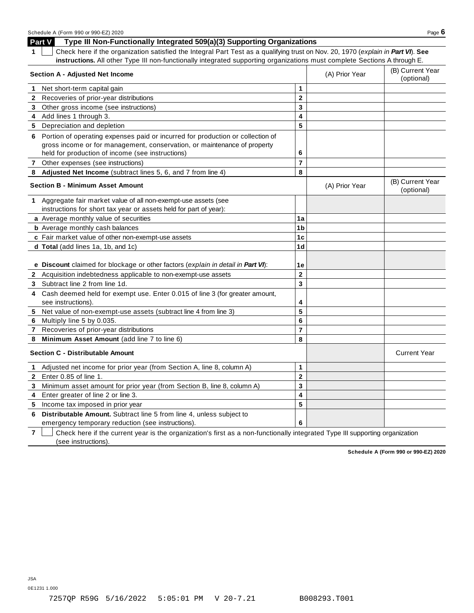| Part V              | Type III Non-Functionally Integrated 509(a)(3) Supporting Organizations                                                          |
|---------------------|----------------------------------------------------------------------------------------------------------------------------------|
| $1 \quad   \quad  $ | Check here if the organization satisfied the Integral Part Test as a qualifying trust on Nov. 20, 1970 (explain in Part VI). See |
|                     | instructions. All other Type III non-functionally integrated supporting organizations must complete Sections A through E.        |

|                                         | 1   Crieck nere ii the organization satisfied the integral Part Test as a qualifying trust on Nov. 20, 1970 ( <i>explain in <b>Part VI</b></i> ). See<br>instructions. All other Type III non-functionally integrated supporting organizations must complete Sections A through E. |                         |                                |                                |
|-----------------------------------------|------------------------------------------------------------------------------------------------------------------------------------------------------------------------------------------------------------------------------------------------------------------------------------|-------------------------|--------------------------------|--------------------------------|
|                                         | <b>Section A - Adjusted Net Income</b>                                                                                                                                                                                                                                             | (A) Prior Year          | (B) Current Year<br>(optional) |                                |
| $\mathbf 1$                             | Net short-term capital gain                                                                                                                                                                                                                                                        | 1                       |                                |                                |
|                                         | 2 Recoveries of prior-year distributions                                                                                                                                                                                                                                           | $\mathbf{2}$            |                                |                                |
|                                         | 3 Other gross income (see instructions)                                                                                                                                                                                                                                            | $\overline{\mathbf{3}}$ |                                |                                |
|                                         | 4 Add lines 1 through 3.                                                                                                                                                                                                                                                           | $\overline{\mathbf{4}}$ |                                |                                |
|                                         | 5 Depreciation and depletion                                                                                                                                                                                                                                                       | 5                       |                                |                                |
|                                         | 6 Portion of operating expenses paid or incurred for production or collection of                                                                                                                                                                                                   |                         |                                |                                |
|                                         | gross income or for management, conservation, or maintenance of property                                                                                                                                                                                                           |                         |                                |                                |
|                                         | held for production of income (see instructions)                                                                                                                                                                                                                                   | 6                       |                                |                                |
| $\mathbf{7}$                            | Other expenses (see instructions)                                                                                                                                                                                                                                                  | $\overline{7}$          |                                |                                |
| 8                                       | Adjusted Net Income (subtract lines 5, 6, and 7 from line 4)                                                                                                                                                                                                                       | 8                       |                                |                                |
| <b>Section B - Minimum Asset Amount</b> |                                                                                                                                                                                                                                                                                    |                         | (A) Prior Year                 | (B) Current Year<br>(optional) |
| $\mathbf{1}$                            | Aggregate fair market value of all non-exempt-use assets (see                                                                                                                                                                                                                      |                         |                                |                                |
|                                         | instructions for short tax year or assets held for part of year):                                                                                                                                                                                                                  |                         |                                |                                |
|                                         | a Average monthly value of securities                                                                                                                                                                                                                                              | 1a                      |                                |                                |
|                                         | <b>b</b> Average monthly cash balances                                                                                                                                                                                                                                             | 1 <sub>b</sub>          |                                |                                |
|                                         | c Fair market value of other non-exempt-use assets                                                                                                                                                                                                                                 | 1 <sub>c</sub>          |                                |                                |
|                                         | d Total (add lines 1a, 1b, and 1c)                                                                                                                                                                                                                                                 | 1 <sub>d</sub>          |                                |                                |
|                                         |                                                                                                                                                                                                                                                                                    |                         |                                |                                |
|                                         | e Discount claimed for blockage or other factors (explain in detail in Part VI):                                                                                                                                                                                                   | 1e                      |                                |                                |
|                                         | 2 Acquisition indebtedness applicable to non-exempt-use assets                                                                                                                                                                                                                     | $\mathbf{2}$            |                                |                                |
| 3                                       | Subtract line 2 from line 1d.                                                                                                                                                                                                                                                      | 3                       |                                |                                |
| 4                                       | Cash deemed held for exempt use. Enter 0.015 of line 3 (for greater amount,<br>see instructions).                                                                                                                                                                                  | 4                       |                                |                                |
|                                         | 5 Net value of non-exempt-use assets (subtract line 4 from line 3)                                                                                                                                                                                                                 | 5                       |                                |                                |
| 6                                       | Multiply line 5 by 0.035.                                                                                                                                                                                                                                                          | 6                       |                                |                                |
| 7                                       | Recoveries of prior-year distributions                                                                                                                                                                                                                                             | $\overline{7}$          |                                |                                |
| 8                                       | Minimum Asset Amount (add line 7 to line 6)                                                                                                                                                                                                                                        | 8                       |                                |                                |
|                                         | <b>Section C - Distributable Amount</b>                                                                                                                                                                                                                                            |                         |                                | <b>Current Year</b>            |
| 1                                       | Adjusted net income for prior year (from Section A, line 8, column A)                                                                                                                                                                                                              | $\mathbf{1}$            |                                |                                |
|                                         | 2 Enter 0.85 of line 1.                                                                                                                                                                                                                                                            | $\overline{\mathbf{2}}$ |                                |                                |
| 3                                       | Minimum asset amount for prior year (from Section B, line 8, column A)                                                                                                                                                                                                             | 3                       |                                |                                |
| 4                                       | Enter greater of line 2 or line 3.                                                                                                                                                                                                                                                 | $\overline{\mathbf{4}}$ |                                |                                |
|                                         | 5 Income tax imposed in prior year                                                                                                                                                                                                                                                 | 5                       |                                |                                |
| 6                                       | Distributable Amount. Subtract line 5 from line 4, unless subject to                                                                                                                                                                                                               |                         |                                |                                |
|                                         | emergency temporary reduction (see instructions).                                                                                                                                                                                                                                  | 6                       |                                |                                |

**7**  $\Box$  Check here if the current year is the organization's first as a non-functionally integrated Type III supporting organization (see instructions).

**Schedule A (Form 990 or 990-EZ) 2020**

0E1231 1.000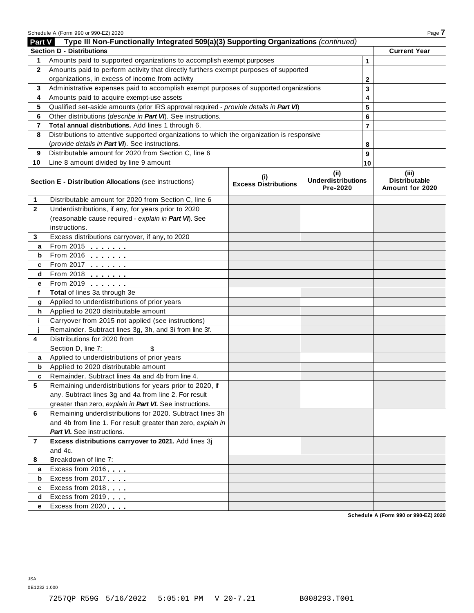|                | Schedule A (Form 990 or 990-EZ) 2020                                                       |                                    |                                       | Page 7                                  |
|----------------|--------------------------------------------------------------------------------------------|------------------------------------|---------------------------------------|-----------------------------------------|
| Part V         | Type III Non-Functionally Integrated 509(a)(3) Supporting Organizations (continued)        |                                    |                                       |                                         |
|                | <b>Section D - Distributions</b>                                                           |                                    |                                       | <b>Current Year</b>                     |
| 1              | Amounts paid to supported organizations to accomplish exempt purposes                      |                                    | 1                                     |                                         |
| $\mathbf{2}$   | Amounts paid to perform activity that directly furthers exempt purposes of supported       |                                    |                                       |                                         |
|                | organizations, in excess of income from activity                                           |                                    | $\mathbf{2}$                          |                                         |
| 3              | Administrative expenses paid to accomplish exempt purposes of supported organizations      |                                    | 3                                     |                                         |
| 4              | Amounts paid to acquire exempt-use assets                                                  |                                    | 4                                     |                                         |
| 5              | Qualified set-aside amounts (prior IRS approval required - provide details in Part VI)     |                                    | 5                                     |                                         |
| 6              | Other distributions (describe in Part VI). See instructions.                               |                                    | 6                                     |                                         |
| 7              | Total annual distributions. Add lines 1 through 6.                                         |                                    | $\overline{7}$                        |                                         |
| 8              | Distributions to attentive supported organizations to which the organization is responsive |                                    |                                       |                                         |
|                | (provide details in Part VI). See instructions.                                            |                                    | 8                                     |                                         |
| 9              | Distributable amount for 2020 from Section C, line 6                                       |                                    | 9                                     |                                         |
| 10             | Line 8 amount divided by line 9 amount                                                     |                                    | 10                                    |                                         |
|                |                                                                                            |                                    | (ii)                                  | (iii)                                   |
|                | Section E - Distribution Allocations (see instructions)                                    | (i)<br><b>Excess Distributions</b> | <b>Underdistributions</b><br>Pre-2020 | <b>Distributable</b><br>Amount for 2020 |
| 1              | Distributable amount for 2020 from Section C, line 6                                       |                                    |                                       |                                         |
| $\mathbf{2}$   | Underdistributions, if any, for years prior to 2020                                        |                                    |                                       |                                         |
|                | (reasonable cause required - explain in Part VI). See                                      |                                    |                                       |                                         |
|                | instructions.                                                                              |                                    |                                       |                                         |
| 3              | Excess distributions carryover, if any, to 2020                                            |                                    |                                       |                                         |
| a              | From 2015 $\frac{1}{2}$                                                                    |                                    |                                       |                                         |
| b              | From 2016 <b>Figure 1.1</b>                                                                |                                    |                                       |                                         |
| c              | From 2017 <b>Figure 1.1 (19)</b>                                                           |                                    |                                       |                                         |
| d              | $From 2018$                                                                                |                                    |                                       |                                         |
| е              | From 2019                                                                                  |                                    |                                       |                                         |
| f              | Total of lines 3a through 3e                                                               |                                    |                                       |                                         |
| g              | Applied to underdistributions of prior years                                               |                                    |                                       |                                         |
| h              | Applied to 2020 distributable amount                                                       |                                    |                                       |                                         |
| j.             | Carryover from 2015 not applied (see instructions)                                         |                                    |                                       |                                         |
|                | Remainder. Subtract lines 3g, 3h, and 3i from line 3f.                                     |                                    |                                       |                                         |
| 4              | Distributions for 2020 from                                                                |                                    |                                       |                                         |
|                | Section D, line 7:<br>\$                                                                   |                                    |                                       |                                         |
| a              | Applied to underdistributions of prior years                                               |                                    |                                       |                                         |
| b              | Applied to 2020 distributable amount                                                       |                                    |                                       |                                         |
| c              | Remainder. Subtract lines 4a and 4b from line 4                                            |                                    |                                       |                                         |
| 5              | Remaining underdistributions for years prior to 2020, if                                   |                                    |                                       |                                         |
|                | any. Subtract lines 3g and 4a from line 2. For result                                      |                                    |                                       |                                         |
|                | greater than zero, explain in Part VI. See instructions.                                   |                                    |                                       |                                         |
| 6              | Remaining underdistributions for 2020. Subtract lines 3h                                   |                                    |                                       |                                         |
|                | and 4b from line 1. For result greater than zero, explain in                               |                                    |                                       |                                         |
|                | Part VI. See instructions.                                                                 |                                    |                                       |                                         |
| $\overline{7}$ | Excess distributions carryover to 2021. Add lines 3j                                       |                                    |                                       |                                         |
|                | and 4c.                                                                                    |                                    |                                       |                                         |
| 8              | Breakdown of line 7:                                                                       |                                    |                                       |                                         |
|                | Excess from 2016                                                                           |                                    |                                       |                                         |
| a              |                                                                                            |                                    |                                       |                                         |
| b              | Excess from 2017                                                                           |                                    |                                       |                                         |
| c              | Excess from 2018                                                                           |                                    |                                       |                                         |
| d              | Excess from 2019                                                                           |                                    |                                       |                                         |
| е              | Excess from 2020                                                                           |                                    |                                       | Schedule A (Form 990 or 990-EZ) 2020    |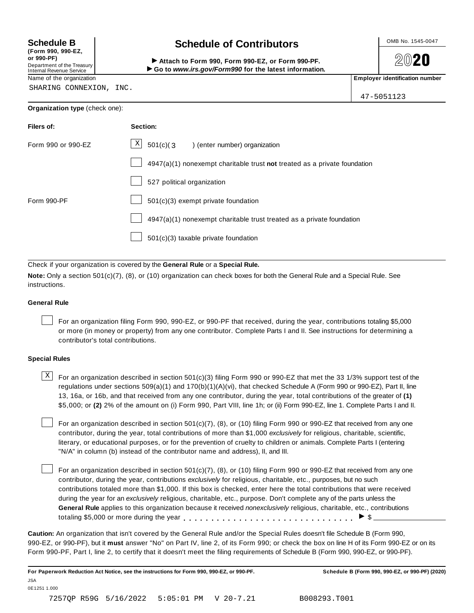**(Form 990, 990-EZ, or 990-PF)** Department of the Treasury Internal Revenue Service

## Schedule B **Schedule of Contributors**

Attach to Form 990, Form 990-EZ, or Form 990-PF. ▶ Go to www.irs.gov/Form990 for the latest information.

**2020** 

Name of the organization **Employer identification number Employer identification number** 

47-5051123

SHARING CONNEXION, INC.

#### **Organization type** (check one):

| Filers of:         | Section:                                                                    |  |  |
|--------------------|-----------------------------------------------------------------------------|--|--|
| Form 990 or 990-EZ | $X$ 501(c)(3) (enter number) organization                                   |  |  |
|                    | $4947(a)(1)$ nonexempt charitable trust not treated as a private foundation |  |  |
|                    | 527 political organization                                                  |  |  |
| Form 990-PF        | $501(c)(3)$ exempt private foundation                                       |  |  |
|                    | 4947(a)(1) nonexempt charitable trust treated as a private foundation       |  |  |
|                    | $501(c)(3)$ taxable private foundation                                      |  |  |

Check if your organization is covered by the **General Rule** or a **Special Rule.**

**Note:** Only a section 501(c)(7), (8), or (10) organization can check boxes for both the General Rule and a Special Rule. See instructions.

#### **General Rule**

For an organization filing Form 990, 990-EZ, or 990-PF that received, during the year, contributions totaling \$5,000 or more (in money or property) from any one contributor. Complete Parts I and II. See instructions for determining a contributor's total contributions.

#### **Special Rules**

 $\text{X}$  For an organization described in section 501(c)(3) filing Form 990 or 990-EZ that met the 33 1/3% support test of the regulations under sections 509(a)(1) and 170(b)(1)(A)(vi), that checked Schedule A (Form 990 or 990-EZ), Part II, line 13, 16a, or 16b, and that received from any one contributor, during the year, total contributions of the greater of **(1)** \$5,000; or **(2)** 2% of the amount on (i) Form 990, Part VIII, line 1h; or (ii) Form 990-EZ, line 1. Complete Parts I and II.

For an organization described in section 501(c)(7), (8), or (10) filing Form 990 or 990-EZ that received from any one contributor, during the year, total contributions of more than \$1,000 *exclusively* for religious, charitable, scientific, literary, or educational purposes, or for the prevention of cruelty to children or animals. Complete Parts I (entering "N/A" in column (b) instead of the contributor name and address), II, and III.

For an organization described in section  $501(c)(7)$ ,  $(8)$ , or  $(10)$  filing Form 990 or 990-EZ that received from any one contributor, during the year, contributions *exclusively* for religious, charitable, etc., purposes, but no such contributions totaled more than \$1,000. If this box is checked, enter here the total contributions that were received during the year for an *exclusively* religious, charitable, etc., purpose. Don't complete any of the parts unless the **General Rule** applies to this organization because it received *nonexclusively* religious, charitable, etc., contributions totaling \$5,000 or more during the year m m m m m m m m m m m m m m m m m m m m m m m m m m m m m m m <sup>I</sup> \$

**Caution:** An organization that isn't covered by the General Rule and/or the Special Rules doesn't file Schedule B (Form 990, 990-EZ, or 990-PF), but it **must** answer "No" on Part IV, line 2, of its Form 990; or check the box on line H of its Form 990-EZ or on its Form 990-PF, Part I, line 2, to certify that it doesn't meet the filing requirements of Schedule B (Form 990, 990-EZ, or 990-PF).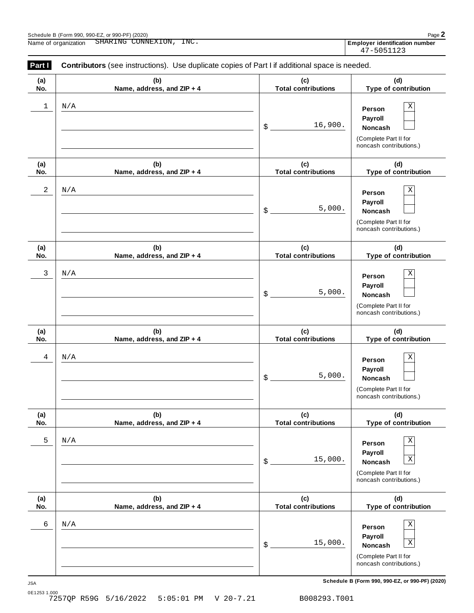| . ರ (Form 990. 990-E7<br>Schedule B | or $990-PF$ )<br>(2020)                                                       |      | Page.                                    |
|-------------------------------------|-------------------------------------------------------------------------------|------|------------------------------------------|
| Name<br>, organization<br>ot.       | vEXION<br>$$ $\triangle$ $\triangle$ $\triangle$<br>10 NNE x ∴<br><i>SHAR</i> | INC. | .<br>Employer<br>identification number : |

| <b>Employer identification number</b> |  |
|---------------------------------------|--|
| 47-5051123                            |  |

| Part I     | Contributors (see instructions). Use duplicate copies of Part I if additional space is needed. |                                   |                                                                                                                       |
|------------|------------------------------------------------------------------------------------------------|-----------------------------------|-----------------------------------------------------------------------------------------------------------------------|
| (a)<br>No. | (b)<br>Name, address, and ZIP + 4                                                              | (c)<br><b>Total contributions</b> | (d)<br>Type of contribution                                                                                           |
| 1          | N/A                                                                                            | 16,900.<br>\$                     | $\mathbf X$<br>Person<br>Payroll<br>Noncash<br>(Complete Part II for<br>noncash contributions.)                       |
| (a)<br>No. | (b)<br>Name, address, and ZIP + 4                                                              | (c)<br><b>Total contributions</b> | (d)<br>Type of contribution                                                                                           |
| 2          | N/A                                                                                            | 5,000.<br>\$                      | $\mathbf X$<br>Person<br>Payroll<br>Noncash<br>(Complete Part II for<br>noncash contributions.)                       |
| (a)<br>No. | (b)<br>Name, address, and ZIP + 4                                                              | (c)<br><b>Total contributions</b> | (d)<br>Type of contribution                                                                                           |
| 3          | N/A                                                                                            | 5,000.<br>\$                      | $\mathbf X$<br>Person<br>Payroll<br>Noncash<br>(Complete Part II for<br>noncash contributions.)                       |
| (a)<br>No. | (b)<br>Name, address, and ZIP + 4                                                              | (c)<br><b>Total contributions</b> | (d)<br>Type of contribution                                                                                           |
| 4          | N/A                                                                                            | 5,000.<br>\$                      | $\mathbf X$<br>Person<br>Payroll<br>Noncash<br>(Complete Part II for<br>noncash contributions.)                       |
| (a)<br>No. | (b)<br>Name, address, and ZIP + 4                                                              | (c)<br><b>Total contributions</b> | (d)<br>Type of contribution                                                                                           |
| 5          | N/A                                                                                            | 15,000.<br>\$                     | $\mathbf X$<br>Person<br>Payroll<br>$\mathbf X$<br><b>Noncash</b><br>(Complete Part II for<br>noncash contributions.) |
| (a)<br>No. | (b)<br>Name, address, and ZIP + 4                                                              | (c)<br><b>Total contributions</b> | (d)<br>Type of contribution                                                                                           |
| 6          | N/A                                                                                            | 15,000.<br>\$                     | $\mathbf X$<br>Person<br>Payroll<br>$\mathbf X$<br><b>Noncash</b><br>(Complete Part II for<br>noncash contributions.) |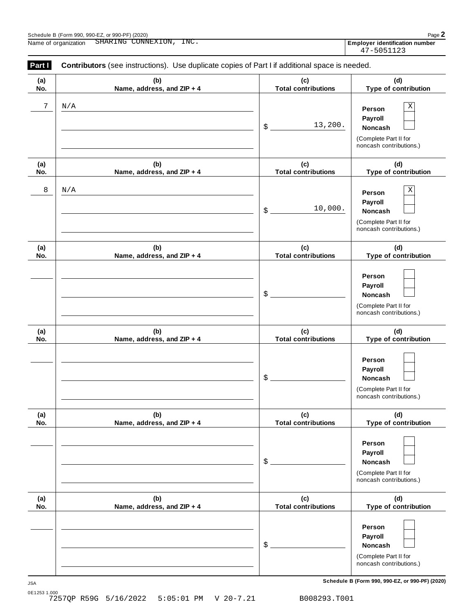| Schedule B                                      | B (Form 990, 990-EZ, or 990-PF) (2020) |      |                                            | $Page$ . |
|-------------------------------------------------|----------------------------------------|------|--------------------------------------------|----------|
| $\ddot{\phantom{1}}$<br>Name of<br>organization | ON<br>ARING<br><b>TONNEA</b><br>SHAR   | INC. | ∶ identification number<br><b>Employer</b> |          |

| <b>Employer identification number</b> |  |
|---------------------------------------|--|
| 47-5051123                            |  |

| Part I     | Contributors (see instructions). Use duplicate copies of Part I if additional space is needed. |                                   |                                                                                                 |  |  |  |
|------------|------------------------------------------------------------------------------------------------|-----------------------------------|-------------------------------------------------------------------------------------------------|--|--|--|
| (a)<br>No. | (b)<br>Name, address, and ZIP + 4                                                              | (c)<br><b>Total contributions</b> | (d)<br>Type of contribution                                                                     |  |  |  |
| 7          | N/A                                                                                            | 13,200.<br>\$                     | $\mathbf X$<br>Person<br>Payroll<br>Noncash<br>(Complete Part II for<br>noncash contributions.) |  |  |  |
| (a)<br>No. | (b)<br>Name, address, and ZIP + 4                                                              | (c)<br><b>Total contributions</b> | (d)<br>Type of contribution                                                                     |  |  |  |
| 8          | N/A                                                                                            | 10,000.<br>\$                     | X<br>Person<br>Payroll<br>Noncash<br>(Complete Part II for<br>noncash contributions.)           |  |  |  |
| (a)<br>No. | (b)<br>Name, address, and ZIP + 4                                                              | (c)<br><b>Total contributions</b> | (d)<br>Type of contribution                                                                     |  |  |  |
|            |                                                                                                | \$                                | Person<br>Payroll<br>Noncash<br>(Complete Part II for<br>noncash contributions.)                |  |  |  |
| (a)<br>No. | (b)<br>Name, address, and ZIP + 4                                                              | (c)<br><b>Total contributions</b> | (d)<br>Type of contribution                                                                     |  |  |  |
|            |                                                                                                | \$                                | Person<br>Payroll<br>Noncash<br>(Complete Part II for<br>noncash contributions.)                |  |  |  |
| (a)<br>No. | (b)<br>Name, address, and ZIP + 4                                                              | (c)<br><b>Total contributions</b> | (d)<br>Type of contribution                                                                     |  |  |  |
|            |                                                                                                | \$                                | Person<br>Payroll<br>Noncash<br>(Complete Part II for<br>noncash contributions.)                |  |  |  |
| (a)<br>No. | (b)<br>Name, address, and ZIP + 4                                                              | (c)<br><b>Total contributions</b> | (d)<br>Type of contribution                                                                     |  |  |  |
|            |                                                                                                | \$                                | Person<br>Payroll<br>Noncash<br>(Complete Part II for<br>noncash contributions.)                |  |  |  |

**Schedule B (Form 990, 990-EZ, or 990-PF) (2020)** JSA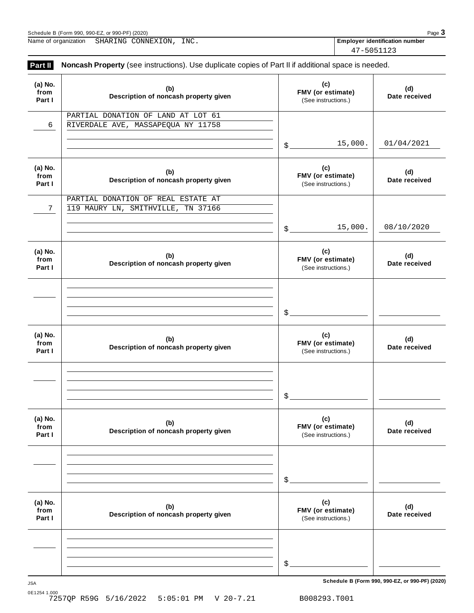| Name of organization | SHARING CONNEXION, INC. |
|----------------------|-------------------------|
|----------------------|-------------------------|

**Employer identification number** 47-5051123

| (a) No.<br>from<br>Part I | (b)<br>Description of noncash property given |             | (c)<br>FMV (or estimate)<br>(See instructions.) |                      |
|---------------------------|----------------------------------------------|-------------|-------------------------------------------------|----------------------|
|                           | PARTIAL DONATION OF LAND AT LOT 61           |             |                                                 |                      |
| 6                         | RIVERDALE AVE, MASSAPEQUA NY 11758           |             |                                                 |                      |
|                           |                                              | $$^{\circ}$ | 15,000.                                         | 01/04/2021           |
| (a) No.<br>from<br>Part I | (b)<br>Description of noncash property given |             | (c)<br>FMV (or estimate)<br>(See instructions.) | (d)<br>Date received |
|                           | PARTIAL DONATION OF REAL ESTATE AT           |             |                                                 |                      |
| 7                         | 119 MAURY LN, SMITHVILLE, TN 37166           |             |                                                 |                      |
|                           |                                              | $$^{\circ}$ | 15,000.                                         | 08/10/2020           |
| (a) No.<br>from<br>Part I | (b)<br>Description of noncash property given |             | (c)<br>FMV (or estimate)<br>(See instructions.) | (d)<br>Date received |
|                           |                                              |             |                                                 |                      |
|                           |                                              |             |                                                 |                      |
|                           |                                              | $\$\$       |                                                 |                      |
| (a) No.<br>from<br>Part I | (b)<br>Description of noncash property given |             | (c)<br>FMV (or estimate)<br>(See instructions.) | (d)<br>Date received |
|                           |                                              |             |                                                 |                      |
|                           |                                              |             |                                                 |                      |
|                           |                                              | \$          |                                                 |                      |
| (a) No.<br>from<br>Part I | (b)<br>Description of noncash property given |             | (c)<br>FMV (or estimate)<br>(See instructions.) | (d)<br>Date received |
|                           |                                              |             |                                                 |                      |
|                           |                                              | \$          |                                                 |                      |
| (a) No.<br>from<br>Part I | (b)<br>Description of noncash property given |             | (c)<br>FMV (or estimate)<br>(See instructions.) | (d)<br>Date received |
|                           |                                              |             |                                                 |                      |
|                           |                                              |             |                                                 |                      |
|                           |                                              | \$          |                                                 |                      |

**Schedule B (Form 990, 990-EZ, or 990-PF) (2020)** JSA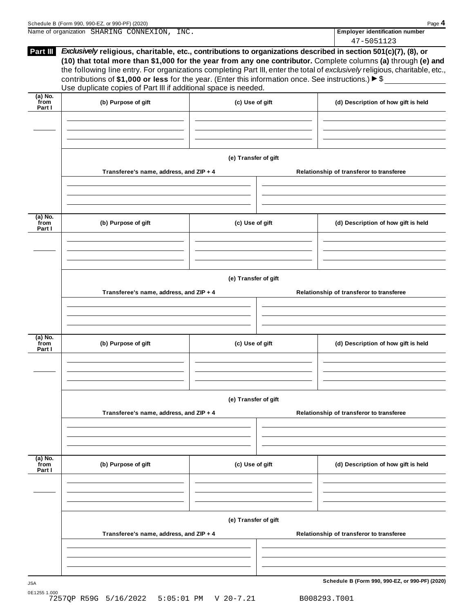| Part III                   | Name of organization SHARING CONNEXION, INC.<br>Exclusively religious, charitable, etc., contributions to organizations described in section 501(c)(7), (8), or                        |                      | <b>Employer identification number</b><br>47-5051123                                                                                                                                                                                           |
|----------------------------|----------------------------------------------------------------------------------------------------------------------------------------------------------------------------------------|----------------------|-----------------------------------------------------------------------------------------------------------------------------------------------------------------------------------------------------------------------------------------------|
|                            | contributions of \$1,000 or less for the year. (Enter this information once. See instructions.) $\triangleright$ \$<br>Use duplicate copies of Part III if additional space is needed. |                      | (10) that total more than \$1,000 for the year from any one contributor. Complete columns (a) through (e) and<br>the following line entry. For organizations completing Part III, enter the total of exclusively religious, charitable, etc., |
| (a) No.<br>from<br>Part I  | (b) Purpose of gift                                                                                                                                                                    | (c) Use of gift      | (d) Description of how gift is held                                                                                                                                                                                                           |
|                            |                                                                                                                                                                                        | (e) Transfer of gift |                                                                                                                                                                                                                                               |
|                            | Transferee's name, address, and ZIP + 4                                                                                                                                                |                      | Relationship of transferor to transferee                                                                                                                                                                                                      |
| (a) No.<br>from<br>Part I  | (b) Purpose of gift                                                                                                                                                                    | (c) Use of gift      | (d) Description of how gift is held                                                                                                                                                                                                           |
|                            | Transferee's name, address, and ZIP + 4                                                                                                                                                | (e) Transfer of gift | Relationship of transferor to transferee                                                                                                                                                                                                      |
|                            |                                                                                                                                                                                        |                      |                                                                                                                                                                                                                                               |
| (a) No.<br>from<br>Part I  | (b) Purpose of gift                                                                                                                                                                    | (c) Use of gift      | (d) Description of how gift is held                                                                                                                                                                                                           |
|                            |                                                                                                                                                                                        | (e) Transfer of gift |                                                                                                                                                                                                                                               |
|                            | Transferee's name, address, and ZIP + 4                                                                                                                                                |                      | Relationship of transferor to transferee                                                                                                                                                                                                      |
| (a) No.<br>`from<br>Part I | (b) Purpose of gift                                                                                                                                                                    | (c) Use of gift      | (d) Description of how gift is held                                                                                                                                                                                                           |
|                            |                                                                                                                                                                                        | (e) Transfer of gift |                                                                                                                                                                                                                                               |
|                            | Transferee's name, address, and ZIP + 4                                                                                                                                                |                      | Relationship of transferor to transferee                                                                                                                                                                                                      |
|                            |                                                                                                                                                                                        |                      |                                                                                                                                                                                                                                               |

0E1255 1.000 7257QP R59G 5/16/2022 5:05:01 PM V 20-7.21 B008293.T001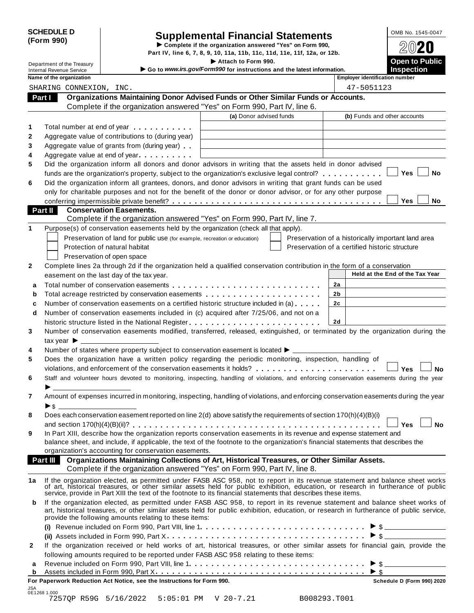| <b>SCHEDULE D</b> |  |
|-------------------|--|
| (Form 990)        |  |

# SCHEDULE D<br>
Supplemental Financial Statements<br>
Form 990) Part IV, line 6, 7, 8, 9, 10, 11a, 11b, 11c, 11d, 11e, 11f, 12a, or 12b.

|                                 |                            |                                                                                                                                                                                                                                                                                                                                  | Part IV, line 6, 7, 8, 9, 10, 11a, 11b, 11c, 11d, 11e, 11f, 12a, or 12b.                      |                                                    |                                            |           |
|---------------------------------|----------------------------|----------------------------------------------------------------------------------------------------------------------------------------------------------------------------------------------------------------------------------------------------------------------------------------------------------------------------------|-----------------------------------------------------------------------------------------------|----------------------------------------------------|--------------------------------------------|-----------|
|                                 | Department of the Treasury |                                                                                                                                                                                                                                                                                                                                  | Attach to Form 990.<br>Go to www.irs.gov/Form990 for instructions and the latest information. |                                                    | <b>Open to Public</b><br><b>Inspection</b> |           |
| <b>Internal Revenue Service</b> | Name of the organization   |                                                                                                                                                                                                                                                                                                                                  |                                                                                               | <b>Employer identification number</b>              |                                            |           |
|                                 | SHARING CONNEXION, INC.    |                                                                                                                                                                                                                                                                                                                                  |                                                                                               | 47-5051123                                         |                                            |           |
| Part I                          |                            | Organizations Maintaining Donor Advised Funds or Other Similar Funds or Accounts.                                                                                                                                                                                                                                                |                                                                                               |                                                    |                                            |           |
|                                 |                            | Complete if the organization answered "Yes" on Form 990, Part IV, line 6.                                                                                                                                                                                                                                                        |                                                                                               |                                                    |                                            |           |
|                                 |                            |                                                                                                                                                                                                                                                                                                                                  | (a) Donor advised funds                                                                       |                                                    | (b) Funds and other accounts               |           |
|                                 |                            | Total number at end of year entitled as a set of the set of the set of the set of the set of the set of the set of the set of the set of the set of the set of the set of the set of the set of the set of the set of the set                                                                                                    |                                                                                               |                                                    |                                            |           |
|                                 |                            | Aggregate value of contributions to (during year)                                                                                                                                                                                                                                                                                |                                                                                               |                                                    |                                            |           |
|                                 |                            | Aggregate value of grants from (during year)                                                                                                                                                                                                                                                                                     |                                                                                               |                                                    |                                            |           |
|                                 |                            | Aggregate value at end of year                                                                                                                                                                                                                                                                                                   |                                                                                               |                                                    |                                            |           |
|                                 |                            | Did the organization inform all donors and donor advisors in writing that the assets held in donor advised                                                                                                                                                                                                                       |                                                                                               |                                                    |                                            |           |
|                                 |                            | funds are the organization's property, subject to the organization's exclusive legal control?                                                                                                                                                                                                                                    |                                                                                               |                                                    | Yes                                        | <b>No</b> |
|                                 |                            | Did the organization inform all grantees, donors, and donor advisors in writing that grant funds can be used                                                                                                                                                                                                                     |                                                                                               |                                                    |                                            |           |
|                                 |                            | only for charitable purposes and not for the benefit of the donor or donor advisor, or for any other purpose                                                                                                                                                                                                                     |                                                                                               |                                                    |                                            |           |
|                                 |                            |                                                                                                                                                                                                                                                                                                                                  |                                                                                               |                                                    | <b>Yes</b>                                 | No        |
| Part II                         |                            | <b>Conservation Easements.</b>                                                                                                                                                                                                                                                                                                   |                                                                                               |                                                    |                                            |           |
|                                 |                            | Complete if the organization answered "Yes" on Form 990, Part IV, line 7.                                                                                                                                                                                                                                                        |                                                                                               |                                                    |                                            |           |
|                                 |                            | Purpose(s) of conservation easements held by the organization (check all that apply).                                                                                                                                                                                                                                            |                                                                                               |                                                    |                                            |           |
|                                 |                            | Preservation of land for public use (for example, recreation or education)                                                                                                                                                                                                                                                       |                                                                                               | Preservation of a historically important land area |                                            |           |
|                                 |                            | Protection of natural habitat                                                                                                                                                                                                                                                                                                    |                                                                                               | Preservation of a certified historic structure     |                                            |           |
|                                 |                            | Preservation of open space                                                                                                                                                                                                                                                                                                       |                                                                                               |                                                    |                                            |           |
|                                 |                            | Complete lines 2a through 2d if the organization held a qualified conservation contribution in the form of a conservation                                                                                                                                                                                                        |                                                                                               |                                                    |                                            |           |
|                                 |                            | easement on the last day of the tax year.                                                                                                                                                                                                                                                                                        |                                                                                               |                                                    | Held at the End of the Tax Year            |           |
|                                 |                            |                                                                                                                                                                                                                                                                                                                                  |                                                                                               | 2a                                                 |                                            |           |
|                                 |                            | Total acreage restricted by conservation easements                                                                                                                                                                                                                                                                               |                                                                                               | 2b                                                 |                                            |           |
| c                               |                            | Number of conservation easements on a certified historic structure included in (a)                                                                                                                                                                                                                                               |                                                                                               | 2c                                                 |                                            |           |
| d                               |                            | Number of conservation easements included in (c) acquired after 7/25/06, and not on a                                                                                                                                                                                                                                            |                                                                                               |                                                    |                                            |           |
|                                 |                            | historic structure listed in the National Register                                                                                                                                                                                                                                                                               |                                                                                               | 2d                                                 |                                            |           |
|                                 |                            | Number of conservation easements modified, transferred, released, extinguished, or terminated by the organization during the                                                                                                                                                                                                     |                                                                                               |                                                    |                                            |           |
| tax year $\blacktriangleright$  |                            |                                                                                                                                                                                                                                                                                                                                  |                                                                                               |                                                    |                                            |           |
|                                 |                            | Number of states where property subject to conservation easement is located ▶ __________                                                                                                                                                                                                                                         |                                                                                               |                                                    |                                            |           |
|                                 |                            | Does the organization have a written policy regarding the periodic monitoring, inspection, handling of                                                                                                                                                                                                                           |                                                                                               |                                                    |                                            |           |
|                                 |                            | violations, and enforcement of the conservation easements it holds?<br>Staff and volunteer hours devoted to monitoring, inspecting, handling of violations, and enforcing conservation easements during the year                                                                                                                 |                                                                                               |                                                    | <b>Yes</b>                                 | <b>No</b> |
|                                 |                            |                                                                                                                                                                                                                                                                                                                                  |                                                                                               |                                                    |                                            |           |
|                                 |                            | Amount of expenses incurred in monitoring, inspecting, handling of violations, and enforcing conservation easements during the year                                                                                                                                                                                              |                                                                                               |                                                    |                                            |           |
| $\triangleright$ s $\perp$      |                            |                                                                                                                                                                                                                                                                                                                                  |                                                                                               |                                                    |                                            |           |
|                                 |                            | Does each conservation easement reported on line 2(d) above satisfy the requirements of section 170(h)(4)(B)(i)                                                                                                                                                                                                                  |                                                                                               |                                                    |                                            |           |
|                                 |                            |                                                                                                                                                                                                                                                                                                                                  |                                                                                               |                                                    | <b>Yes</b>                                 | <b>No</b> |
|                                 |                            | In Part XIII, describe how the organization reports conservation easements in its revenue and expense statement and                                                                                                                                                                                                              |                                                                                               |                                                    |                                            |           |
|                                 |                            | balance sheet, and include, if applicable, the text of the footnote to the organization's financial statements that describes the                                                                                                                                                                                                |                                                                                               |                                                    |                                            |           |
|                                 |                            | organization's accounting for conservation easements.                                                                                                                                                                                                                                                                            |                                                                                               |                                                    |                                            |           |
| Part III                        |                            | Organizations Maintaining Collections of Art, Historical Treasures, or Other Similar Assets.                                                                                                                                                                                                                                     |                                                                                               |                                                    |                                            |           |
|                                 |                            | Complete if the organization answered "Yes" on Form 990, Part IV, line 8.                                                                                                                                                                                                                                                        |                                                                                               |                                                    |                                            |           |
| 1а                              |                            | If the organization elected, as permitted under FASB ASC 958, not to report in its revenue statement and balance sheet works<br>of art, historical treasures, or other similar assets held for public exhibition, education, or r                                                                                                |                                                                                               |                                                    |                                            |           |
|                                 |                            | service, provide in Part XIII the text of the footnote to its financial statements that describes these items.                                                                                                                                                                                                                   |                                                                                               |                                                    |                                            |           |
| b                               |                            | If the organization elected, as permitted under FASB ASC 958, to report in its revenue statement and balance sheet works of<br>art, historical treasures, or other similar assets held for public exhibition, education, or research in furtherance of public service,<br>provide the following amounts relating to these items: |                                                                                               |                                                    |                                            |           |
|                                 |                            |                                                                                                                                                                                                                                                                                                                                  |                                                                                               |                                                    |                                            |           |
|                                 |                            |                                                                                                                                                                                                                                                                                                                                  |                                                                                               |                                                    |                                            |           |
|                                 |                            | If the organization received or held works of art, historical treasures, or other similar assets for financial gain, provide the                                                                                                                                                                                                 |                                                                                               |                                                    |                                            |           |
|                                 |                            | following amounts required to be reported under FASB ASC 958 relating to these items:                                                                                                                                                                                                                                            |                                                                                               |                                                    |                                            |           |
|                                 |                            |                                                                                                                                                                                                                                                                                                                                  |                                                                                               |                                                    |                                            |           |
|                                 |                            |                                                                                                                                                                                                                                                                                                                                  |                                                                                               |                                                    |                                            |           |
| а<br>b                          |                            |                                                                                                                                                                                                                                                                                                                                  |                                                                                               | $\blacktriangleright$ \$                           |                                            |           |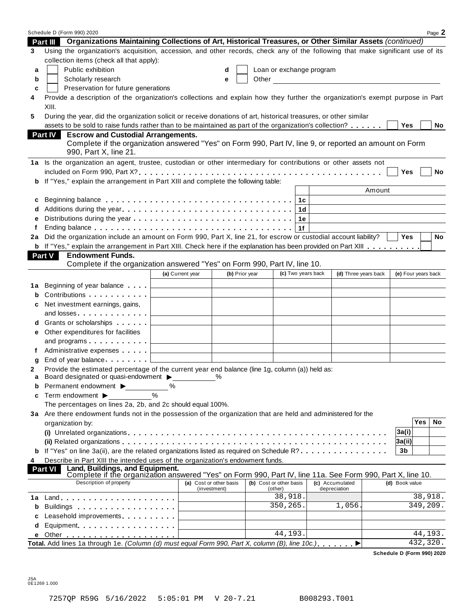| Part III Organizations Maintaining Collections of Art, Historical Treasures, or Other Similar Assets (continued)<br>Using the organization's acquisition, accession, and other records, check any of the following that make significant use of its<br>3<br>collection items (check all that apply):<br>Public exhibition<br>Loan or exchange program<br>a<br>d<br>Scholarly research<br>b<br>e<br>Preservation for future generations<br>c<br>Provide a description of the organization's collections and explain how they further the organization's exempt purpose in Part<br>4<br>XIII.<br>During the year, did the organization solicit or receive donations of art, historical treasures, or other similar<br>5<br>assets to be sold to raise funds rather than to be maintained as part of the organization's collection?<br><b>Yes</b><br>No<br><b>Escrow and Custodial Arrangements.</b><br><b>Part IV</b><br>Complete if the organization answered "Yes" on Form 990, Part IV, line 9, or reported an amount on Form<br>990, Part X, line 21.<br>1a Is the organization an agent, trustee, custodian or other intermediary for contributions or other assets not<br>Yes<br>No<br>If "Yes," explain the arrangement in Part XIII and complete the following table:<br>b<br>Amount<br>Beginning balance enterpreteration of the contract of the contract of the contract of the contract of the contr<br>c<br>1с<br>1d<br>d<br>e<br>1е<br>f<br>1f<br>2a Did the organization include an amount on Form 990, Part X, line 21, for escrow or custodial account liability?<br>Yes<br>No<br><b>b</b> If "Yes," explain the arrangement in Part XIII. Check here if the explanation has been provided on Part XIII<br><b>Endowment Funds.</b><br>Part V<br>Complete if the organization answered "Yes" on Form 990, Part IV, line 10.<br>(c) Two years back<br>(d) Three years back<br>(e) Four years back<br>(a) Current year<br>(b) Prior year<br>Beginning of year balance $\qquad \qquad \downarrow$<br>1a<br>Contributions<br>b<br>Net investment earnings, gains,<br>С<br>and losses<br>Grants or scholarships<br>d<br>Other expenditures for facilities<br>е<br>and programs $\ldots \ldots \ldots$<br>Administrative expenses<br>f<br>End of year balance $\ldots$<br>g<br>Provide the estimated percentage of the current year end balance (line 1g, column (a)) held as:<br>2<br>Board designated or quasi-endowment ><br>%<br>а<br>Permanent endowment ▶<br>%<br>b<br>$\frac{0}{0}$<br>Term endowment ▶<br>c<br>The percentages on lines 2a, 2b, and 2c should equal 100%.<br>3a Are there endowment funds not in the possession of the organization that are held and administered for the<br><b>Yes</b><br>No<br>organization by:<br>3a(i)<br> 3a(ii) <br>If "Yes" on line 3a(ii), are the related organizations listed as required on Schedule R?<br>3b<br>b<br>Describe in Part XIII the intended uses of the organization's endowment funds.<br>4<br>Land, Buildings, and Equipment.<br><b>Part VI</b><br>Complete if the organization answered "Yes" on Form 990, Part IV, line 11a. See Form 990, Part X, line 10.<br>Description of property<br>(a) Cost or other basis<br>(b) Cost or other basis<br>(c) Accumulated<br>(d) Book value<br>(investment)<br>(other)<br>depreciation<br>38,918.<br>38,918.<br>1а<br>350,265.<br>349,209.<br>1,056.<br>b<br>Leasehold improvements [19]<br>c<br>Equipment<br>d<br>44,193.<br>44,193.<br>е<br>Total. Add lines 1a through 1e. (Column (d) must equal Form 990, Part X, column (B), line 10c.) $\ldots$ ,<br>432,320.<br>Schedule D (Form 990) 2020 | Schedule D (Form 990) 2020 |  |  |  | Page 2 |
|----------------------------------------------------------------------------------------------------------------------------------------------------------------------------------------------------------------------------------------------------------------------------------------------------------------------------------------------------------------------------------------------------------------------------------------------------------------------------------------------------------------------------------------------------------------------------------------------------------------------------------------------------------------------------------------------------------------------------------------------------------------------------------------------------------------------------------------------------------------------------------------------------------------------------------------------------------------------------------------------------------------------------------------------------------------------------------------------------------------------------------------------------------------------------------------------------------------------------------------------------------------------------------------------------------------------------------------------------------------------------------------------------------------------------------------------------------------------------------------------------------------------------------------------------------------------------------------------------------------------------------------------------------------------------------------------------------------------------------------------------------------------------------------------------------------------------------------------------------------------------------------------------------------------------------------------------------------------------------------------------------------------------------------------------------------------------------------------------------------------------------------------------------------------------------------------------------------------------------------------------------------------------------------------------------------------------------------------------------------------------------------------------------------------------------------------------------------------------------------------------------------------------------------------------------------------------------------------------------------------------------------------------------------------------------------------------------------------------------------------------------------------------------------------------------------------------------------------------------------------------------------------------------------------------------------------------------------------------------------------------------------------------------------------------------------------------------------------------------------------------------------------------------------------------------------------------------------------------------------------------------------------------------------------------------------------------------------------------------------------------------------------------------------------------------------------------------------------------------------------------------------------------------------------------------------------------------------------------------------------|----------------------------|--|--|--|--------|
|                                                                                                                                                                                                                                                                                                                                                                                                                                                                                                                                                                                                                                                                                                                                                                                                                                                                                                                                                                                                                                                                                                                                                                                                                                                                                                                                                                                                                                                                                                                                                                                                                                                                                                                                                                                                                                                                                                                                                                                                                                                                                                                                                                                                                                                                                                                                                                                                                                                                                                                                                                                                                                                                                                                                                                                                                                                                                                                                                                                                                                                                                                                                                                                                                                                                                                                                                                                                                                                                                                                                                                                                                      |                            |  |  |  |        |
|                                                                                                                                                                                                                                                                                                                                                                                                                                                                                                                                                                                                                                                                                                                                                                                                                                                                                                                                                                                                                                                                                                                                                                                                                                                                                                                                                                                                                                                                                                                                                                                                                                                                                                                                                                                                                                                                                                                                                                                                                                                                                                                                                                                                                                                                                                                                                                                                                                                                                                                                                                                                                                                                                                                                                                                                                                                                                                                                                                                                                                                                                                                                                                                                                                                                                                                                                                                                                                                                                                                                                                                                                      |                            |  |  |  |        |
|                                                                                                                                                                                                                                                                                                                                                                                                                                                                                                                                                                                                                                                                                                                                                                                                                                                                                                                                                                                                                                                                                                                                                                                                                                                                                                                                                                                                                                                                                                                                                                                                                                                                                                                                                                                                                                                                                                                                                                                                                                                                                                                                                                                                                                                                                                                                                                                                                                                                                                                                                                                                                                                                                                                                                                                                                                                                                                                                                                                                                                                                                                                                                                                                                                                                                                                                                                                                                                                                                                                                                                                                                      |                            |  |  |  |        |
|                                                                                                                                                                                                                                                                                                                                                                                                                                                                                                                                                                                                                                                                                                                                                                                                                                                                                                                                                                                                                                                                                                                                                                                                                                                                                                                                                                                                                                                                                                                                                                                                                                                                                                                                                                                                                                                                                                                                                                                                                                                                                                                                                                                                                                                                                                                                                                                                                                                                                                                                                                                                                                                                                                                                                                                                                                                                                                                                                                                                                                                                                                                                                                                                                                                                                                                                                                                                                                                                                                                                                                                                                      |                            |  |  |  |        |
|                                                                                                                                                                                                                                                                                                                                                                                                                                                                                                                                                                                                                                                                                                                                                                                                                                                                                                                                                                                                                                                                                                                                                                                                                                                                                                                                                                                                                                                                                                                                                                                                                                                                                                                                                                                                                                                                                                                                                                                                                                                                                                                                                                                                                                                                                                                                                                                                                                                                                                                                                                                                                                                                                                                                                                                                                                                                                                                                                                                                                                                                                                                                                                                                                                                                                                                                                                                                                                                                                                                                                                                                                      |                            |  |  |  |        |
|                                                                                                                                                                                                                                                                                                                                                                                                                                                                                                                                                                                                                                                                                                                                                                                                                                                                                                                                                                                                                                                                                                                                                                                                                                                                                                                                                                                                                                                                                                                                                                                                                                                                                                                                                                                                                                                                                                                                                                                                                                                                                                                                                                                                                                                                                                                                                                                                                                                                                                                                                                                                                                                                                                                                                                                                                                                                                                                                                                                                                                                                                                                                                                                                                                                                                                                                                                                                                                                                                                                                                                                                                      |                            |  |  |  |        |
|                                                                                                                                                                                                                                                                                                                                                                                                                                                                                                                                                                                                                                                                                                                                                                                                                                                                                                                                                                                                                                                                                                                                                                                                                                                                                                                                                                                                                                                                                                                                                                                                                                                                                                                                                                                                                                                                                                                                                                                                                                                                                                                                                                                                                                                                                                                                                                                                                                                                                                                                                                                                                                                                                                                                                                                                                                                                                                                                                                                                                                                                                                                                                                                                                                                                                                                                                                                                                                                                                                                                                                                                                      |                            |  |  |  |        |
|                                                                                                                                                                                                                                                                                                                                                                                                                                                                                                                                                                                                                                                                                                                                                                                                                                                                                                                                                                                                                                                                                                                                                                                                                                                                                                                                                                                                                                                                                                                                                                                                                                                                                                                                                                                                                                                                                                                                                                                                                                                                                                                                                                                                                                                                                                                                                                                                                                                                                                                                                                                                                                                                                                                                                                                                                                                                                                                                                                                                                                                                                                                                                                                                                                                                                                                                                                                                                                                                                                                                                                                                                      |                            |  |  |  |        |
|                                                                                                                                                                                                                                                                                                                                                                                                                                                                                                                                                                                                                                                                                                                                                                                                                                                                                                                                                                                                                                                                                                                                                                                                                                                                                                                                                                                                                                                                                                                                                                                                                                                                                                                                                                                                                                                                                                                                                                                                                                                                                                                                                                                                                                                                                                                                                                                                                                                                                                                                                                                                                                                                                                                                                                                                                                                                                                                                                                                                                                                                                                                                                                                                                                                                                                                                                                                                                                                                                                                                                                                                                      |                            |  |  |  |        |
|                                                                                                                                                                                                                                                                                                                                                                                                                                                                                                                                                                                                                                                                                                                                                                                                                                                                                                                                                                                                                                                                                                                                                                                                                                                                                                                                                                                                                                                                                                                                                                                                                                                                                                                                                                                                                                                                                                                                                                                                                                                                                                                                                                                                                                                                                                                                                                                                                                                                                                                                                                                                                                                                                                                                                                                                                                                                                                                                                                                                                                                                                                                                                                                                                                                                                                                                                                                                                                                                                                                                                                                                                      |                            |  |  |  |        |
|                                                                                                                                                                                                                                                                                                                                                                                                                                                                                                                                                                                                                                                                                                                                                                                                                                                                                                                                                                                                                                                                                                                                                                                                                                                                                                                                                                                                                                                                                                                                                                                                                                                                                                                                                                                                                                                                                                                                                                                                                                                                                                                                                                                                                                                                                                                                                                                                                                                                                                                                                                                                                                                                                                                                                                                                                                                                                                                                                                                                                                                                                                                                                                                                                                                                                                                                                                                                                                                                                                                                                                                                                      |                            |  |  |  |        |
|                                                                                                                                                                                                                                                                                                                                                                                                                                                                                                                                                                                                                                                                                                                                                                                                                                                                                                                                                                                                                                                                                                                                                                                                                                                                                                                                                                                                                                                                                                                                                                                                                                                                                                                                                                                                                                                                                                                                                                                                                                                                                                                                                                                                                                                                                                                                                                                                                                                                                                                                                                                                                                                                                                                                                                                                                                                                                                                                                                                                                                                                                                                                                                                                                                                                                                                                                                                                                                                                                                                                                                                                                      |                            |  |  |  |        |
|                                                                                                                                                                                                                                                                                                                                                                                                                                                                                                                                                                                                                                                                                                                                                                                                                                                                                                                                                                                                                                                                                                                                                                                                                                                                                                                                                                                                                                                                                                                                                                                                                                                                                                                                                                                                                                                                                                                                                                                                                                                                                                                                                                                                                                                                                                                                                                                                                                                                                                                                                                                                                                                                                                                                                                                                                                                                                                                                                                                                                                                                                                                                                                                                                                                                                                                                                                                                                                                                                                                                                                                                                      |                            |  |  |  |        |
|                                                                                                                                                                                                                                                                                                                                                                                                                                                                                                                                                                                                                                                                                                                                                                                                                                                                                                                                                                                                                                                                                                                                                                                                                                                                                                                                                                                                                                                                                                                                                                                                                                                                                                                                                                                                                                                                                                                                                                                                                                                                                                                                                                                                                                                                                                                                                                                                                                                                                                                                                                                                                                                                                                                                                                                                                                                                                                                                                                                                                                                                                                                                                                                                                                                                                                                                                                                                                                                                                                                                                                                                                      |                            |  |  |  |        |
|                                                                                                                                                                                                                                                                                                                                                                                                                                                                                                                                                                                                                                                                                                                                                                                                                                                                                                                                                                                                                                                                                                                                                                                                                                                                                                                                                                                                                                                                                                                                                                                                                                                                                                                                                                                                                                                                                                                                                                                                                                                                                                                                                                                                                                                                                                                                                                                                                                                                                                                                                                                                                                                                                                                                                                                                                                                                                                                                                                                                                                                                                                                                                                                                                                                                                                                                                                                                                                                                                                                                                                                                                      |                            |  |  |  |        |
|                                                                                                                                                                                                                                                                                                                                                                                                                                                                                                                                                                                                                                                                                                                                                                                                                                                                                                                                                                                                                                                                                                                                                                                                                                                                                                                                                                                                                                                                                                                                                                                                                                                                                                                                                                                                                                                                                                                                                                                                                                                                                                                                                                                                                                                                                                                                                                                                                                                                                                                                                                                                                                                                                                                                                                                                                                                                                                                                                                                                                                                                                                                                                                                                                                                                                                                                                                                                                                                                                                                                                                                                                      |                            |  |  |  |        |
|                                                                                                                                                                                                                                                                                                                                                                                                                                                                                                                                                                                                                                                                                                                                                                                                                                                                                                                                                                                                                                                                                                                                                                                                                                                                                                                                                                                                                                                                                                                                                                                                                                                                                                                                                                                                                                                                                                                                                                                                                                                                                                                                                                                                                                                                                                                                                                                                                                                                                                                                                                                                                                                                                                                                                                                                                                                                                                                                                                                                                                                                                                                                                                                                                                                                                                                                                                                                                                                                                                                                                                                                                      |                            |  |  |  |        |
|                                                                                                                                                                                                                                                                                                                                                                                                                                                                                                                                                                                                                                                                                                                                                                                                                                                                                                                                                                                                                                                                                                                                                                                                                                                                                                                                                                                                                                                                                                                                                                                                                                                                                                                                                                                                                                                                                                                                                                                                                                                                                                                                                                                                                                                                                                                                                                                                                                                                                                                                                                                                                                                                                                                                                                                                                                                                                                                                                                                                                                                                                                                                                                                                                                                                                                                                                                                                                                                                                                                                                                                                                      |                            |  |  |  |        |
|                                                                                                                                                                                                                                                                                                                                                                                                                                                                                                                                                                                                                                                                                                                                                                                                                                                                                                                                                                                                                                                                                                                                                                                                                                                                                                                                                                                                                                                                                                                                                                                                                                                                                                                                                                                                                                                                                                                                                                                                                                                                                                                                                                                                                                                                                                                                                                                                                                                                                                                                                                                                                                                                                                                                                                                                                                                                                                                                                                                                                                                                                                                                                                                                                                                                                                                                                                                                                                                                                                                                                                                                                      |                            |  |  |  |        |
|                                                                                                                                                                                                                                                                                                                                                                                                                                                                                                                                                                                                                                                                                                                                                                                                                                                                                                                                                                                                                                                                                                                                                                                                                                                                                                                                                                                                                                                                                                                                                                                                                                                                                                                                                                                                                                                                                                                                                                                                                                                                                                                                                                                                                                                                                                                                                                                                                                                                                                                                                                                                                                                                                                                                                                                                                                                                                                                                                                                                                                                                                                                                                                                                                                                                                                                                                                                                                                                                                                                                                                                                                      |                            |  |  |  |        |
|                                                                                                                                                                                                                                                                                                                                                                                                                                                                                                                                                                                                                                                                                                                                                                                                                                                                                                                                                                                                                                                                                                                                                                                                                                                                                                                                                                                                                                                                                                                                                                                                                                                                                                                                                                                                                                                                                                                                                                                                                                                                                                                                                                                                                                                                                                                                                                                                                                                                                                                                                                                                                                                                                                                                                                                                                                                                                                                                                                                                                                                                                                                                                                                                                                                                                                                                                                                                                                                                                                                                                                                                                      |                            |  |  |  |        |
|                                                                                                                                                                                                                                                                                                                                                                                                                                                                                                                                                                                                                                                                                                                                                                                                                                                                                                                                                                                                                                                                                                                                                                                                                                                                                                                                                                                                                                                                                                                                                                                                                                                                                                                                                                                                                                                                                                                                                                                                                                                                                                                                                                                                                                                                                                                                                                                                                                                                                                                                                                                                                                                                                                                                                                                                                                                                                                                                                                                                                                                                                                                                                                                                                                                                                                                                                                                                                                                                                                                                                                                                                      |                            |  |  |  |        |
|                                                                                                                                                                                                                                                                                                                                                                                                                                                                                                                                                                                                                                                                                                                                                                                                                                                                                                                                                                                                                                                                                                                                                                                                                                                                                                                                                                                                                                                                                                                                                                                                                                                                                                                                                                                                                                                                                                                                                                                                                                                                                                                                                                                                                                                                                                                                                                                                                                                                                                                                                                                                                                                                                                                                                                                                                                                                                                                                                                                                                                                                                                                                                                                                                                                                                                                                                                                                                                                                                                                                                                                                                      |                            |  |  |  |        |
|                                                                                                                                                                                                                                                                                                                                                                                                                                                                                                                                                                                                                                                                                                                                                                                                                                                                                                                                                                                                                                                                                                                                                                                                                                                                                                                                                                                                                                                                                                                                                                                                                                                                                                                                                                                                                                                                                                                                                                                                                                                                                                                                                                                                                                                                                                                                                                                                                                                                                                                                                                                                                                                                                                                                                                                                                                                                                                                                                                                                                                                                                                                                                                                                                                                                                                                                                                                                                                                                                                                                                                                                                      |                            |  |  |  |        |
|                                                                                                                                                                                                                                                                                                                                                                                                                                                                                                                                                                                                                                                                                                                                                                                                                                                                                                                                                                                                                                                                                                                                                                                                                                                                                                                                                                                                                                                                                                                                                                                                                                                                                                                                                                                                                                                                                                                                                                                                                                                                                                                                                                                                                                                                                                                                                                                                                                                                                                                                                                                                                                                                                                                                                                                                                                                                                                                                                                                                                                                                                                                                                                                                                                                                                                                                                                                                                                                                                                                                                                                                                      |                            |  |  |  |        |
|                                                                                                                                                                                                                                                                                                                                                                                                                                                                                                                                                                                                                                                                                                                                                                                                                                                                                                                                                                                                                                                                                                                                                                                                                                                                                                                                                                                                                                                                                                                                                                                                                                                                                                                                                                                                                                                                                                                                                                                                                                                                                                                                                                                                                                                                                                                                                                                                                                                                                                                                                                                                                                                                                                                                                                                                                                                                                                                                                                                                                                                                                                                                                                                                                                                                                                                                                                                                                                                                                                                                                                                                                      |                            |  |  |  |        |
|                                                                                                                                                                                                                                                                                                                                                                                                                                                                                                                                                                                                                                                                                                                                                                                                                                                                                                                                                                                                                                                                                                                                                                                                                                                                                                                                                                                                                                                                                                                                                                                                                                                                                                                                                                                                                                                                                                                                                                                                                                                                                                                                                                                                                                                                                                                                                                                                                                                                                                                                                                                                                                                                                                                                                                                                                                                                                                                                                                                                                                                                                                                                                                                                                                                                                                                                                                                                                                                                                                                                                                                                                      |                            |  |  |  |        |
|                                                                                                                                                                                                                                                                                                                                                                                                                                                                                                                                                                                                                                                                                                                                                                                                                                                                                                                                                                                                                                                                                                                                                                                                                                                                                                                                                                                                                                                                                                                                                                                                                                                                                                                                                                                                                                                                                                                                                                                                                                                                                                                                                                                                                                                                                                                                                                                                                                                                                                                                                                                                                                                                                                                                                                                                                                                                                                                                                                                                                                                                                                                                                                                                                                                                                                                                                                                                                                                                                                                                                                                                                      |                            |  |  |  |        |
|                                                                                                                                                                                                                                                                                                                                                                                                                                                                                                                                                                                                                                                                                                                                                                                                                                                                                                                                                                                                                                                                                                                                                                                                                                                                                                                                                                                                                                                                                                                                                                                                                                                                                                                                                                                                                                                                                                                                                                                                                                                                                                                                                                                                                                                                                                                                                                                                                                                                                                                                                                                                                                                                                                                                                                                                                                                                                                                                                                                                                                                                                                                                                                                                                                                                                                                                                                                                                                                                                                                                                                                                                      |                            |  |  |  |        |
|                                                                                                                                                                                                                                                                                                                                                                                                                                                                                                                                                                                                                                                                                                                                                                                                                                                                                                                                                                                                                                                                                                                                                                                                                                                                                                                                                                                                                                                                                                                                                                                                                                                                                                                                                                                                                                                                                                                                                                                                                                                                                                                                                                                                                                                                                                                                                                                                                                                                                                                                                                                                                                                                                                                                                                                                                                                                                                                                                                                                                                                                                                                                                                                                                                                                                                                                                                                                                                                                                                                                                                                                                      |                            |  |  |  |        |
|                                                                                                                                                                                                                                                                                                                                                                                                                                                                                                                                                                                                                                                                                                                                                                                                                                                                                                                                                                                                                                                                                                                                                                                                                                                                                                                                                                                                                                                                                                                                                                                                                                                                                                                                                                                                                                                                                                                                                                                                                                                                                                                                                                                                                                                                                                                                                                                                                                                                                                                                                                                                                                                                                                                                                                                                                                                                                                                                                                                                                                                                                                                                                                                                                                                                                                                                                                                                                                                                                                                                                                                                                      |                            |  |  |  |        |
|                                                                                                                                                                                                                                                                                                                                                                                                                                                                                                                                                                                                                                                                                                                                                                                                                                                                                                                                                                                                                                                                                                                                                                                                                                                                                                                                                                                                                                                                                                                                                                                                                                                                                                                                                                                                                                                                                                                                                                                                                                                                                                                                                                                                                                                                                                                                                                                                                                                                                                                                                                                                                                                                                                                                                                                                                                                                                                                                                                                                                                                                                                                                                                                                                                                                                                                                                                                                                                                                                                                                                                                                                      |                            |  |  |  |        |
|                                                                                                                                                                                                                                                                                                                                                                                                                                                                                                                                                                                                                                                                                                                                                                                                                                                                                                                                                                                                                                                                                                                                                                                                                                                                                                                                                                                                                                                                                                                                                                                                                                                                                                                                                                                                                                                                                                                                                                                                                                                                                                                                                                                                                                                                                                                                                                                                                                                                                                                                                                                                                                                                                                                                                                                                                                                                                                                                                                                                                                                                                                                                                                                                                                                                                                                                                                                                                                                                                                                                                                                                                      |                            |  |  |  |        |
|                                                                                                                                                                                                                                                                                                                                                                                                                                                                                                                                                                                                                                                                                                                                                                                                                                                                                                                                                                                                                                                                                                                                                                                                                                                                                                                                                                                                                                                                                                                                                                                                                                                                                                                                                                                                                                                                                                                                                                                                                                                                                                                                                                                                                                                                                                                                                                                                                                                                                                                                                                                                                                                                                                                                                                                                                                                                                                                                                                                                                                                                                                                                                                                                                                                                                                                                                                                                                                                                                                                                                                                                                      |                            |  |  |  |        |
|                                                                                                                                                                                                                                                                                                                                                                                                                                                                                                                                                                                                                                                                                                                                                                                                                                                                                                                                                                                                                                                                                                                                                                                                                                                                                                                                                                                                                                                                                                                                                                                                                                                                                                                                                                                                                                                                                                                                                                                                                                                                                                                                                                                                                                                                                                                                                                                                                                                                                                                                                                                                                                                                                                                                                                                                                                                                                                                                                                                                                                                                                                                                                                                                                                                                                                                                                                                                                                                                                                                                                                                                                      |                            |  |  |  |        |
|                                                                                                                                                                                                                                                                                                                                                                                                                                                                                                                                                                                                                                                                                                                                                                                                                                                                                                                                                                                                                                                                                                                                                                                                                                                                                                                                                                                                                                                                                                                                                                                                                                                                                                                                                                                                                                                                                                                                                                                                                                                                                                                                                                                                                                                                                                                                                                                                                                                                                                                                                                                                                                                                                                                                                                                                                                                                                                                                                                                                                                                                                                                                                                                                                                                                                                                                                                                                                                                                                                                                                                                                                      |                            |  |  |  |        |
|                                                                                                                                                                                                                                                                                                                                                                                                                                                                                                                                                                                                                                                                                                                                                                                                                                                                                                                                                                                                                                                                                                                                                                                                                                                                                                                                                                                                                                                                                                                                                                                                                                                                                                                                                                                                                                                                                                                                                                                                                                                                                                                                                                                                                                                                                                                                                                                                                                                                                                                                                                                                                                                                                                                                                                                                                                                                                                                                                                                                                                                                                                                                                                                                                                                                                                                                                                                                                                                                                                                                                                                                                      |                            |  |  |  |        |
|                                                                                                                                                                                                                                                                                                                                                                                                                                                                                                                                                                                                                                                                                                                                                                                                                                                                                                                                                                                                                                                                                                                                                                                                                                                                                                                                                                                                                                                                                                                                                                                                                                                                                                                                                                                                                                                                                                                                                                                                                                                                                                                                                                                                                                                                                                                                                                                                                                                                                                                                                                                                                                                                                                                                                                                                                                                                                                                                                                                                                                                                                                                                                                                                                                                                                                                                                                                                                                                                                                                                                                                                                      |                            |  |  |  |        |
|                                                                                                                                                                                                                                                                                                                                                                                                                                                                                                                                                                                                                                                                                                                                                                                                                                                                                                                                                                                                                                                                                                                                                                                                                                                                                                                                                                                                                                                                                                                                                                                                                                                                                                                                                                                                                                                                                                                                                                                                                                                                                                                                                                                                                                                                                                                                                                                                                                                                                                                                                                                                                                                                                                                                                                                                                                                                                                                                                                                                                                                                                                                                                                                                                                                                                                                                                                                                                                                                                                                                                                                                                      |                            |  |  |  |        |
|                                                                                                                                                                                                                                                                                                                                                                                                                                                                                                                                                                                                                                                                                                                                                                                                                                                                                                                                                                                                                                                                                                                                                                                                                                                                                                                                                                                                                                                                                                                                                                                                                                                                                                                                                                                                                                                                                                                                                                                                                                                                                                                                                                                                                                                                                                                                                                                                                                                                                                                                                                                                                                                                                                                                                                                                                                                                                                                                                                                                                                                                                                                                                                                                                                                                                                                                                                                                                                                                                                                                                                                                                      |                            |  |  |  |        |
|                                                                                                                                                                                                                                                                                                                                                                                                                                                                                                                                                                                                                                                                                                                                                                                                                                                                                                                                                                                                                                                                                                                                                                                                                                                                                                                                                                                                                                                                                                                                                                                                                                                                                                                                                                                                                                                                                                                                                                                                                                                                                                                                                                                                                                                                                                                                                                                                                                                                                                                                                                                                                                                                                                                                                                                                                                                                                                                                                                                                                                                                                                                                                                                                                                                                                                                                                                                                                                                                                                                                                                                                                      |                            |  |  |  |        |
|                                                                                                                                                                                                                                                                                                                                                                                                                                                                                                                                                                                                                                                                                                                                                                                                                                                                                                                                                                                                                                                                                                                                                                                                                                                                                                                                                                                                                                                                                                                                                                                                                                                                                                                                                                                                                                                                                                                                                                                                                                                                                                                                                                                                                                                                                                                                                                                                                                                                                                                                                                                                                                                                                                                                                                                                                                                                                                                                                                                                                                                                                                                                                                                                                                                                                                                                                                                                                                                                                                                                                                                                                      |                            |  |  |  |        |
|                                                                                                                                                                                                                                                                                                                                                                                                                                                                                                                                                                                                                                                                                                                                                                                                                                                                                                                                                                                                                                                                                                                                                                                                                                                                                                                                                                                                                                                                                                                                                                                                                                                                                                                                                                                                                                                                                                                                                                                                                                                                                                                                                                                                                                                                                                                                                                                                                                                                                                                                                                                                                                                                                                                                                                                                                                                                                                                                                                                                                                                                                                                                                                                                                                                                                                                                                                                                                                                                                                                                                                                                                      |                            |  |  |  |        |
|                                                                                                                                                                                                                                                                                                                                                                                                                                                                                                                                                                                                                                                                                                                                                                                                                                                                                                                                                                                                                                                                                                                                                                                                                                                                                                                                                                                                                                                                                                                                                                                                                                                                                                                                                                                                                                                                                                                                                                                                                                                                                                                                                                                                                                                                                                                                                                                                                                                                                                                                                                                                                                                                                                                                                                                                                                                                                                                                                                                                                                                                                                                                                                                                                                                                                                                                                                                                                                                                                                                                                                                                                      |                            |  |  |  |        |
|                                                                                                                                                                                                                                                                                                                                                                                                                                                                                                                                                                                                                                                                                                                                                                                                                                                                                                                                                                                                                                                                                                                                                                                                                                                                                                                                                                                                                                                                                                                                                                                                                                                                                                                                                                                                                                                                                                                                                                                                                                                                                                                                                                                                                                                                                                                                                                                                                                                                                                                                                                                                                                                                                                                                                                                                                                                                                                                                                                                                                                                                                                                                                                                                                                                                                                                                                                                                                                                                                                                                                                                                                      |                            |  |  |  |        |
|                                                                                                                                                                                                                                                                                                                                                                                                                                                                                                                                                                                                                                                                                                                                                                                                                                                                                                                                                                                                                                                                                                                                                                                                                                                                                                                                                                                                                                                                                                                                                                                                                                                                                                                                                                                                                                                                                                                                                                                                                                                                                                                                                                                                                                                                                                                                                                                                                                                                                                                                                                                                                                                                                                                                                                                                                                                                                                                                                                                                                                                                                                                                                                                                                                                                                                                                                                                                                                                                                                                                                                                                                      |                            |  |  |  |        |
|                                                                                                                                                                                                                                                                                                                                                                                                                                                                                                                                                                                                                                                                                                                                                                                                                                                                                                                                                                                                                                                                                                                                                                                                                                                                                                                                                                                                                                                                                                                                                                                                                                                                                                                                                                                                                                                                                                                                                                                                                                                                                                                                                                                                                                                                                                                                                                                                                                                                                                                                                                                                                                                                                                                                                                                                                                                                                                                                                                                                                                                                                                                                                                                                                                                                                                                                                                                                                                                                                                                                                                                                                      |                            |  |  |  |        |
|                                                                                                                                                                                                                                                                                                                                                                                                                                                                                                                                                                                                                                                                                                                                                                                                                                                                                                                                                                                                                                                                                                                                                                                                                                                                                                                                                                                                                                                                                                                                                                                                                                                                                                                                                                                                                                                                                                                                                                                                                                                                                                                                                                                                                                                                                                                                                                                                                                                                                                                                                                                                                                                                                                                                                                                                                                                                                                                                                                                                                                                                                                                                                                                                                                                                                                                                                                                                                                                                                                                                                                                                                      |                            |  |  |  |        |
|                                                                                                                                                                                                                                                                                                                                                                                                                                                                                                                                                                                                                                                                                                                                                                                                                                                                                                                                                                                                                                                                                                                                                                                                                                                                                                                                                                                                                                                                                                                                                                                                                                                                                                                                                                                                                                                                                                                                                                                                                                                                                                                                                                                                                                                                                                                                                                                                                                                                                                                                                                                                                                                                                                                                                                                                                                                                                                                                                                                                                                                                                                                                                                                                                                                                                                                                                                                                                                                                                                                                                                                                                      |                            |  |  |  |        |
|                                                                                                                                                                                                                                                                                                                                                                                                                                                                                                                                                                                                                                                                                                                                                                                                                                                                                                                                                                                                                                                                                                                                                                                                                                                                                                                                                                                                                                                                                                                                                                                                                                                                                                                                                                                                                                                                                                                                                                                                                                                                                                                                                                                                                                                                                                                                                                                                                                                                                                                                                                                                                                                                                                                                                                                                                                                                                                                                                                                                                                                                                                                                                                                                                                                                                                                                                                                                                                                                                                                                                                                                                      |                            |  |  |  |        |
|                                                                                                                                                                                                                                                                                                                                                                                                                                                                                                                                                                                                                                                                                                                                                                                                                                                                                                                                                                                                                                                                                                                                                                                                                                                                                                                                                                                                                                                                                                                                                                                                                                                                                                                                                                                                                                                                                                                                                                                                                                                                                                                                                                                                                                                                                                                                                                                                                                                                                                                                                                                                                                                                                                                                                                                                                                                                                                                                                                                                                                                                                                                                                                                                                                                                                                                                                                                                                                                                                                                                                                                                                      |                            |  |  |  |        |
|                                                                                                                                                                                                                                                                                                                                                                                                                                                                                                                                                                                                                                                                                                                                                                                                                                                                                                                                                                                                                                                                                                                                                                                                                                                                                                                                                                                                                                                                                                                                                                                                                                                                                                                                                                                                                                                                                                                                                                                                                                                                                                                                                                                                                                                                                                                                                                                                                                                                                                                                                                                                                                                                                                                                                                                                                                                                                                                                                                                                                                                                                                                                                                                                                                                                                                                                                                                                                                                                                                                                                                                                                      |                            |  |  |  |        |
|                                                                                                                                                                                                                                                                                                                                                                                                                                                                                                                                                                                                                                                                                                                                                                                                                                                                                                                                                                                                                                                                                                                                                                                                                                                                                                                                                                                                                                                                                                                                                                                                                                                                                                                                                                                                                                                                                                                                                                                                                                                                                                                                                                                                                                                                                                                                                                                                                                                                                                                                                                                                                                                                                                                                                                                                                                                                                                                                                                                                                                                                                                                                                                                                                                                                                                                                                                                                                                                                                                                                                                                                                      |                            |  |  |  |        |
|                                                                                                                                                                                                                                                                                                                                                                                                                                                                                                                                                                                                                                                                                                                                                                                                                                                                                                                                                                                                                                                                                                                                                                                                                                                                                                                                                                                                                                                                                                                                                                                                                                                                                                                                                                                                                                                                                                                                                                                                                                                                                                                                                                                                                                                                                                                                                                                                                                                                                                                                                                                                                                                                                                                                                                                                                                                                                                                                                                                                                                                                                                                                                                                                                                                                                                                                                                                                                                                                                                                                                                                                                      |                            |  |  |  |        |

JSA 0E1269 1.000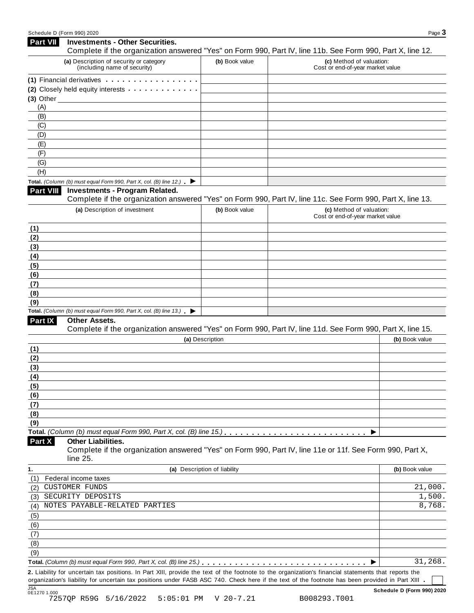|                  | Schedule D (Form 990) 2020                                                                                                                               |                              |                                                              | Page $3$       |
|------------------|----------------------------------------------------------------------------------------------------------------------------------------------------------|------------------------------|--------------------------------------------------------------|----------------|
| <b>Part VII</b>  | <b>Investments - Other Securities.</b><br>Complete if the organization answered "Yes" on Form 990, Part IV, line 11b. See Form 990, Part X, line 12.     |                              |                                                              |                |
|                  | (a) Description of security or category<br>(including name of security)                                                                                  | (b) Book value               | (c) Method of valuation:<br>Cost or end-of-year market value |                |
|                  | (1) Financial derivatives                                                                                                                                |                              |                                                              |                |
|                  | (2) Closely held equity interests                                                                                                                        |                              |                                                              |                |
|                  |                                                                                                                                                          |                              |                                                              |                |
| (A)              |                                                                                                                                                          |                              |                                                              |                |
| (B)              |                                                                                                                                                          |                              |                                                              |                |
| (C)              |                                                                                                                                                          |                              |                                                              |                |
| (D)              |                                                                                                                                                          |                              |                                                              |                |
| (E)              |                                                                                                                                                          |                              |                                                              |                |
| (F)              |                                                                                                                                                          |                              |                                                              |                |
| (G)<br>(H)       |                                                                                                                                                          |                              |                                                              |                |
|                  | <b>Total.</b> (Column (b) must equal Form 990, Part X, col. (B) line 12.) $\blacktriangleright$                                                          |                              |                                                              |                |
| <b>Part VIII</b> | <b>Investments - Program Related.</b>                                                                                                                    |                              |                                                              |                |
|                  | Complete if the organization answered "Yes" on Form 990, Part IV, line 11c. See Form 990, Part X, line 13.                                               |                              |                                                              |                |
|                  | (a) Description of investment                                                                                                                            | (b) Book value               | (c) Method of valuation:                                     |                |
|                  |                                                                                                                                                          |                              | Cost or end-of-year market value                             |                |
| (1)              |                                                                                                                                                          |                              |                                                              |                |
| (2)              |                                                                                                                                                          |                              |                                                              |                |
| (3)              |                                                                                                                                                          |                              |                                                              |                |
| (4)              |                                                                                                                                                          |                              |                                                              |                |
| (5)              |                                                                                                                                                          |                              |                                                              |                |
| (6)              |                                                                                                                                                          |                              |                                                              |                |
| (7)              |                                                                                                                                                          |                              |                                                              |                |
| (8)              |                                                                                                                                                          |                              |                                                              |                |
| (9)              |                                                                                                                                                          |                              |                                                              |                |
|                  | Total. (Column (b) must equal Form 990, Part X, col. (B) line 13.) $\blacktriangleright$<br><b>Other Assets.</b>                                         |                              |                                                              |                |
| <b>Part IX</b>   | Complete if the organization answered "Yes" on Form 990, Part IV, line 11d. See Form 990, Part X, line 15.                                               |                              |                                                              |                |
|                  |                                                                                                                                                          | (a) Description              |                                                              | (b) Book value |
| (1)              |                                                                                                                                                          |                              |                                                              |                |
| (2)              |                                                                                                                                                          |                              |                                                              |                |
| (3)              |                                                                                                                                                          |                              |                                                              |                |
| (4)              |                                                                                                                                                          |                              |                                                              |                |
| (5)              |                                                                                                                                                          |                              |                                                              |                |
| (6)              |                                                                                                                                                          |                              |                                                              |                |
| (7)              |                                                                                                                                                          |                              |                                                              |                |
| (8)              |                                                                                                                                                          |                              |                                                              |                |
| (9)              |                                                                                                                                                          |                              |                                                              |                |
|                  |                                                                                                                                                          |                              | ▶                                                            |                |
| Part X           | <b>Other Liabilities.</b><br>Complete if the organization answered "Yes" on Form 990, Part IV, line 11e or 11f. See Form 990, Part X,<br>line 25.        |                              |                                                              |                |
| 1.               |                                                                                                                                                          | (a) Description of liability |                                                              | (b) Book value |
| (1)              | Federal income taxes                                                                                                                                     |                              |                                                              |                |
| (2)              | <b>CUSTOMER FUNDS</b>                                                                                                                                    |                              |                                                              | 21,000.        |
| (3)              | SECURITY DEPOSITS                                                                                                                                        |                              |                                                              | 1,500.         |
| (4)              | NOTES PAYABLE-RELATED PARTIES                                                                                                                            |                              |                                                              | 8,768.         |
| (5)              |                                                                                                                                                          |                              |                                                              |                |
| (6)              |                                                                                                                                                          |                              |                                                              |                |
| (7)              |                                                                                                                                                          |                              |                                                              |                |
| (8)              |                                                                                                                                                          |                              |                                                              |                |
| (9)              |                                                                                                                                                          |                              |                                                              |                |
|                  | Total. (Column (b) must equal Form 990, Part X, col. (B) line 25.) $\ldots \ldots \ldots \ldots \ldots \ldots \ldots \ldots \ldots \ldots \ldots \ldots$ |                              | ▶                                                            | 31,268.        |
|                  | 2. Liability for uncertain tax positions. In Part XIII, provide the text of the footnote to the organization's financial statements that reports the     |                              |                                                              |                |
|                  | organization's liability for uncertain tax positions under FASB ASC 740. Check here if the text of the footnote has been provided in Part XIII .         |                              |                                                              |                |

JSA **Schedule D (Form 990) 2020** 0E1270 1.000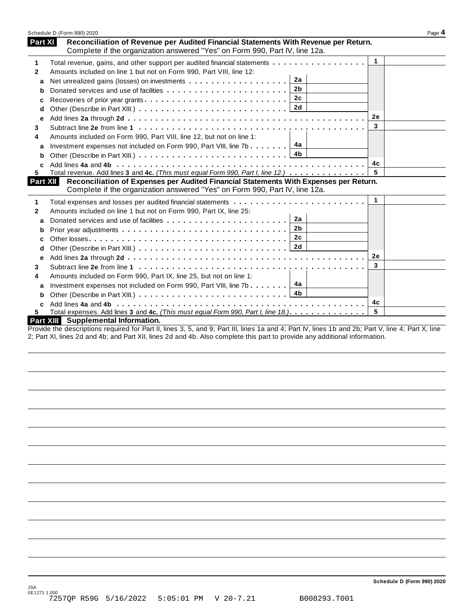|                | Schedule D (Form 990) 2020                                                                                                                                           |              | Page 4 |
|----------------|----------------------------------------------------------------------------------------------------------------------------------------------------------------------|--------------|--------|
| <b>Part XI</b> | Reconciliation of Revenue per Audited Financial Statements With Revenue per Return.<br>Complete if the organization answered "Yes" on Form 990, Part IV, line 12a.   |              |        |
| 1              | Total revenue, gains, and other support per audited financial statements                                                                                             | $\mathbf{1}$ |        |
| 2              | Amounts included on line 1 but not on Form 990, Part VIII, line 12:                                                                                                  |              |        |
| a              | 2a                                                                                                                                                                   |              |        |
| b              | 2 <sub>b</sub>                                                                                                                                                       |              |        |
| c              | 2c<br>Recoveries of prior year grants                                                                                                                                |              |        |
| d              | 2d                                                                                                                                                                   |              |        |
| е              |                                                                                                                                                                      | 2e           |        |
| 3              |                                                                                                                                                                      | 3            |        |
| 4              | Amounts included on Form 990, Part VIII, line 12, but not on line 1:                                                                                                 |              |        |
| a              | 4а<br>Investment expenses not included on Form 990, Part VIII, line 7b                                                                                               |              |        |
| b              | 4 <sub>b</sub>                                                                                                                                                       |              |        |
|                |                                                                                                                                                                      | 4с           |        |
| 5.             | Total revenue. Add lines 3 and 4c. (This must equal Form 990, Part I, line 12.)                                                                                      | 5            |        |
| Part XII       | Reconciliation of Expenses per Audited Financial Statements With Expenses per Return.<br>Complete if the organization answered "Yes" on Form 990, Part IV, line 12a. |              |        |
| 1              |                                                                                                                                                                      | $\mathbf{1}$ |        |
| 2              | Amounts included on line 1 but not on Form 990, Part IX, line 25:                                                                                                    |              |        |
|                | 2a<br>Donated services and use of facilities <b>container and all the services</b> and use of facilities <b>container and all the services</b>                       |              |        |
| a              | 2 <sub>b</sub>                                                                                                                                                       |              |        |
| b              | 2c                                                                                                                                                                   |              |        |
| C              | 2d                                                                                                                                                                   |              |        |
| d              |                                                                                                                                                                      | <b>2e</b>    |        |
| е              |                                                                                                                                                                      | 3            |        |
| 3.             |                                                                                                                                                                      |              |        |
| 4              | Amounts included on Form 990, Part IX, line 25, but not on line 1:<br>4a                                                                                             |              |        |
|                | Investment expenses not included on Form 990, Part VIII, line 7b                                                                                                     |              |        |
| a              |                                                                                                                                                                      |              |        |
| b              | 4b                                                                                                                                                                   |              |        |
| 5              | Total expenses. Add lines 3 and 4c. (This must equal Form 990, Part I, line 18.)                                                                                     | 4c<br>5      |        |

Provide the descriptions required for Part II, lines 3, 5, and 9; Part III, lines 1a and 4; Part IV, lines 1b and 2b; Part V, line 4; Part X, line 2; Part XI, lines 2d and 4b; and Part XII, lines 2d and 4b. Also complete this part to provide any additional information.

**Schedule D (Form 990) 2020**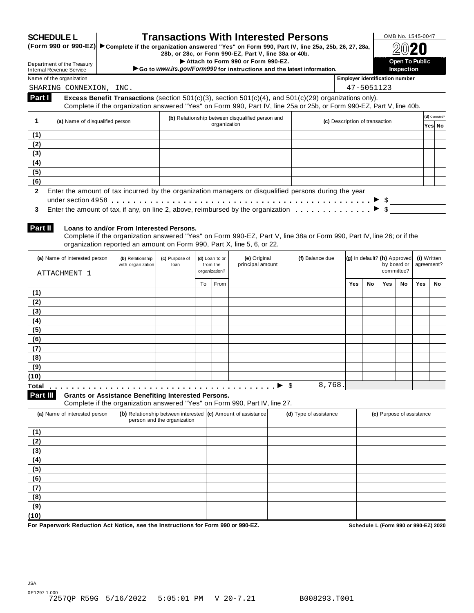|                          | Department of the Treasury      |                                                                                                                                                                                                                                                                                                                                  | (Form 990 or 990-EZ) ► Complete if the organization answered "Yes" on Form 990, Part IV, line 25a, 25b, 26, 27, 28a,<br>28b, or 28c, or Form 990-EZ, Part V, line 38a or 40b.<br>Attach to Form 990 or Form 990-EZ. |    |                            |                                                  |  |                                                                        |                                       |            |                                                              | Open To Public    |                           |                          |
|--------------------------|---------------------------------|----------------------------------------------------------------------------------------------------------------------------------------------------------------------------------------------------------------------------------------------------------------------------------------------------------------------------------|---------------------------------------------------------------------------------------------------------------------------------------------------------------------------------------------------------------------|----|----------------------------|--------------------------------------------------|--|------------------------------------------------------------------------|---------------------------------------|------------|--------------------------------------------------------------|-------------------|---------------------------|--------------------------|
| Internal Revenue Service |                                 |                                                                                                                                                                                                                                                                                                                                  |                                                                                                                                                                                                                     |    |                            |                                                  |  | Go to www.irs.gov/Form990 for instructions and the latest information. |                                       |            |                                                              | <b>Inspection</b> |                           |                          |
| Name of the organization |                                 |                                                                                                                                                                                                                                                                                                                                  |                                                                                                                                                                                                                     |    |                            |                                                  |  |                                                                        | <b>Employer identification number</b> |            |                                                              |                   |                           |                          |
|                          | SHARING CONNEXION, INC.         |                                                                                                                                                                                                                                                                                                                                  |                                                                                                                                                                                                                     |    |                            |                                                  |  |                                                                        |                                       | 47-5051123 |                                                              |                   |                           |                          |
| Part I                   |                                 | Excess Benefit Transactions (section $501(c)(3)$ , section $501(c)(4)$ , and $501(c)(29)$ organizations only).<br>Complete if the organization answered "Yes" on Form 990, Part IV, line 25a or 25b, or Form 990-EZ, Part V, line 40b.                                                                                           |                                                                                                                                                                                                                     |    |                            |                                                  |  |                                                                        |                                       |            |                                                              |                   |                           |                          |
| 1                        | (a) Name of disqualified person |                                                                                                                                                                                                                                                                                                                                  |                                                                                                                                                                                                                     |    | organization               | (b) Relationship between disqualified person and |  |                                                                        | (c) Description of transaction        |            |                                                              |                   |                           | (d) Corrected?<br>Yes No |
| (1)                      |                                 |                                                                                                                                                                                                                                                                                                                                  |                                                                                                                                                                                                                     |    |                            |                                                  |  |                                                                        |                                       |            |                                                              |                   |                           |                          |
| (2)<br>(3)               |                                 |                                                                                                                                                                                                                                                                                                                                  |                                                                                                                                                                                                                     |    |                            |                                                  |  |                                                                        |                                       |            |                                                              |                   |                           |                          |
| (4)                      |                                 |                                                                                                                                                                                                                                                                                                                                  |                                                                                                                                                                                                                     |    |                            |                                                  |  |                                                                        |                                       |            |                                                              |                   |                           |                          |
| (5)                      |                                 |                                                                                                                                                                                                                                                                                                                                  |                                                                                                                                                                                                                     |    |                            |                                                  |  |                                                                        |                                       |            |                                                              |                   |                           |                          |
| (6)                      |                                 |                                                                                                                                                                                                                                                                                                                                  |                                                                                                                                                                                                                     |    |                            |                                                  |  |                                                                        |                                       |            |                                                              |                   |                           |                          |
| $\overline{2}$           |                                 | Enter the amount of tax incurred by the organization managers or disqualified persons during the year                                                                                                                                                                                                                            |                                                                                                                                                                                                                     |    |                            |                                                  |  |                                                                        |                                       |            |                                                              |                   |                           |                          |
| 3<br>Part II             |                                 | Enter the amount of tax, if any, on line 2, above, reimbursed by the organization<br>Loans to and/or From Interested Persons.<br>Complete if the organization answered "Yes" on Form 990-EZ, Part V, line 38a or Form 990, Part IV, line 26; or if the<br>organization reported an amount on Form 990, Part X, line 5, 6, or 22. |                                                                                                                                                                                                                     |    |                            |                                                  |  |                                                                        |                                       |            |                                                              |                   |                           |                          |
|                          | (a) Name of interested person   | (b) Relationship<br>with organization                                                                                                                                                                                                                                                                                            | (c) Purpose of<br>loan                                                                                                                                                                                              |    | (d) Loan to or<br>from the | (e) Original<br>principal amount                 |  | (f) Balance due                                                        |                                       |            | $ {\rm (g)}\rangle$ In default? $ {\rm (h)}\rangle$ Approved | by board or       | (i) Written<br>agreement? |                          |
|                          | ATTACHMENT 1                    |                                                                                                                                                                                                                                                                                                                                  |                                                                                                                                                                                                                     | To | organization?<br>From      |                                                  |  |                                                                        | Yes                                   | No         | <b>Yes</b>                                                   | committee?<br>No  | Yes                       | No                       |
| (1)                      |                                 |                                                                                                                                                                                                                                                                                                                                  |                                                                                                                                                                                                                     |    |                            |                                                  |  |                                                                        |                                       |            |                                                              |                   |                           |                          |
| (2)                      |                                 |                                                                                                                                                                                                                                                                                                                                  |                                                                                                                                                                                                                     |    |                            |                                                  |  |                                                                        |                                       |            |                                                              |                   |                           |                          |
| (3)                      |                                 |                                                                                                                                                                                                                                                                                                                                  |                                                                                                                                                                                                                     |    |                            |                                                  |  |                                                                        |                                       |            |                                                              |                   |                           |                          |
| (4)                      |                                 |                                                                                                                                                                                                                                                                                                                                  |                                                                                                                                                                                                                     |    |                            |                                                  |  |                                                                        |                                       |            |                                                              |                   |                           |                          |
| (5)                      |                                 |                                                                                                                                                                                                                                                                                                                                  |                                                                                                                                                                                                                     |    |                            |                                                  |  |                                                                        |                                       |            |                                                              |                   |                           |                          |
| (6)                      |                                 |                                                                                                                                                                                                                                                                                                                                  |                                                                                                                                                                                                                     |    |                            |                                                  |  |                                                                        |                                       |            |                                                              |                   |                           |                          |
| (7)                      |                                 |                                                                                                                                                                                                                                                                                                                                  |                                                                                                                                                                                                                     |    |                            |                                                  |  |                                                                        |                                       |            |                                                              |                   |                           |                          |
| (8)                      |                                 |                                                                                                                                                                                                                                                                                                                                  |                                                                                                                                                                                                                     |    |                            |                                                  |  |                                                                        |                                       |            |                                                              |                   |                           |                          |
| (9)                      |                                 |                                                                                                                                                                                                                                                                                                                                  |                                                                                                                                                                                                                     |    |                            |                                                  |  |                                                                        |                                       |            |                                                              |                   |                           |                          |
| (10)                     |                                 |                                                                                                                                                                                                                                                                                                                                  |                                                                                                                                                                                                                     |    |                            |                                                  |  |                                                                        |                                       |            |                                                              |                   |                           |                          |
| Total<br>Part III        |                                 | <b>Grants or Assistance Benefiting Interested Persons.</b><br>Complete if the organization answered "Yes" on Form 990, Part IV, line 27.                                                                                                                                                                                         |                                                                                                                                                                                                                     |    |                            |                                                  |  | 8,768.<br>- \$                                                         |                                       |            |                                                              |                   |                           |                          |
|                          | (a) Name of interested person   |                                                                                                                                                                                                                                                                                                                                  | (b) Relationship between interested (c) Amount of assistance<br>person and the organization                                                                                                                         |    |                            |                                                  |  | (d) Type of assistance                                                 |                                       |            | (e) Purpose of assistance                                    |                   |                           |                          |
| (1)                      |                                 |                                                                                                                                                                                                                                                                                                                                  |                                                                                                                                                                                                                     |    |                            |                                                  |  |                                                                        |                                       |            |                                                              |                   |                           |                          |
| (2)                      |                                 |                                                                                                                                                                                                                                                                                                                                  |                                                                                                                                                                                                                     |    |                            |                                                  |  |                                                                        |                                       |            |                                                              |                   |                           |                          |
| (3)                      |                                 |                                                                                                                                                                                                                                                                                                                                  |                                                                                                                                                                                                                     |    |                            |                                                  |  |                                                                        |                                       |            |                                                              |                   |                           |                          |
| (4)                      |                                 |                                                                                                                                                                                                                                                                                                                                  |                                                                                                                                                                                                                     |    |                            |                                                  |  |                                                                        |                                       |            |                                                              |                   |                           |                          |
| (5)                      |                                 |                                                                                                                                                                                                                                                                                                                                  |                                                                                                                                                                                                                     |    |                            |                                                  |  |                                                                        |                                       |            |                                                              |                   |                           |                          |
| (6)                      |                                 |                                                                                                                                                                                                                                                                                                                                  |                                                                                                                                                                                                                     |    |                            |                                                  |  |                                                                        |                                       |            |                                                              |                   |                           |                          |
| (7)                      |                                 |                                                                                                                                                                                                                                                                                                                                  |                                                                                                                                                                                                                     |    |                            |                                                  |  |                                                                        |                                       |            |                                                              |                   |                           |                          |
| (8)                      |                                 |                                                                                                                                                                                                                                                                                                                                  |                                                                                                                                                                                                                     |    |                            |                                                  |  |                                                                        |                                       |            |                                                              |                   |                           |                          |
| (9)                      |                                 |                                                                                                                                                                                                                                                                                                                                  |                                                                                                                                                                                                                     |    |                            |                                                  |  |                                                                        |                                       |            |                                                              |                   |                           |                          |
| (10)                     |                                 |                                                                                                                                                                                                                                                                                                                                  |                                                                                                                                                                                                                     |    |                            |                                                  |  |                                                                        |                                       |            |                                                              |                   |                           |                          |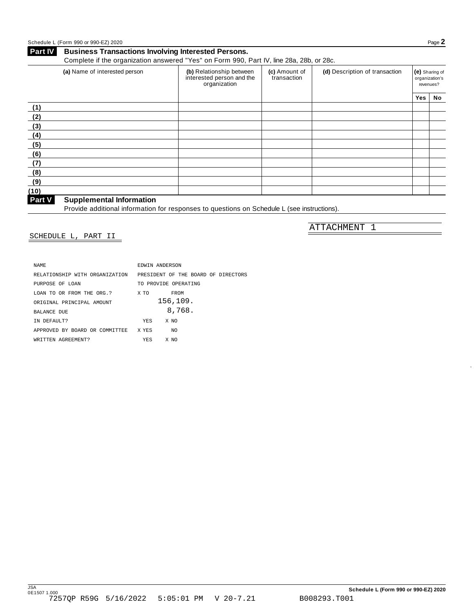**Part IV** 

#### Complete if the organization answered "Yes" on Form 990, Part IV, line 28a, 28b, or 28c. **(a)** Name of interested person **(b)** Relationship between interested person and the organization **(c)** Amount of transaction **(d)** Description of transaction **(e)** Sharing of organization's revenues? **Yes No (1) (2) (3) (4) (5) (6) (7) (8) (9) (10) Supplemental Information Part V**

**Business Transactions Involving Interested Persons.**

Provide additional information for responses to questions on Schedule L (see instructions).

#### SCHEDULE L, PART II

| <b>NAME</b>                    | EDWIN ANDERSON                      |
|--------------------------------|-------------------------------------|
| RELATIONSHIP WITH ORGANIZATION | PRESIDENT OF THE BOARD OF DIRECTORS |
| PURPOSE OF LOAN                | TO PROVIDE OPERATING                |
| LOAN TO OR FROM THE ORG.?      | X TO<br><b>FROM</b>                 |
| ORIGINAL PRINCIPAL AMOUNT      | 156,109.                            |
| BALANCE DUE                    | 8,768.                              |
| IN DEFAULT?                    | X NO<br><b>YES</b>                  |
| APPROVED BY BOARD OR COMMITTEE | X YES<br>NO.                        |
| WRITTEN AGREEMENT?             | <b>YES</b><br>X NO                  |

ATTACHMENT 1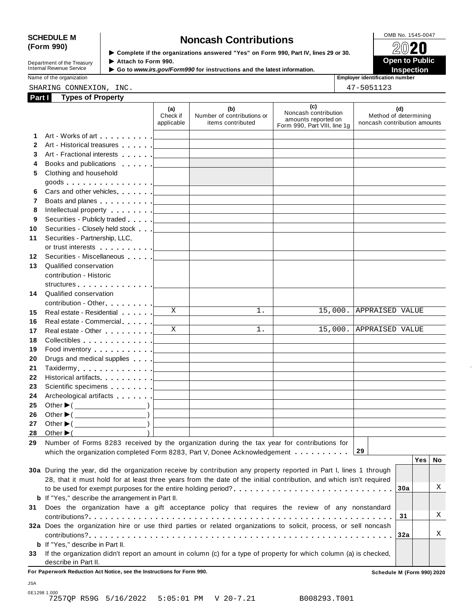# SCHEDULE M **Noncash Contributions**  $\overbrace{\text{ComB No. 1545-0047}}$

Department of the Treasury Internal Revenue Service

**Examplete if the organizations answered "Yes" on Form 990, Part IV, lines 29 or 30.** ★ Attach to Form 990.



Name of the organization **Employer identification number Employer identification number** 

| SHARING CONNEXION, | INC. |
|--------------------|------|
|                    |      |

|              | SHARING CONNEXION, INC.                                                                                                                                                                                                        |                                   |                                                                                                                       |                                                                                    | 47-5051123                                                   |
|--------------|--------------------------------------------------------------------------------------------------------------------------------------------------------------------------------------------------------------------------------|-----------------------------------|-----------------------------------------------------------------------------------------------------------------------|------------------------------------------------------------------------------------|--------------------------------------------------------------|
| Part I       | <b>Types of Property</b>                                                                                                                                                                                                       |                                   |                                                                                                                       |                                                                                    |                                                              |
|              |                                                                                                                                                                                                                                | (a)<br>Check if<br>applicable     | (b)<br>Number of contributions or<br>items contributed                                                                | (c)<br>Noncash contribution<br>amounts reported on<br>Form 990, Part VIII, line 1g | (d)<br>Method of determining<br>noncash contribution amounts |
| 1.           | Art - Works of art                                                                                                                                                                                                             |                                   |                                                                                                                       |                                                                                    |                                                              |
| $\mathbf{2}$ | Art - Historical treasures                                                                                                                                                                                                     |                                   |                                                                                                                       |                                                                                    |                                                              |
| 3            | Art - Fractional interests [1995]                                                                                                                                                                                              |                                   |                                                                                                                       |                                                                                    |                                                              |
| 4            | Books and publications                                                                                                                                                                                                         |                                   |                                                                                                                       |                                                                                    |                                                              |
| 5            | Clothing and household                                                                                                                                                                                                         |                                   |                                                                                                                       |                                                                                    |                                                              |
|              | goods $\ldots$ $\Box$                                                                                                                                                                                                          |                                   | <u> 1989 - Johann Barn, mars ann an t-A</u>                                                                           |                                                                                    |                                                              |
| 6            | Cars and other vehicles                                                                                                                                                                                                        |                                   | the control of the control of the control of the control of the control of                                            |                                                                                    |                                                              |
| 7            | Boats and planes <u>  _ _ _ _ _</u> _ _                                                                                                                                                                                        |                                   | <u> 1980 - Johann Barbara, martxa alemaniar a</u>                                                                     |                                                                                    |                                                              |
| 8            | Intellectual property [                                                                                                                                                                                                        |                                   | the control of the control of the control of the control of the control of                                            |                                                                                    |                                                              |
| 9            | Securities - Publicly traded [100]                                                                                                                                                                                             |                                   | <u> 1989 - John Harry Harry Harry Harry Harry Harry Harry Harry Harry Harry Harry Harry Harry Harry Harry Harry H</u> |                                                                                    |                                                              |
| 10           | Securities - Closely held stock                                                                                                                                                                                                |                                   |                                                                                                                       |                                                                                    |                                                              |
| 11           | Securities - Partnership, LLC,                                                                                                                                                                                                 |                                   |                                                                                                                       |                                                                                    |                                                              |
|              | or trust interests<br><u> </u>                                                                                                                                                                                                 |                                   | <u> 1989 - Johann Barn, mars ann an t-Amhain an t-Amhain an t-Amhain an t-Amhain an t-Amhain an t-Amhain an t-A</u>   |                                                                                    |                                                              |
| 12           | Securities - Miscellaneous                                                                                                                                                                                                     |                                   |                                                                                                                       |                                                                                    |                                                              |
| 13           | Qualified conservation                                                                                                                                                                                                         |                                   |                                                                                                                       |                                                                                    |                                                              |
|              | contribution - Historic                                                                                                                                                                                                        |                                   |                                                                                                                       |                                                                                    |                                                              |
|              |                                                                                                                                                                                                                                |                                   |                                                                                                                       |                                                                                    |                                                              |
| 14           | Qualified conservation                                                                                                                                                                                                         |                                   |                                                                                                                       |                                                                                    |                                                              |
|              | contribution - Other [19]                                                                                                                                                                                                      |                                   |                                                                                                                       |                                                                                    |                                                              |
| 15           | Real estate - Residential                                                                                                                                                                                                      | $\mathbf{X}$                      | 1.                                                                                                                    | 15,000.                                                                            | APPRAISED VALUE                                              |
| 16           | Real estate - Commercial                                                                                                                                                                                                       |                                   |                                                                                                                       |                                                                                    |                                                              |
| 17           | Real estate - Other <b>Call 2008</b>                                                                                                                                                                                           | $\mathbf{x}$                      | 1.                                                                                                                    | 15,000.                                                                            | <b>APPRAISED VALUE</b>                                       |
| 18           | Collectibles                                                                                                                                                                                                                   |                                   |                                                                                                                       |                                                                                    |                                                              |
| 19           | Food inventory entertainment of the state of the state of the state of the state of the state of the state of the state of the state of the state of the state of the state of the state of the state of the state of the stat |                                   | the control of the control of the control of the control of the control of                                            |                                                                                    |                                                              |
| 20           | Drugs and medical supplies                                                                                                                                                                                                     |                                   | the control of the control of the control of the control of the control of                                            |                                                                                    |                                                              |
| 21           | Taxidermy [1999]                                                                                                                                                                                                               | <b>Contract Contract Contract</b> |                                                                                                                       |                                                                                    |                                                              |
| 22           | Historical artifacts [19]                                                                                                                                                                                                      |                                   | <u> 1980 - Johann Barn, mars ann an t-Amhain ann an t-</u>                                                            |                                                                                    |                                                              |
| 23           |                                                                                                                                                                                                                                |                                   | <u> 1980 - Johann Barn, mars ann an t-Amhain ann an t-</u>                                                            |                                                                                    |                                                              |
| 24           | Archeological artifacts                                                                                                                                                                                                        |                                   | <u> 1980 - Johann Barbara, martxa alemaniar a</u>                                                                     |                                                                                    |                                                              |
| 25           | Other $\blacktriangleright$ ( $\_\_\_\_\_\_\_\_\_$ )                                                                                                                                                                           |                                   |                                                                                                                       |                                                                                    |                                                              |
| 26           | Other $\blacktriangleright$ ( $\_\_\_\_\_\_\_\_$ )                                                                                                                                                                             |                                   |                                                                                                                       |                                                                                    |                                                              |
| 27           | Other $\blacktriangleright$ (                                                                                                                                                                                                  |                                   |                                                                                                                       |                                                                                    |                                                              |
| 28           | Other $\blacktriangleright$ (                                                                                                                                                                                                  |                                   |                                                                                                                       |                                                                                    |                                                              |
| 29           | Number of Forms 8283 received by the organization during the tax year for contributions for                                                                                                                                    |                                   |                                                                                                                       |                                                                                    |                                                              |
|              | which the organization completed Form 8283, Part V, Donee Acknowledgement                                                                                                                                                      |                                   |                                                                                                                       |                                                                                    | 29                                                           |
|              |                                                                                                                                                                                                                                |                                   |                                                                                                                       |                                                                                    | Yes   No                                                     |
|              | 30a During the year, did the organization receive by contribution any property reported in Part I, lines 1 through                                                                                                             |                                   |                                                                                                                       |                                                                                    |                                                              |
|              | 28, that it must hold for at least three years from the date of the initial contribution, and which isn't required                                                                                                             |                                   |                                                                                                                       |                                                                                    |                                                              |
|              |                                                                                                                                                                                                                                |                                   |                                                                                                                       |                                                                                    | Χ<br>30a                                                     |
|              | <b>b</b> If "Yes," describe the arrangement in Part II.                                                                                                                                                                        |                                   |                                                                                                                       |                                                                                    |                                                              |
|              |                                                                                                                                                                                                                                |                                   |                                                                                                                       |                                                                                    |                                                              |
| 31           | Does the organization have a gift acceptance policy that requires the review of any nonstandard                                                                                                                                |                                   |                                                                                                                       |                                                                                    | Χ<br>31                                                      |
|              | 32a Does the organization hire or use third parties or related organizations to solicit, process, or sell noncash                                                                                                              |                                   |                                                                                                                       |                                                                                    |                                                              |
|              |                                                                                                                                                                                                                                |                                   |                                                                                                                       |                                                                                    |                                                              |

**31 32 a** Does the organization hire or use third parties or related organizations to solicit, process, or sell noncash **33 b** If "Yes," describe in Part II. Does the organization have a gift acceptance policy that requires the review of any nonstandard contributions? m m m m m m m m m m m m m m m m m m m m m m m m m m m m m m m m m m m m m m m m m m m m m m m m m m m m m m m **32a** If the organization didn't report an amount in column (c) for a type of property for which column (a) is checked, describe in Part II. X X

**For Paperwork Reduction Act Notice, see the Instructions for Form 990. Schedule M (Form 990) 2020**

JSA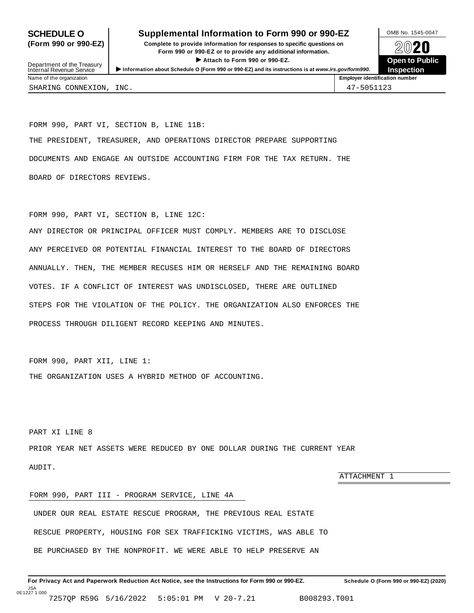## **SCHEDULE O** Supplemental Information to Form 990 or 990-EZ MB No. 1545-0047

**(Form 990 or 990-EZ) Complete to provide information for responses to specific questions on** plete to provide information for responses to specific questions on  $\sim$  20 $\sim$ 20 $\sim$ **ISONET ATTACH THE CONSERVANCE CONSERVANCE CONSERVANCE CONSERVANCE CONSERVANCE CONSERVANCE CONSERVANCE CONSERVANCE CONSERVANCE CONSERVANCE CONSERVANCE CONSERVANCE CONSERVANCE CONSERVANCE CONSERVANCE CONSERVANCE CONSERVANC Department of the Treasury III Department of the Treasury III Department of the Treasury III Department of the Treasury III Department of Pullishers in the Treasury III Department of Pu<br>Internal Revenue Service III Depar** 



Name of the organization **Employer identification number Employer identification number** SHARING CONNEXION, INC. 47-5051123

FORM 990, PART VI, SECTION B, LINE 11B: THE PRESIDENT, TREASURER, AND OPERATIONS DIRECTOR PREPARE SUPPORTING DOCUMENTS AND ENGAGE AN OUTSIDE ACCOUNTING FIRM FOR THE TAX RETURN. THE BOARD OF DIRECTORS REVIEWS.

FORM 990, PART VI, SECTION B, LINE 12C:

ANY DIRECTOR OR PRINCIPAL OFFICER MUST COMPLY. MEMBERS ARE TO DISCLOSE ANY PERCEIVED OR POTENTIAL FINANCIAL INTEREST TO THE BOARD OF DIRECTORS ANNUALLY. THEN, THE MEMBER RECUSES HIM OR HERSELF AND THE REMAINING BOARD VOTES. IF A CONFLICT OF INTEREST WAS UNDISCLOSED, THERE ARE OUTLINED STEPS FOR THE VIOLATION OF THE POLICY. THE ORGANIZATION ALSO ENFORCES THE PROCESS THROUGH DILIGENT RECORD KEEPING AND MINUTES.

FORM 990, PART XII, LINE 1: THE ORGANIZATION USES A HYBRID METHOD OF ACCOUNTING.

PART XI LINE 8

PRIOR YEAR NET ASSETS WERE REDUCED BY ONE DOLLAR DURING THE CURRENT YEAR AUDIT.

ATTACHMENT 1

#### FORM 990, PART III - PROGRAM SERVICE, LINE 4A

UNDER OUR REAL ESTATE RESCUE PROGRAM, THE PREVIOUS REAL ESTATE RESCUE PROPERTY, HOUSING FOR SEX TRAFFICKING VICTIMS, WAS ABLE TO BE PURCHASED BY THE NONPROFIT. WE WERE ABLE TO HELP PRESERVE AN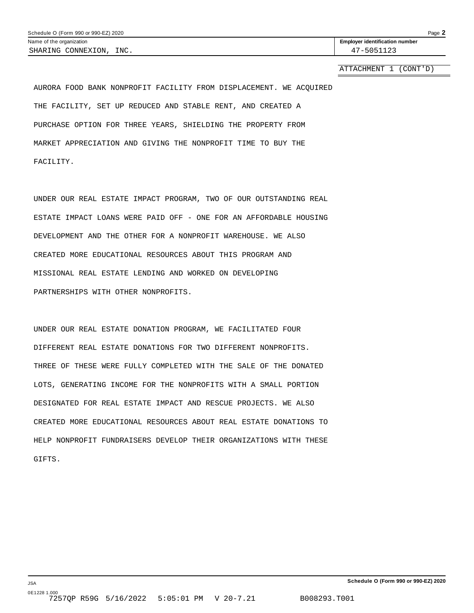ATTACHMENT 1 (CONT'D)

AURORA FOOD BANK NONPROFIT FACILITY FROM DISPLACEMENT. WE ACQUIRED THE FACILITY, SET UP REDUCED AND STABLE RENT, AND CREATED A PURCHASE OPTION FOR THREE YEARS, SHIELDING THE PROPERTY FROM MARKET APPRECIATION AND GIVING THE NONPROFIT TIME TO BUY THE FACILITY.

UNDER OUR REAL ESTATE IMPACT PROGRAM, TWO OF OUR OUTSTANDING REAL ESTATE IMPACT LOANS WERE PAID OFF - ONE FOR AN AFFORDABLE HOUSING DEVELOPMENT AND THE OTHER FOR A NONPROFIT WAREHOUSE. WE ALSO CREATED MORE EDUCATIONAL RESOURCES ABOUT THIS PROGRAM AND MISSIONAL REAL ESTATE LENDING AND WORKED ON DEVELOPING PARTNERSHIPS WITH OTHER NONPROFITS.

UNDER OUR REAL ESTATE DONATION PROGRAM, WE FACILITATED FOUR DIFFERENT REAL ESTATE DONATIONS FOR TWO DIFFERENT NONPROFITS. THREE OF THESE WERE FULLY COMPLETED WITH THE SALE OF THE DONATED LOTS, GENERATING INCOME FOR THE NONPROFITS WITH A SMALL PORTION DESIGNATED FOR REAL ESTATE IMPACT AND RESCUE PROJECTS. WE ALSO CREATED MORE EDUCATIONAL RESOURCES ABOUT REAL ESTATE DONATIONS TO HELP NONPROFIT FUNDRAISERS DEVELOP THEIR ORGANIZATIONS WITH THESE GIFTS.

0E1228 1.000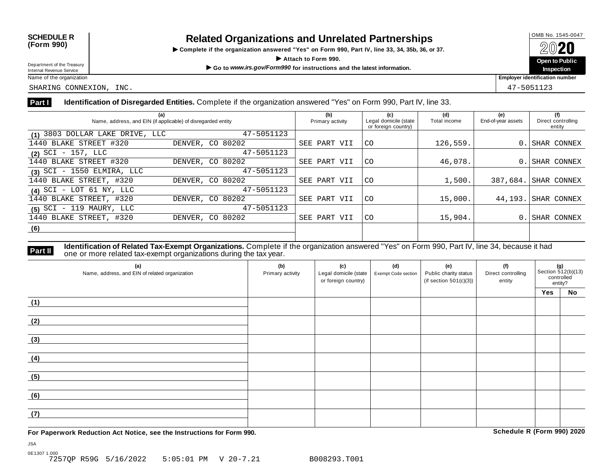# OMB No. 1545-0047 **SCHEDULE R (Form 990) Related Organizations and Unrelated Partnerships**

**INCREAR OF SUBATIZATIONS AND ONE FALCE THAT SINDS**<br>
Complete if the organization answered "Yes" on Form 990, Part IV, line 33, 34, 35b, 36, or 37.  $\blacksquare$  Pered "Yes" on Form 990, Part IV, line 33, 34, 35b, 36, or 37.<br>  $\blacksquare$  Attach to Form 990.<br>  $\blacksquare$  Open to Public  $\blacksquare$ 

**Department of the Treasury**<br>
Internal Revenue Service **Internal Revenue Service** Internal Revenue Service Internal Revenue Service Internal Revenue Service Internal Revenue Service Internal Revenue Service Internal Reven

Name of the organization **Employer identification number Employer identification number** 

SHARING CONNEXION, INC. 47-5051123

#### **Part I** Identification of Disregarded Entities. Complete if the organization answered "Yes" on Form 990, Part IV, line 33.

| (a)<br>Name, address, and EIN (if applicable) of disregarded entity |                  | (b)<br>Primary activity | (c)<br>Legal domicile (state<br>or foreign country) | (d)<br>Total income | (e)<br>End-of-year assets | (f)<br>Direct controlling<br>entity |
|---------------------------------------------------------------------|------------------|-------------------------|-----------------------------------------------------|---------------------|---------------------------|-------------------------------------|
| (1) 3803 DOLLAR LAKE DRIVE, LLC                                     | 47-5051123       |                         |                                                     |                     |                           |                                     |
| 1440 BLAKE STREET #320                                              | DENVER, CO 80202 | SEE PART VII            | l CO                                                | 126,559.            | $0$ .                     | SHAR CONNEX                         |
| - 157, LLC<br>(2) SCI                                               | 47-5051123       |                         |                                                     |                     |                           |                                     |
| 1440 BLAKE STREET #320                                              | DENVER, CO 80202 | SEE PART VII            | l CO                                                | 46,078.             | 0.                        | SHAR CONNEX                         |
| 1550 ELMIRA, LLC<br>$(3)$ SCI - .                                   | 47-5051123       |                         |                                                     |                     |                           |                                     |
| 1440 BLAKE STREET, #320                                             | DENVER, CO 80202 | SEE PART VII            | l CO                                                | 1,500.              | 387,684.                  | SHAR CONNEX                         |
| (4) SCI - LOT 61 NY, LLC                                            | 47-5051123       |                         |                                                     |                     |                           |                                     |
| 1440 BLAKE STREET, #320                                             | DENVER, CO 80202 | SEE PART VII            | l CO                                                | 15,000.             | 44,193.                   | SHAR CONNEX                         |
| (5) SCI - $119$<br>MAURY, LLC                                       | 47-5051123       |                         |                                                     |                     |                           |                                     |
| 1440 BLAKE STREET, #320                                             | DENVER, CO 80202 | PART VII<br>SEE         | l CO.                                               | 15,904.             | 0.                        | SHAR CONNEX                         |
| (6)                                                                 |                  |                         |                                                     |                     |                           |                                     |
|                                                                     |                  |                         |                                                     |                     |                           |                                     |

**Part II** Identification of Related Tax-Exempt Organizations. Complete if the organization answered "Yes" on Form 990, Part IV, line 34, because it had<br>The one or more related tax-exempt organizations during the tax year.

| (a)<br>Name, address, and EIN of related organization | (b)<br>Primary activity | (c)<br>Legal domicile (state<br>or foreign country) | (d)<br>Exempt Code section | (e)<br>Public charity status<br>(if section $501(c)(3)$ ) | (f)<br>Direct controlling<br>entity | <b>(g)</b><br>Section 512(b)(13)<br>controlled<br>entity? |           |
|-------------------------------------------------------|-------------------------|-----------------------------------------------------|----------------------------|-----------------------------------------------------------|-------------------------------------|-----------------------------------------------------------|-----------|
|                                                       |                         |                                                     |                            |                                                           |                                     | Yes                                                       | <b>No</b> |
| (1)                                                   |                         |                                                     |                            |                                                           |                                     |                                                           |           |
| (2)                                                   |                         |                                                     |                            |                                                           |                                     |                                                           |           |
| (3)                                                   |                         |                                                     |                            |                                                           |                                     |                                                           |           |
| (4)                                                   |                         |                                                     |                            |                                                           |                                     |                                                           |           |
| (5)                                                   |                         |                                                     |                            |                                                           |                                     |                                                           |           |
| (6)                                                   |                         |                                                     |                            |                                                           |                                     |                                                           |           |
| (7)                                                   |                         |                                                     |                            |                                                           |                                     |                                                           |           |

**For Paperwork Reduction Act Notice, see the Instructions for Form 990. Schedule R (Form 990) 2020**

JSA

0E1307 1.000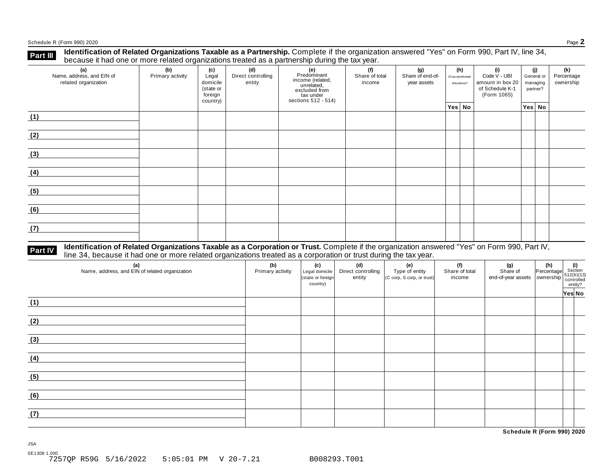Schedule R (Form 990) 2020 Page **2**

**Identification of Related Organizations Taxable as a Partnership.** Complete if the organization answered "Yes" on Form 990, Part IV, line 34, **because it had one or more related organizations Taxable as a Partnership.** Complete if the organizations treated as a partnership during the tax year.

| (a)<br>Name, address, and EIN of<br>related organization | (b)<br>Primary activity | (c)<br>Legal<br>domicile<br>(state or<br>foreign<br>country) | (d)<br>Direct controlling<br>entity | (e)<br>Predominant<br>income (related,<br>unrelated,<br>excluded from<br>tax under<br>sections 512 - 514) | (f)<br>Share of total<br>income | (g)<br>Share of end-of-<br>year assets | (h)<br>Disproportionate<br>allocations? | (i)<br>Code V - UBI<br>amount in box 20<br>of Schedule K-1<br>(Form 1065) | (j)<br>managing<br>partner? | General or | (k)<br>Percentage<br>ownership |
|----------------------------------------------------------|-------------------------|--------------------------------------------------------------|-------------------------------------|-----------------------------------------------------------------------------------------------------------|---------------------------------|----------------------------------------|-----------------------------------------|---------------------------------------------------------------------------|-----------------------------|------------|--------------------------------|
|                                                          |                         |                                                              |                                     |                                                                                                           |                                 |                                        | Yes No                                  |                                                                           |                             | Yes No     |                                |
| (1)                                                      |                         |                                                              |                                     |                                                                                                           |                                 |                                        |                                         |                                                                           |                             |            |                                |
| (2)                                                      |                         |                                                              |                                     |                                                                                                           |                                 |                                        |                                         |                                                                           |                             |            |                                |
| (3)                                                      |                         |                                                              |                                     |                                                                                                           |                                 |                                        |                                         |                                                                           |                             |            |                                |
| (4)                                                      |                         |                                                              |                                     |                                                                                                           |                                 |                                        |                                         |                                                                           |                             |            |                                |
| (5)                                                      |                         |                                                              |                                     |                                                                                                           |                                 |                                        |                                         |                                                                           |                             |            |                                |
| (6)                                                      |                         |                                                              |                                     |                                                                                                           |                                 |                                        |                                         |                                                                           |                             |            |                                |
| (7)                                                      |                         |                                                              |                                     |                                                                                                           |                                 |                                        |                                         |                                                                           |                             |            |                                |

# **Part IV** Identification of Related Organizations Taxable as a Corporation or Trust. Complete if the organization answered "Yes" on Form 990, Part IV,<br>line 34, because it had one or more related organizations treated as a

| (a)<br>Name, address, and EIN of related organization | (b)<br>Primary activity | (c)<br>Legal domicile<br>(state or foreign<br>country) | (d)<br>Direct controlling<br>entity | (e)<br>Type of entity<br>(C corp, S corp, or trust) | (f)<br>Share of total<br>income | (g) (h) $\frac{1}{2}$ (i) $\frac{1}{2}$ (i) $\frac{1}{2}$ (i) $\frac{1}{2}$ (i) $\frac{1}{2}$ (b)(13) $\frac{1}{2}$ end-of-year assets ownership $\frac{1}{2}$ (c)(b)(13) $\frac{1}{2}$ (c)(c)(13) $\frac{1}{2}$ (c)(r)(d) |        |
|-------------------------------------------------------|-------------------------|--------------------------------------------------------|-------------------------------------|-----------------------------------------------------|---------------------------------|----------------------------------------------------------------------------------------------------------------------------------------------------------------------------------------------------------------------------|--------|
| (1)                                                   |                         |                                                        |                                     |                                                     |                                 |                                                                                                                                                                                                                            | Yes No |
| (2)                                                   |                         |                                                        |                                     |                                                     |                                 |                                                                                                                                                                                                                            |        |
| (3)                                                   |                         |                                                        |                                     |                                                     |                                 |                                                                                                                                                                                                                            |        |
| (4)                                                   |                         |                                                        |                                     |                                                     |                                 |                                                                                                                                                                                                                            |        |
| (5)                                                   |                         |                                                        |                                     |                                                     |                                 |                                                                                                                                                                                                                            |        |
| (6)                                                   |                         |                                                        |                                     |                                                     |                                 |                                                                                                                                                                                                                            |        |
| (7)                                                   |                         |                                                        |                                     |                                                     |                                 |                                                                                                                                                                                                                            |        |

**Schedule R (Form 990) 2020**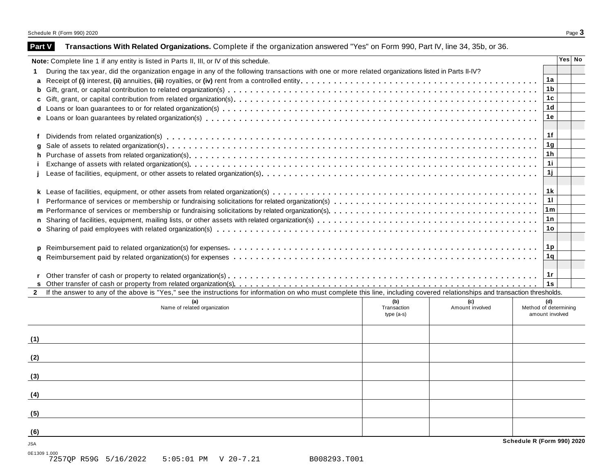|              | Schedule R (Form 990) 2020                                                                                                                                                   |                           |                 |                                          | Page 3                     |
|--------------|------------------------------------------------------------------------------------------------------------------------------------------------------------------------------|---------------------------|-----------------|------------------------------------------|----------------------------|
| Part V       | Transactions With Related Organizations. Complete if the organization answered "Yes" on Form 990, Part IV, line 34, 35b, or 36.                                              |                           |                 |                                          |                            |
|              | Note: Complete line 1 if any entity is listed in Parts II, III, or IV of this schedule.                                                                                      |                           |                 |                                          | Yes No                     |
|              | During the tax year, did the organization engage in any of the following transactions with one or more related organizations listed in Parts II-IV?                          |                           |                 |                                          |                            |
| a            |                                                                                                                                                                              |                           |                 | 1a                                       |                            |
|              |                                                                                                                                                                              |                           |                 | 1 <sub>b</sub>                           |                            |
|              |                                                                                                                                                                              |                           |                 | 1c                                       |                            |
|              |                                                                                                                                                                              |                           |                 | 1d                                       |                            |
|              |                                                                                                                                                                              |                           |                 | 1е                                       |                            |
|              |                                                                                                                                                                              |                           |                 | 1f                                       |                            |
| q            |                                                                                                                                                                              |                           |                 | 1g                                       |                            |
|              |                                                                                                                                                                              |                           |                 | 1 h                                      |                            |
|              |                                                                                                                                                                              |                           |                 | 1i                                       |                            |
|              |                                                                                                                                                                              |                           |                 | 1j                                       |                            |
|              |                                                                                                                                                                              |                           |                 | 1 k                                      |                            |
|              |                                                                                                                                                                              |                           |                 | 11                                       |                            |
|              |                                                                                                                                                                              |                           |                 | 1m                                       |                            |
|              |                                                                                                                                                                              |                           |                 | 1 n                                      |                            |
|              |                                                                                                                                                                              |                           |                 | 1o                                       |                            |
|              |                                                                                                                                                                              |                           |                 | 1p                                       |                            |
|              |                                                                                                                                                                              |                           |                 | 1q                                       |                            |
| a            |                                                                                                                                                                              |                           |                 |                                          |                            |
|              |                                                                                                                                                                              |                           |                 | 1r                                       |                            |
|              |                                                                                                                                                                              |                           |                 | 1s                                       |                            |
| $\mathbf{2}$ | If the answer to any of the above is "Yes," see the instructions for information on who must complete this line, including covered relationships and transaction thresholds. |                           |                 |                                          |                            |
|              | (a)                                                                                                                                                                          | (b)                       | (c)             | (d)                                      |                            |
|              | Name of related organization                                                                                                                                                 | Transaction<br>type (a-s) | Amount involved | Method of determining<br>amount involved |                            |
| (1)          |                                                                                                                                                                              |                           |                 |                                          |                            |
| (2)          |                                                                                                                                                                              |                           |                 |                                          |                            |
|              |                                                                                                                                                                              |                           |                 |                                          |                            |
| (3)          |                                                                                                                                                                              |                           |                 |                                          |                            |
| (4)          |                                                                                                                                                                              |                           |                 |                                          |                            |
| (5)          |                                                                                                                                                                              |                           |                 |                                          |                            |
| (6)          |                                                                                                                                                                              |                           |                 |                                          |                            |
|              |                                                                                                                                                                              |                           |                 |                                          | Schedule R (Form 990) 2020 |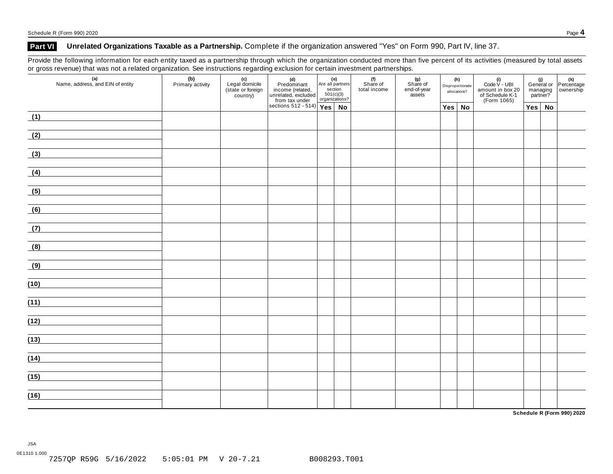## Part VI Unrelated Organizations Taxable as a Partnership. Complete if the organization answered "Yes" on Form 990, Part IV, line 37.

Provide the following information for each entity taxed as a partnership through which the organization conducted more than five percent of its activities (measured by total assets or gross revenue) that was not a related organization. See instructions regarding exclusion for certain investment partnerships.

| (a)<br>Name, address, and EIN of entity | (b)<br>Primary activity | (c)<br>Legal domicile<br>(state or foreign<br>country) | (d)<br>Predominant<br>income (related,<br>unrelated, excluded<br>from tax under<br>sections 512 - 514)<br>Yes No |  | (f)<br>Share of<br>total income | (g)<br>Share of<br>end-of-year<br>assets | (h)<br>Disproportionate<br>allocations? | (i)<br>Code V - UBI<br>amount in box 20<br>of Schedule K-1<br>(Form 1065) |               | (i)<br>General or Percentage<br>managing ownership<br>partner? |
|-----------------------------------------|-------------------------|--------------------------------------------------------|------------------------------------------------------------------------------------------------------------------|--|---------------------------------|------------------------------------------|-----------------------------------------|---------------------------------------------------------------------------|---------------|----------------------------------------------------------------|
|                                         |                         |                                                        |                                                                                                                  |  |                                 |                                          | $Yes \mid No$                           |                                                                           | $Yes \mid No$ |                                                                |
| (1)                                     |                         |                                                        |                                                                                                                  |  |                                 |                                          |                                         |                                                                           |               |                                                                |
| (2)                                     |                         |                                                        |                                                                                                                  |  |                                 |                                          |                                         |                                                                           |               |                                                                |
| (3)                                     |                         |                                                        |                                                                                                                  |  |                                 |                                          |                                         |                                                                           |               |                                                                |
| (4)                                     |                         |                                                        |                                                                                                                  |  |                                 |                                          |                                         |                                                                           |               |                                                                |
| (5)                                     |                         |                                                        |                                                                                                                  |  |                                 |                                          |                                         |                                                                           |               |                                                                |
| (6)                                     |                         |                                                        |                                                                                                                  |  |                                 |                                          |                                         |                                                                           |               |                                                                |
| (7)                                     |                         |                                                        |                                                                                                                  |  |                                 |                                          |                                         |                                                                           |               |                                                                |
| (8)                                     |                         |                                                        |                                                                                                                  |  |                                 |                                          |                                         |                                                                           |               |                                                                |
| (9)                                     |                         |                                                        |                                                                                                                  |  |                                 |                                          |                                         |                                                                           |               |                                                                |
| (10)                                    |                         |                                                        |                                                                                                                  |  |                                 |                                          |                                         |                                                                           |               |                                                                |
| (11)                                    |                         |                                                        |                                                                                                                  |  |                                 |                                          |                                         |                                                                           |               |                                                                |
| (12)                                    |                         |                                                        |                                                                                                                  |  |                                 |                                          |                                         |                                                                           |               |                                                                |
| (13)                                    |                         |                                                        |                                                                                                                  |  |                                 |                                          |                                         |                                                                           |               |                                                                |
| (14)                                    |                         |                                                        |                                                                                                                  |  |                                 |                                          |                                         |                                                                           |               |                                                                |
| (15)                                    |                         |                                                        |                                                                                                                  |  |                                 |                                          |                                         |                                                                           |               |                                                                |
| (16)                                    |                         |                                                        |                                                                                                                  |  |                                 |                                          |                                         |                                                                           |               |                                                                |

**Schedule R (Form 990) 2020**

JSA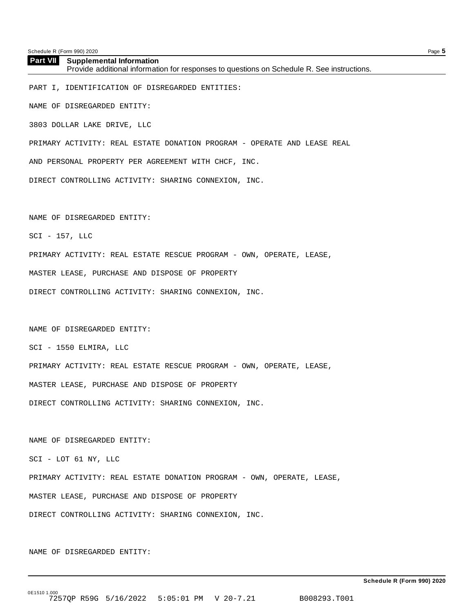| Schedule R (Form 990) 2020                                                                                                                       | Page 5 |
|--------------------------------------------------------------------------------------------------------------------------------------------------|--------|
| <b>Part VII</b><br><b>Supplemental Information</b><br>Provide additional information for responses to questions on Schedule R. See instructions. |        |
| PART I, IDENTIFICATION OF DISREGARDED ENTITIES:                                                                                                  |        |
| NAME OF DISREGARDED ENTITY:                                                                                                                      |        |
| 3803 DOLLAR LAKE DRIVE, LLC                                                                                                                      |        |
| PRIMARY ACTIVITY: REAL ESTATE DONATION PROGRAM - OPERATE AND LEASE REAL                                                                          |        |
| AND PERSONAL PROPERTY PER AGREEMENT WITH CHCF, INC.                                                                                              |        |
| DIRECT CONTROLLING ACTIVITY: SHARING CONNEXION, INC.                                                                                             |        |
| NAME OF DISREGARDED ENTITY:                                                                                                                      |        |
| $SCI - 157$ , LLC                                                                                                                                |        |
| PRIMARY ACTIVITY: REAL ESTATE RESCUE PROGRAM - OWN, OPERATE, LEASE,                                                                              |        |
| MASTER LEASE, PURCHASE AND DISPOSE OF PROPERTY                                                                                                   |        |
| DIRECT CONTROLLING ACTIVITY: SHARING CONNEXION, INC.                                                                                             |        |
|                                                                                                                                                  |        |
| NAME OF DISREGARDED ENTITY:                                                                                                                      |        |
| SCI - 1550 ELMIRA, LLC                                                                                                                           |        |
| PRIMARY ACTIVITY: REAL ESTATE RESCUE PROGRAM - OWN, OPERATE, LEASE,                                                                              |        |
| MASTER LEASE, PURCHASE AND DISPOSE OF PROPERTY                                                                                                   |        |
| DIRECT CONTROLLING ACTIVITY: SHARING CONNEXION, INC.                                                                                             |        |
| NAME OF DISREGARDED ENTITY:                                                                                                                      |        |
| SCI - LOT 61 NY, LLC                                                                                                                             |        |
| PRIMARY ACTIVITY: REAL ESTATE DONATION PROGRAM - OWN, OPERATE, LEASE,                                                                            |        |
| MASTER LEASE, PURCHASE AND DISPOSE OF PROPERTY                                                                                                   |        |
| DIRECT CONTROLLING ACTIVITY: SHARING CONNEXION, INC.                                                                                             |        |
|                                                                                                                                                  |        |
| NAME OF DISREGARDED ENTITY:                                                                                                                      |        |

**Schedule R (Form 990) 2020**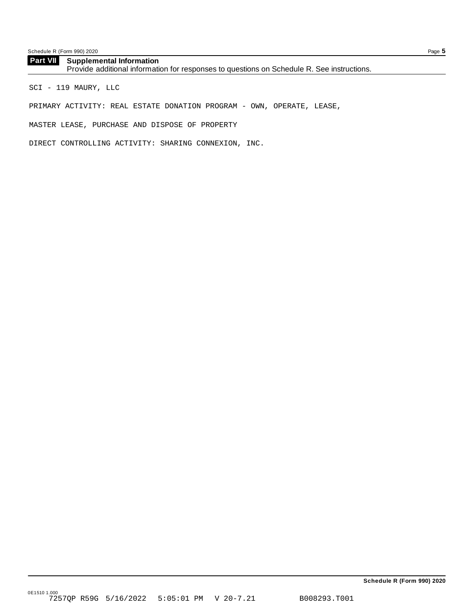| <b>Part VII</b> Supplemental Information                                                   |
|--------------------------------------------------------------------------------------------|
| Provide additional information for responses to questions on Schedule R. See instructions. |

SCI - 119 MAURY, LLC

PRIMARY ACTIVITY: REAL ESTATE DONATION PROGRAM - OWN, OPERATE, LEASE,

MASTER LEASE, PURCHASE AND DISPOSE OF PROPERTY

DIRECT CONTROLLING ACTIVITY: SHARING CONNEXION, INC.

**Schedule R (Form 990) 2020**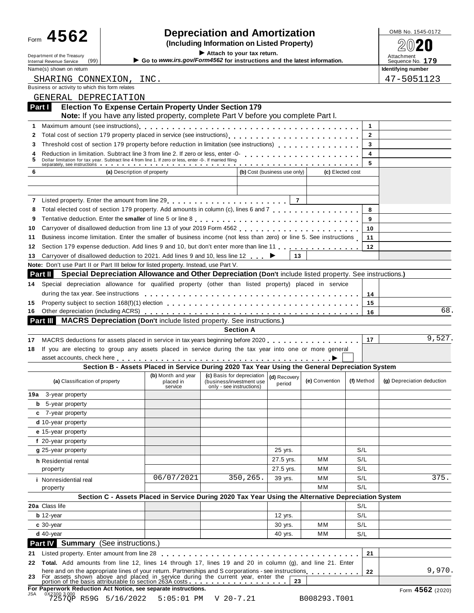| Form $4562$                                           |                                                                                                                                                                  |                                                      | <b>Depreciation and Amortization</b>       |                  |              | OMB No. 1545-0172              |
|-------------------------------------------------------|------------------------------------------------------------------------------------------------------------------------------------------------------------------|------------------------------------------------------|--------------------------------------------|------------------|--------------|--------------------------------|
|                                                       |                                                                                                                                                                  |                                                      | (Including Information on Listed Property) |                  |              |                                |
| Department of the Treasury                            |                                                                                                                                                                  | Attach to your tax return.                           |                                            |                  |              |                                |
| (99)<br>Internal Revenue Service                      | Go to www.irs.gov/Form4562 for instructions and the latest information.                                                                                          |                                                      |                                            |                  |              | Attachment<br>Sequence No. 179 |
| Name(s) shown on return                               |                                                                                                                                                                  |                                                      |                                            |                  |              | Identifying number             |
| SHARING CONNEXION, INC.                               |                                                                                                                                                                  |                                                      |                                            |                  |              | 47-5051123                     |
| Business or activity to which this form relates       |                                                                                                                                                                  |                                                      |                                            |                  |              |                                |
| GENERAL DEPRECIATION                                  |                                                                                                                                                                  |                                                      |                                            |                  |              |                                |
| Part I                                                | <b>Election To Expense Certain Property Under Section 179</b>                                                                                                    |                                                      |                                            |                  |              |                                |
|                                                       | Note: If you have any listed property, complete Part V before you complete Part I.                                                                               |                                                      |                                            |                  |              |                                |
| 1                                                     |                                                                                                                                                                  |                                                      |                                            |                  | 1            |                                |
| $\mathbf{2}$                                          |                                                                                                                                                                  |                                                      |                                            |                  | $\mathbf{2}$ |                                |
| 3                                                     | Threshold cost of section 179 property before reduction in limitation (see instructions)                                                                         |                                                      |                                            |                  | 3            |                                |
| 4                                                     | Reduction in limitation. Subtract line 3 from line 2. If zero or less, enter -0-                                                                                 |                                                      |                                            |                  | 4            |                                |
| 5                                                     | Dollar limitation for tax year. Subtract line 4 from line 1. If zero or less, enter -0-. If married filing                                                       |                                                      |                                            |                  |              |                                |
| 6                                                     | (a) Description of property                                                                                                                                      |                                                      | (b) Cost (business use only)               | (c) Elected cost |              |                                |
|                                                       |                                                                                                                                                                  |                                                      |                                            |                  |              |                                |
|                                                       |                                                                                                                                                                  |                                                      |                                            |                  |              |                                |
|                                                       |                                                                                                                                                                  |                                                      | $\overline{7}$                             |                  |              |                                |
| 8                                                     | Total elected cost of section 179 property. Add amounts in column (c), lines 6 and 7                                                                             |                                                      |                                            |                  | 8            |                                |
| 9                                                     |                                                                                                                                                                  |                                                      |                                            |                  | 9            |                                |
| 10                                                    |                                                                                                                                                                  |                                                      |                                            |                  | 10           |                                |
| 11                                                    | Business income limitation. Enter the smaller of business income (not less than zero) or line 5. See instructions                                                |                                                      |                                            |                  | 11           |                                |
| 12                                                    | Section 179 expense deduction. Add lines 9 and 10, but don't enter more than line 11                                                                             |                                                      |                                            |                  | 12           |                                |
| 13                                                    | Carryover of disallowed deduction to 2021. Add lines 9 and 10, less line 12 $\Box$                                                                               |                                                      | 13                                         |                  |              |                                |
|                                                       | Note: Don't use Part II or Part III below for listed property. Instead, use Part V.                                                                              |                                                      |                                            |                  |              |                                |
|                                                       | <b>Part II</b> Special Depreciation Allowance and Other Depreciation (Don't include listed property. See instructions.)                                          |                                                      |                                            |                  |              |                                |
|                                                       | 14 Special depreciation allowance for qualified property (other than listed property) placed in service                                                          |                                                      |                                            |                  |              |                                |
|                                                       |                                                                                                                                                                  |                                                      |                                            |                  | 14           |                                |
| 15                                                    |                                                                                                                                                                  |                                                      |                                            |                  | 15           |                                |
| 16                                                    |                                                                                                                                                                  |                                                      |                                            |                  | 16           | 68.                            |
|                                                       |                                                                                                                                                                  |                                                      |                                            |                  |              |                                |
|                                                       | <b>Part III</b> MACRS Depreciation (Don't include listed property. See instructions.)                                                                            |                                                      |                                            |                  |              |                                |
|                                                       |                                                                                                                                                                  | <b>Section A</b>                                     |                                            |                  |              |                                |
|                                                       | MACRS deductions for assets placed in service in tax years beginning before 2020                                                                                 |                                                      |                                            |                  | 17           |                                |
|                                                       | If you are electing to group any assets placed in service during the tax year into one or more general                                                           |                                                      |                                            |                  |              |                                |
|                                                       |                                                                                                                                                                  |                                                      |                                            |                  |              | 9,527.                         |
|                                                       | Section B - Assets Placed in Service During 2020 Tax Year Using the General Depreciation System                                                                  |                                                      |                                            |                  |              |                                |
| (a) Classification of property                        | (b) Month and year $\begin{bmatrix} \mathbf{c} \end{bmatrix}$ Basis for depreciation $\begin{bmatrix} \mathbf{d} \end{bmatrix}$ Recovery<br>placed in<br>service | (business/investment use<br>only - see instructions) | period                                     | (e) Convention   | (f) Method   | (g) Depreciation deduction     |
|                                                       |                                                                                                                                                                  |                                                      |                                            |                  |              |                                |
| <b>b</b> 5-year property                              |                                                                                                                                                                  |                                                      |                                            |                  |              |                                |
| c 7-year property                                     |                                                                                                                                                                  |                                                      |                                            |                  |              |                                |
| d 10-year property                                    |                                                                                                                                                                  |                                                      |                                            |                  |              |                                |
| e 15-year property                                    |                                                                                                                                                                  |                                                      |                                            |                  |              |                                |
| f 20-year property                                    |                                                                                                                                                                  |                                                      |                                            |                  |              |                                |
| g 25-year property                                    |                                                                                                                                                                  |                                                      | 25 yrs.                                    |                  | S/L          |                                |
| h Residential rental                                  |                                                                                                                                                                  |                                                      | 27.5 yrs.                                  | мм               | S/L          |                                |
| 17<br>18<br>19a 3-year property<br>property           |                                                                                                                                                                  |                                                      | 27.5 yrs.                                  | мм               | S/L          |                                |
| <i>i</i> Nonresidential real                          | 06/07/2021                                                                                                                                                       | 350,265.                                             | 39 yrs.                                    | МM               | S/L          |                                |
| property                                              |                                                                                                                                                                  |                                                      |                                            | MM               | S/L          |                                |
|                                                       | Section C - Assets Placed in Service During 2020 Tax Year Using the Alternative Depreciation System                                                              |                                                      |                                            |                  |              |                                |
|                                                       |                                                                                                                                                                  |                                                      |                                            |                  | S/L          |                                |
| $b$ 12-year                                           |                                                                                                                                                                  |                                                      | 12 yrs.                                    |                  | S/L          |                                |
| $c$ 30-year                                           |                                                                                                                                                                  |                                                      | 30 yrs.                                    | мм               | S/L          |                                |
| $d$ 40-year                                           |                                                                                                                                                                  |                                                      | 40 yrs.                                    | мм               | S/L          |                                |
|                                                       |                                                                                                                                                                  |                                                      |                                            |                  |              |                                |
|                                                       |                                                                                                                                                                  |                                                      |                                            |                  | 21           |                                |
|                                                       | 21 Listed property. Enter amount from line 28<br>22 Total. Add amounts from line 12, lines 14 through 17, lines 19 and 20 in column (g), and line 21. Enter      |                                                      |                                            |                  |              |                                |
| 20a Class life<br>Part IV Summary (See instructions.) | here and on the appropriate lines of your return. Partnerships and S corporations - see instructions                                                             |                                                      |                                            |                  | 22           | 375.<br>9,970.                 |
| 23                                                    | For assets shown above and placed in service during the current year, enter the portion of the basis attributable to section 263A costs                          |                                                      | 23                                         |                  |              |                                |